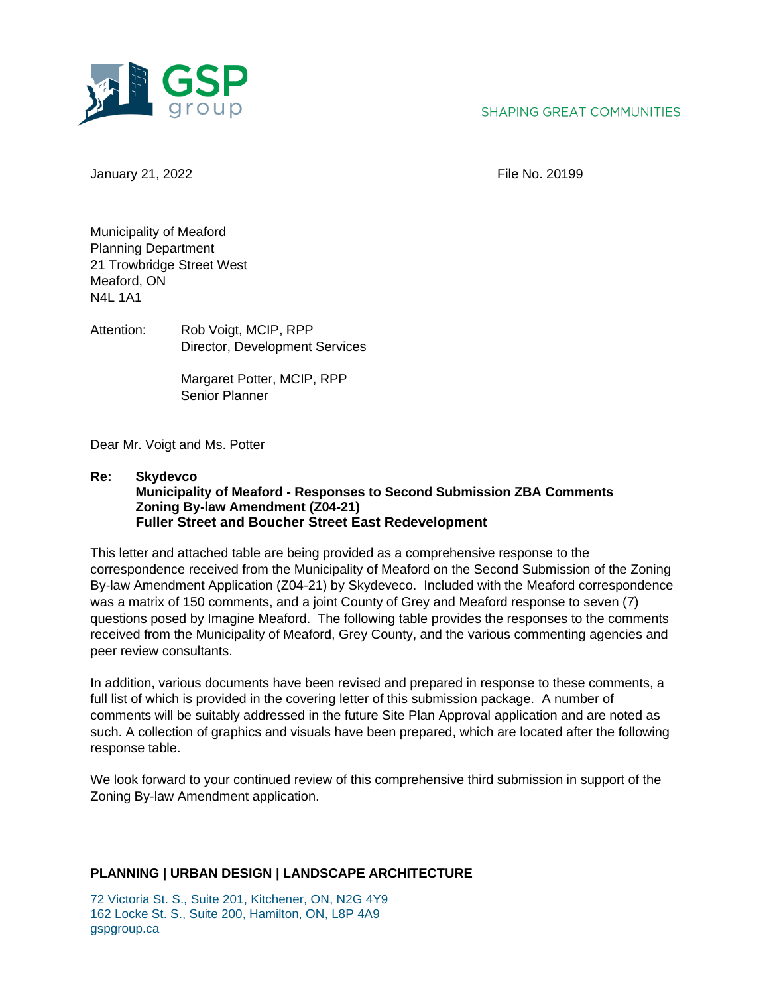

# **SHAPING GREAT COMMUNITIES**

January 21, 2022 File No. 20199

Municipality of Meaford Planning Department 21 Trowbridge Street West Meaford, ON N4L 1A1

Attention: Rob Voigt, MCIP, RPP Director, Development Services

> Margaret Potter, MCIP, RPP Senior Planner

Dear Mr. Voigt and Ms. Potter

**Re: Skydevco Municipality of Meaford - Responses to Second Submission ZBA Comments Zoning By-law Amendment (Z04-21) Fuller Street and Boucher Street East Redevelopment**

This letter and attached table are being provided as a comprehensive response to the correspondence received from the Municipality of Meaford on the Second Submission of the Zoning By-law Amendment Application (Z04-21) by Skydeveco. Included with the Meaford correspondence was a matrix of 150 comments, and a joint County of Grey and Meaford response to seven (7) questions posed by Imagine Meaford. The following table provides the responses to the comments received from the Municipality of Meaford, Grey County, and the various commenting agencies and peer review consultants.

In addition, various documents have been revised and prepared in response to these comments, a full list of which is provided in the covering letter of this submission package. A number of comments will be suitably addressed in the future Site Plan Approval application and are noted as such. A collection of graphics and visuals have been prepared, which are located after the following response table.

We look forward to your continued review of this comprehensive third submission in support of the Zoning By-law Amendment application.

# **PLANNING | URBAN DESIGN | LANDSCAPE ARCHITECTURE**

72 Victoria St. S., Suite 201, Kitchener, ON, N2G 4Y9 162 Locke St. S., Suite 200, Hamilton, ON, L8P 4A9 gspgroup.ca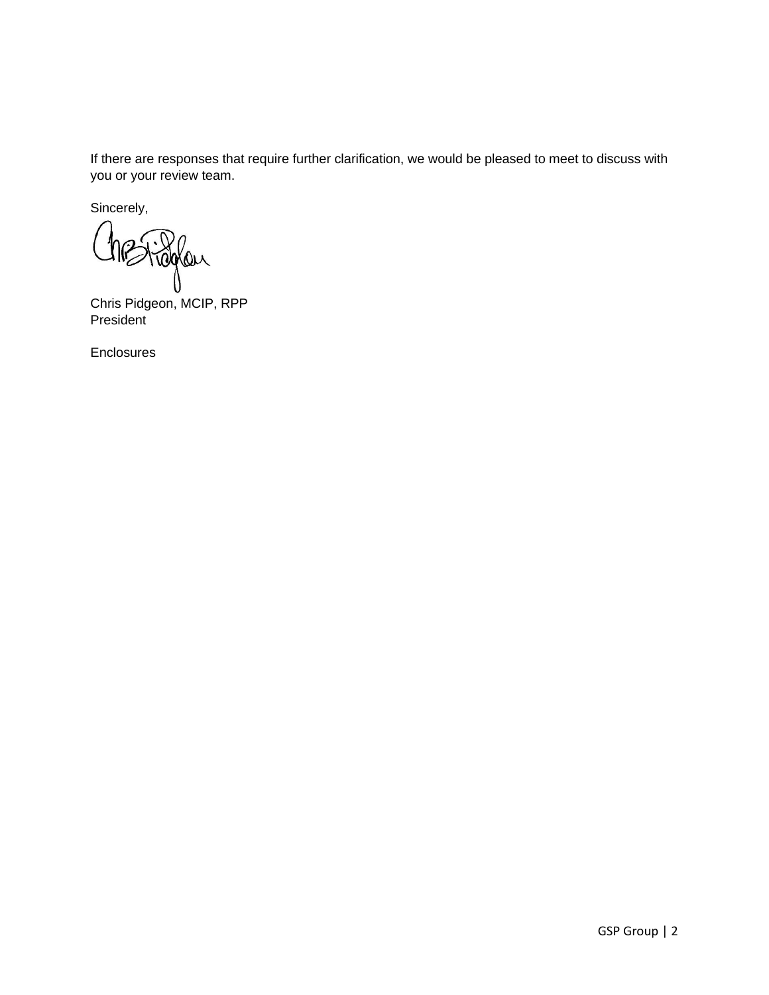If there are responses that require further clarification, we would be pleased to meet to discuss with you or your review team.

Sincerely,

raglan

Chris Pidgeon, MCIP, RPP **President** 

Enclosures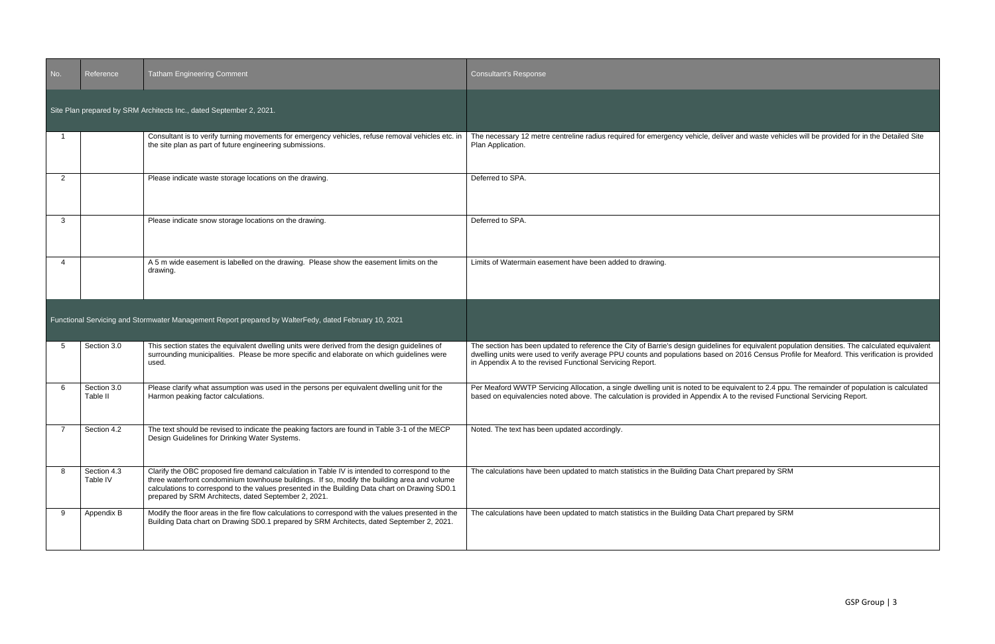| No. | Reference               | <b>Tatham Engineering Comment</b>                                                                                                                                                                                                                                                                                                                       | <b>Consultant's Response</b>                                                                                                                                                                                                                                                                                                                                  |
|-----|-------------------------|---------------------------------------------------------------------------------------------------------------------------------------------------------------------------------------------------------------------------------------------------------------------------------------------------------------------------------------------------------|---------------------------------------------------------------------------------------------------------------------------------------------------------------------------------------------------------------------------------------------------------------------------------------------------------------------------------------------------------------|
|     |                         | Site Plan prepared by SRM Architects Inc., dated September 2, 2021.                                                                                                                                                                                                                                                                                     |                                                                                                                                                                                                                                                                                                                                                               |
|     |                         | Consultant is to verify turning movements for emergency vehicles, refuse removal vehicles etc. in<br>the site plan as part of future engineering submissions.                                                                                                                                                                                           | The necessary 12 metre centreline radius required for emergency vehicle, deliver and waste vehicles will be provided for in the Detailed Site<br>Plan Application.                                                                                                                                                                                            |
| 2   |                         | Please indicate waste storage locations on the drawing.                                                                                                                                                                                                                                                                                                 | Deferred to SPA.                                                                                                                                                                                                                                                                                                                                              |
| 3   |                         | Please indicate snow storage locations on the drawing.                                                                                                                                                                                                                                                                                                  | Deferred to SPA.                                                                                                                                                                                                                                                                                                                                              |
|     |                         | A 5 m wide easement is labelled on the drawing. Please show the easement limits on the<br>drawing.                                                                                                                                                                                                                                                      | Limits of Watermain easement have been added to drawing.                                                                                                                                                                                                                                                                                                      |
|     |                         | Functional Servicing and Stormwater Management Report prepared by WalterFedy, dated February 10, 2021                                                                                                                                                                                                                                                   |                                                                                                                                                                                                                                                                                                                                                               |
| 5   | Section 3.0             | This section states the equivalent dwelling units were derived from the design guidelines of<br>surrounding municipalities. Please be more specific and elaborate on which guidelines were<br>used.                                                                                                                                                     | The section has been updated to reference the City of Barrie's design guidelines for equivalent population densities. The calculated equivalent<br>dwelling units were used to verify average PPU counts and populations based on 2016 Census Profile for Meaford. This verification is provided<br>in Appendix A to the revised Functional Servicing Report. |
| 6   | Section 3.0<br>Table II | Please clarify what assumption was used in the persons per equivalent dwelling unit for the<br>Harmon peaking factor calculations.                                                                                                                                                                                                                      | Per Meaford WWTP Servicing Allocation, a single dwelling unit is noted to be equivalent to 2.4 ppu. The remainder of population is calculated<br>based on equivalencies noted above. The calculation is provided in Appendix A to the revised Functional Servicing Report.                                                                                    |
| -7  | Section 4.2             | The text should be revised to indicate the peaking factors are found in Table 3-1 of the MECP<br>Design Guidelines for Drinking Water Systems.                                                                                                                                                                                                          | Noted. The text has been updated accordingly.                                                                                                                                                                                                                                                                                                                 |
| 8   | Section 4.3<br>Table IV | Clarify the OBC proposed fire demand calculation in Table IV is intended to correspond to the<br>three waterfront condominium townhouse buildings. If so, modify the building area and volume<br>calculations to correspond to the values presented in the Building Data chart on Drawing SD0.1<br>prepared by SRM Architects, dated September 2, 2021. | The calculations have been updated to match statistics in the Building Data Chart prepared by SRM                                                                                                                                                                                                                                                             |
| -9  | Appendix B              | Modify the floor areas in the fire flow calculations to correspond with the values presented in the<br>Building Data chart on Drawing SD0.1 prepared by SRM Architects, dated September 2, 2021.                                                                                                                                                        | The calculations have been updated to match statistics in the Building Data Chart prepared by SRM                                                                                                                                                                                                                                                             |

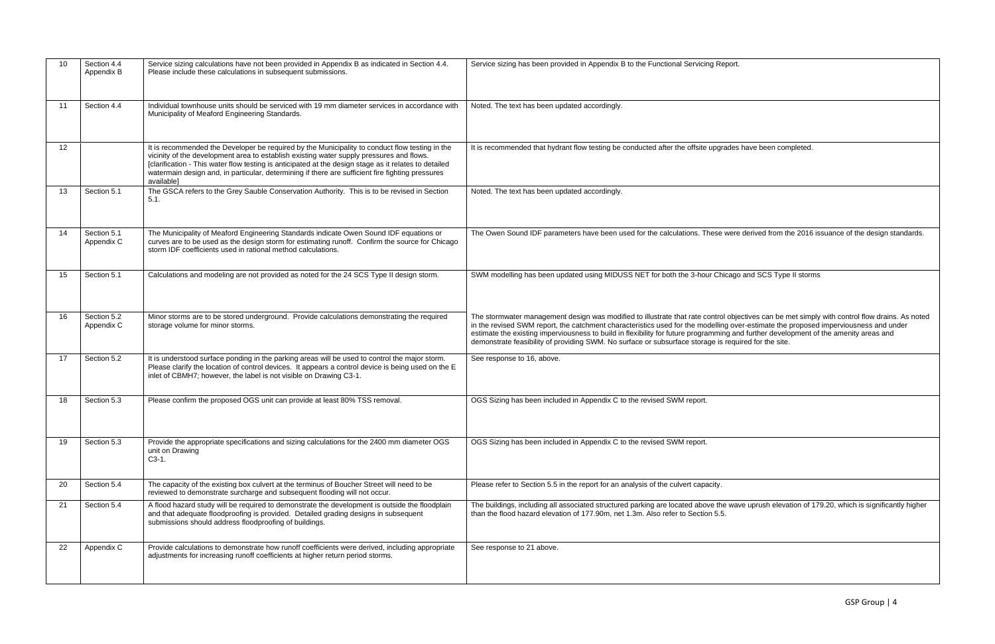| 10 | Section 4.4<br>Appendix B | Service sizing calculations have not been provided in Appendix B as indicated in Section 4.4.<br>Please include these calculations in subsequent submissions.                                                                                                                                                                                                                                                         | Service sizing has been provided in Appendix B to the Functional Servicing Report.                                                                                                                                                                                                                                                                                                                                                                                                                                                   |
|----|---------------------------|-----------------------------------------------------------------------------------------------------------------------------------------------------------------------------------------------------------------------------------------------------------------------------------------------------------------------------------------------------------------------------------------------------------------------|--------------------------------------------------------------------------------------------------------------------------------------------------------------------------------------------------------------------------------------------------------------------------------------------------------------------------------------------------------------------------------------------------------------------------------------------------------------------------------------------------------------------------------------|
| 11 | Section 4.4               | Individual townhouse units should be serviced with 19 mm diameter services in accordance with<br>Municipality of Meaford Engineering Standards.                                                                                                                                                                                                                                                                       | Noted. The text has been updated accordingly.                                                                                                                                                                                                                                                                                                                                                                                                                                                                                        |
| 12 |                           | It is recommended the Developer be required by the Municipality to conduct flow testing in the<br>vicinity of the development area to establish existing water supply pressures and flows.<br>[clarification - This water flow testing is anticipated at the design stage as it relates to detailed<br>watermain design and, in particular, determining if there are sufficient fire fighting pressures<br>available] | It is recommended that hydrant flow testing be conducted after the offsite upgrades have been completed.                                                                                                                                                                                                                                                                                                                                                                                                                             |
| 13 | Section 5.1               | The GSCA refers to the Grey Sauble Conservation Authority. This is to be revised in Section<br>5.1.                                                                                                                                                                                                                                                                                                                   | Noted. The text has been updated accordingly.                                                                                                                                                                                                                                                                                                                                                                                                                                                                                        |
| 14 | Section 5.1<br>Appendix C | The Municipality of Meaford Engineering Standards indicate Owen Sound IDF equations or<br>curves are to be used as the design storm for estimating runoff. Confirm the source for Chicago<br>storm IDF coefficients used in rational method calculations.                                                                                                                                                             | The Owen Sound IDF parameters have been used for the calculations. These were derived from the 2016 issuance of the design standards.                                                                                                                                                                                                                                                                                                                                                                                                |
| 15 | Section 5.1               | Calculations and modeling are not provided as noted for the 24 SCS Type II design storm.                                                                                                                                                                                                                                                                                                                              | SWM modelling has been updated using MIDUSS NET for both the 3-hour Chicago and SCS Type II storms                                                                                                                                                                                                                                                                                                                                                                                                                                   |
| 16 | Section 5.2<br>Appendix C | Minor storms are to be stored underground. Provide calculations demonstrating the required<br>storage volume for minor storms.                                                                                                                                                                                                                                                                                        | The stormwater management design was modified to illustrate that rate control objectives can be met simply with control flow drains. As noted<br>in the revised SWM report, the catchment characteristics used for the modelling over-estimate the proposed imperviousness and under<br>estimate the existing imperviousness to build in flexibility for future programming and further development of the amenity areas and<br>demonstrate feasibility of providing SWM. No surface or subsurface storage is required for the site. |
| 17 | Section 5.2               | It is understood surface ponding in the parking areas will be used to control the major storm.<br>Please clarify the location of control devices. It appears a control device is being used on the E<br>inlet of CBMH7; however, the label is not visible on Drawing C3-1.                                                                                                                                            | See response to 16, above.                                                                                                                                                                                                                                                                                                                                                                                                                                                                                                           |
| 18 | Section 5.3               | Please confirm the proposed OGS unit can provide at least 80% TSS removal.                                                                                                                                                                                                                                                                                                                                            | OGS Sizing has been included in Appendix C to the revised SWM report.                                                                                                                                                                                                                                                                                                                                                                                                                                                                |
| 19 | Section 5.3               | Provide the appropriate specifications and sizing calculations for the 2400 mm diameter OGS<br>unit on Drawing<br>$C3-1$ .                                                                                                                                                                                                                                                                                            | OGS Sizing has been included in Appendix C to the revised SWM report.                                                                                                                                                                                                                                                                                                                                                                                                                                                                |
| 20 | Section 5.4               | The capacity of the existing box culvert at the terminus of Boucher Street will need to be<br>reviewed to demonstrate surcharge and subsequent flooding will not occur.                                                                                                                                                                                                                                               | Please refer to Section 5.5 in the report for an analysis of the culvert capacity.                                                                                                                                                                                                                                                                                                                                                                                                                                                   |
| 21 | Section 5.4               | A flood hazard study will be required to demonstrate the development is outside the floodplain<br>and that adequate floodproofing is provided. Detailed grading designs in subsequent<br>submissions should address floodproofing of buildings.                                                                                                                                                                       | The buildings, including all associated structured parking are located above the wave uprush elevation of 179.20, which is significantly higher<br>than the flood hazard elevation of 177.90m, net 1.3m. Also refer to Section 5.5.                                                                                                                                                                                                                                                                                                  |
| 22 | Appendix C                | Provide calculations to demonstrate how runoff coefficients were derived, including appropriate<br>adjustments for increasing runoff coefficients at higher return period storms.                                                                                                                                                                                                                                     | See response to 21 above.                                                                                                                                                                                                                                                                                                                                                                                                                                                                                                            |

| ۰.<br>v | ٠<br>$\sim$ |  |
|---------|-------------|--|
|         |             |  |

|  | es have been completed. |  |
|--|-------------------------|--|
|  |                         |  |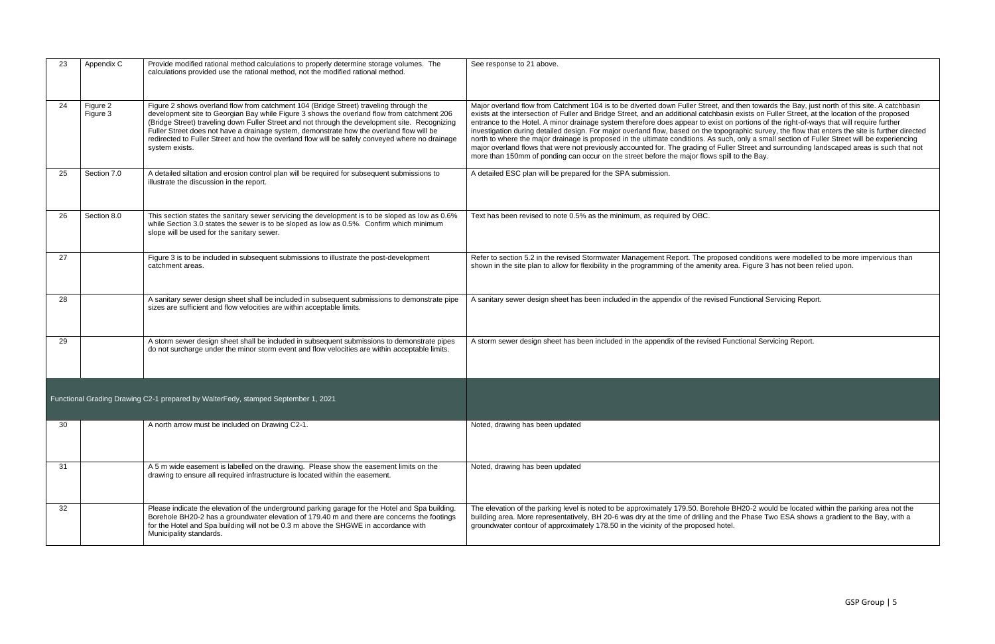| 23 | Appendix C           | Provide modified rational method calculations to properly determine storage volumes. The<br>calculations provided use the rational method, not the modified rational method.                                                                                                                                                                                                                                                                                                                           | See response to 21 above.                                                                                                                                                                                                                                                                                                                                                                                                                                                                                                                                                                                                                                                                                                                                                                                                                                                                                                                                                                     |
|----|----------------------|--------------------------------------------------------------------------------------------------------------------------------------------------------------------------------------------------------------------------------------------------------------------------------------------------------------------------------------------------------------------------------------------------------------------------------------------------------------------------------------------------------|-----------------------------------------------------------------------------------------------------------------------------------------------------------------------------------------------------------------------------------------------------------------------------------------------------------------------------------------------------------------------------------------------------------------------------------------------------------------------------------------------------------------------------------------------------------------------------------------------------------------------------------------------------------------------------------------------------------------------------------------------------------------------------------------------------------------------------------------------------------------------------------------------------------------------------------------------------------------------------------------------|
| 24 | Figure 2<br>Figure 3 | Figure 2 shows overland flow from catchment 104 (Bridge Street) traveling through the<br>development site to Georgian Bay while Figure 3 shows the overland flow from catchment 206<br>(Bridge Street) traveling down Fuller Street and not through the development site. Recognizing<br>Fuller Street does not have a drainage system, demonstrate how the overland flow will be<br>redirected to Fuller Street and how the overland flow will be safely conveyed where no drainage<br>system exists. | Major overland flow from Catchment 104 is to be diverted down Fuller Street, and then towards the Bay, just north of this site. A catchbasin<br>exists at the intersection of Fuller and Bridge Street, and an additional catchbasin exists on Fuller Street, at the location of the proposed<br>entrance to the Hotel. A minor drainage system therefore does appear to exist on portions of the right-of-ways that will require further<br>investigation during detailed design. For major overland flow, based on the topographic survey, the flow that enters the site is further directed<br>north to where the major drainage is proposed in the ultimate conditions. As such, only a small section of Fuller Street will be experiencing<br>major overland flows that were not previously accounted for. The grading of Fuller Street and surrounding landscaped areas is such that not<br>more than 150mm of ponding can occur on the street before the major flows spill to the Bay. |
| 25 | Section 7.0          | A detailed siltation and erosion control plan will be required for subsequent submissions to<br>illustrate the discussion in the report.                                                                                                                                                                                                                                                                                                                                                               | A detailed ESC plan will be prepared for the SPA submission.                                                                                                                                                                                                                                                                                                                                                                                                                                                                                                                                                                                                                                                                                                                                                                                                                                                                                                                                  |
| 26 | Section 8.0          | This section states the sanitary sewer servicing the development is to be sloped as low as 0.6%<br>while Section 3.0 states the sewer is to be sloped as low as 0.5%. Confirm which minimum<br>slope will be used for the sanitary sewer.                                                                                                                                                                                                                                                              | Text has been revised to note 0.5% as the minimum, as required by OBC.                                                                                                                                                                                                                                                                                                                                                                                                                                                                                                                                                                                                                                                                                                                                                                                                                                                                                                                        |
| 27 |                      | Figure 3 is to be included in subsequent submissions to illustrate the post-development<br>catchment areas.                                                                                                                                                                                                                                                                                                                                                                                            | Refer to section 5.2 in the revised Stormwater Management Report. The proposed conditions were modelled to be more impervious than<br>shown in the site plan to allow for flexibility in the programming of the amenity area. Figure 3 has not been relied upon.                                                                                                                                                                                                                                                                                                                                                                                                                                                                                                                                                                                                                                                                                                                              |
| 28 |                      | A sanitary sewer design sheet shall be included in subsequent submissions to demonstrate pipe<br>sizes are sufficient and flow velocities are within acceptable limits.                                                                                                                                                                                                                                                                                                                                | A sanitary sewer design sheet has been included in the appendix of the revised Functional Servicing Report.                                                                                                                                                                                                                                                                                                                                                                                                                                                                                                                                                                                                                                                                                                                                                                                                                                                                                   |
| 29 |                      | A storm sewer design sheet shall be included in subsequent submissions to demonstrate pipes<br>do not surcharge under the minor storm event and flow velocities are within acceptable limits.                                                                                                                                                                                                                                                                                                          | A storm sewer design sheet has been included in the appendix of the revised Functional Servicing Report.                                                                                                                                                                                                                                                                                                                                                                                                                                                                                                                                                                                                                                                                                                                                                                                                                                                                                      |
|    |                      | Functional Grading Drawing C2-1 prepared by WalterFedy, stamped September 1, 2021                                                                                                                                                                                                                                                                                                                                                                                                                      |                                                                                                                                                                                                                                                                                                                                                                                                                                                                                                                                                                                                                                                                                                                                                                                                                                                                                                                                                                                               |
| 30 |                      | A north arrow must be included on Drawing C2-1.                                                                                                                                                                                                                                                                                                                                                                                                                                                        | Noted, drawing has been updated                                                                                                                                                                                                                                                                                                                                                                                                                                                                                                                                                                                                                                                                                                                                                                                                                                                                                                                                                               |
| 31 |                      | A 5 m wide easement is labelled on the drawing. Please show the easement limits on the<br>drawing to ensure all required infrastructure is located within the easement.                                                                                                                                                                                                                                                                                                                                | Noted, drawing has been updated                                                                                                                                                                                                                                                                                                                                                                                                                                                                                                                                                                                                                                                                                                                                                                                                                                                                                                                                                               |
| 32 |                      | Please indicate the elevation of the underground parking garage for the Hotel and Spa building.<br>Borehole BH20-2 has a groundwater elevation of 179.40 m and there are concerns the footings<br>for the Hotel and Spa building will not be 0.3 m above the SHGWE in accordance with<br>Municipality standards.                                                                                                                                                                                       | The elevation of the parking level is noted to be approximately 179.50. Borehole BH20-2 would be located within the parking area not the<br>building area. More representatively, BH 20-6 was dry at the time of drilling and the Phase Two ESA shows a gradient to the Bay, with a<br>groundwater contour of approximately 178.50 in the vicinity of the proposed hotel.                                                                                                                                                                                                                                                                                                                                                                                                                                                                                                                                                                                                                     |

| I then towards the Bay, just north of this site. A catchbasin    |  |
|------------------------------------------------------------------|--|
| exists on Fuller Street, at the location of the proposed         |  |
| portions of the right-of-ways that will require further          |  |
| raphic survey, the flow that enters the site is further directed |  |
| , only a small section of Fuller Street will be experiencing     |  |
| r Street and surrounding landscaped areas is such that not       |  |
| to the Bay.                                                      |  |
|                                                                  |  |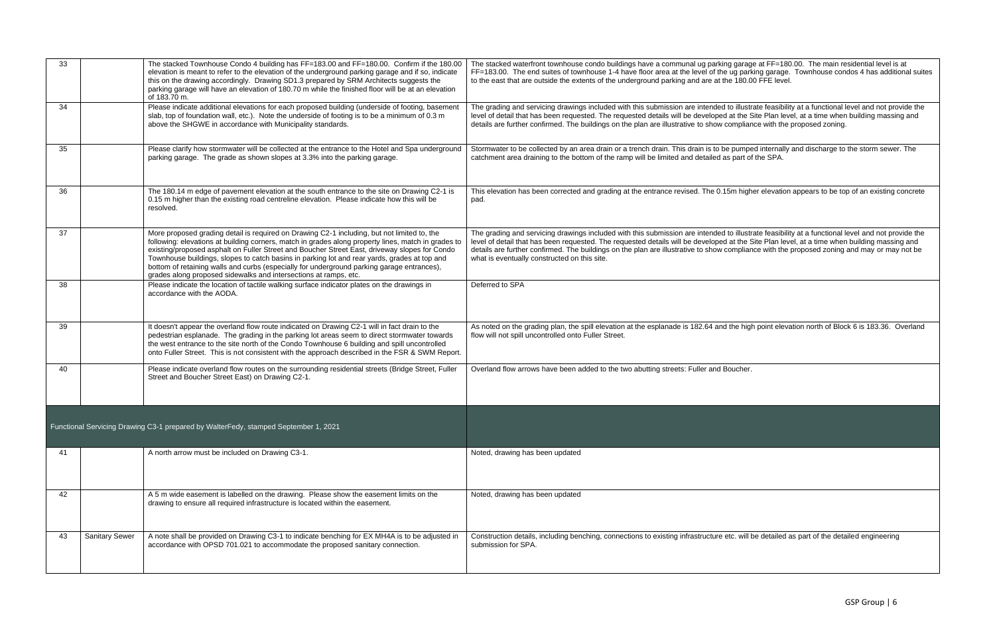| 33  |                       | The stacked Townhouse Condo 4 building has FF=183.00 and FF=180.00. Confirm if the 180.00<br>elevation is meant to refer to the elevation of the underground parking garage and if so, indicate<br>this on the drawing accordingly. Drawing SD1.3 prepared by SRM Architects suggests the<br>parking garage will have an elevation of 180.70 m while the finished floor will be at an elevation<br>of 183.70 m.                                                                                                                                                       | The stacked waterfront townhouse condo buildings have a communal ug parking garage at FF=180.00. The main residential level is at<br>FF=183.00. The end suites of townhouse 1-4 have floor area at the level of the ug parking garage. Townhouse condos 4 has additional suites<br>to the east that are outside the extents of the underground parking and are at the 180.00 FFE level.                                                                                                          |
|-----|-----------------------|-----------------------------------------------------------------------------------------------------------------------------------------------------------------------------------------------------------------------------------------------------------------------------------------------------------------------------------------------------------------------------------------------------------------------------------------------------------------------------------------------------------------------------------------------------------------------|--------------------------------------------------------------------------------------------------------------------------------------------------------------------------------------------------------------------------------------------------------------------------------------------------------------------------------------------------------------------------------------------------------------------------------------------------------------------------------------------------|
| 34  |                       | Please indicate additional elevations for each proposed building (underside of footing, basement<br>slab, top of foundation wall, etc.). Note the underside of footing is to be a minimum of 0.3 m<br>above the SHGWE in accordance with Municipality standards.                                                                                                                                                                                                                                                                                                      | The grading and servicing drawings included with this submission are intended to illustrate feasibility at a functional level and not provide the<br>level of detail that has been requested. The requested details will be developed at the Site Plan level, at a time when building massing and<br>details are further confirmed. The buildings on the plan are illustrative to show compliance with the proposed zoning.                                                                      |
| 35  |                       | Please clarify how stormwater will be collected at the entrance to the Hotel and Spa underground<br>parking garage. The grade as shown slopes at 3.3% into the parking garage.                                                                                                                                                                                                                                                                                                                                                                                        | Stormwater to be collected by an area drain or a trench drain. This drain is to be pumped internally and discharge to the storm sewer. The<br>catchment area draining to the bottom of the ramp will be limited and detailed as part of the SPA.                                                                                                                                                                                                                                                 |
| 36  |                       | The 180.14 m edge of pavement elevation at the south entrance to the site on Drawing C2-1 is<br>0.15 m higher than the existing road centreline elevation. Please indicate how this will be<br>resolved.                                                                                                                                                                                                                                                                                                                                                              | This elevation has been corrected and grading at the entrance revised. The 0.15m higher elevation appears to be top of an existing concrete<br>pad.                                                                                                                                                                                                                                                                                                                                              |
| 37  |                       | More proposed grading detail is required on Drawing C2-1 including, but not limited to, the<br>following: elevations at building corners, match in grades along property lines, match in grades to<br>existing/proposed asphalt on Fuller Street and Boucher Street East, driveway slopes for Condo<br>Townhouse buildings, slopes to catch basins in parking lot and rear yards, grades at top and<br>bottom of retaining walls and curbs (especially for underground parking garage entrances),<br>grades along proposed sidewalks and intersections at ramps, etc. | The grading and servicing drawings included with this submission are intended to illustrate feasibility at a functional level and not provide the<br>level of detail that has been requested. The requested details will be developed at the Site Plan level, at a time when building massing and<br>details are further confirmed. The buildings on the plan are illustrative to show compliance with the proposed zoning and may or may not be<br>what is eventually constructed on this site. |
| 38  |                       | Please indicate the location of tactile walking surface indicator plates on the drawings in<br>accordance with the AODA.                                                                                                                                                                                                                                                                                                                                                                                                                                              | Deferred to SPA                                                                                                                                                                                                                                                                                                                                                                                                                                                                                  |
| 39  |                       | It doesn't appear the overland flow route indicated on Drawing C2-1 will in fact drain to the<br>pedestrian esplanade. The grading in the parking lot areas seem to direct stormwater towards<br>the west entrance to the site north of the Condo Townhouse 6 building and spill uncontrolled<br>onto Fuller Street. This is not consistent with the approach described in the FSR & SWM Report.                                                                                                                                                                      | As noted on the grading plan, the spill elevation at the esplanade is 182.64 and the high point elevation north of Block 6 is 183.36. Overland<br>flow will not spill uncontrolled onto Fuller Street.                                                                                                                                                                                                                                                                                           |
| 40  |                       | Please indicate overland flow routes on the surrounding residential streets (Bridge Street, Fuller<br>Street and Boucher Street East) on Drawing C2-1.                                                                                                                                                                                                                                                                                                                                                                                                                | Overland flow arrows have been added to the two abutting streets: Fuller and Boucher.                                                                                                                                                                                                                                                                                                                                                                                                            |
|     |                       | Functional Servicing Drawing C3-1 prepared by WalterFedy, stamped September 1, 2021                                                                                                                                                                                                                                                                                                                                                                                                                                                                                   |                                                                                                                                                                                                                                                                                                                                                                                                                                                                                                  |
| -41 |                       | A north arrow must be included on Drawing C3-1.                                                                                                                                                                                                                                                                                                                                                                                                                                                                                                                       | Noted, drawing has been updated                                                                                                                                                                                                                                                                                                                                                                                                                                                                  |
| 42  |                       | A 5 m wide easement is labelled on the drawing. Please show the easement limits on the<br>drawing to ensure all required infrastructure is located within the easement.                                                                                                                                                                                                                                                                                                                                                                                               | Noted, drawing has been updated                                                                                                                                                                                                                                                                                                                                                                                                                                                                  |
| 43  | <b>Sanitary Sewer</b> | A note shall be provided on Drawing C3-1 to indicate benching for EX MH4A is to be adjusted in<br>accordance with OPSD 701.021 to accommodate the proposed sanitary connection.                                                                                                                                                                                                                                                                                                                                                                                       | Construction details, including benching, connections to existing infrastructure etc. will be detailed as part of the detailed engineering<br>submission for SPA.                                                                                                                                                                                                                                                                                                                                |

| garage at FF=180.00. The main residential level is at       |
|-------------------------------------------------------------|
| ig parking garage. Townhouse condos 4 has additional suites |
| 180.00 FFE level.                                           |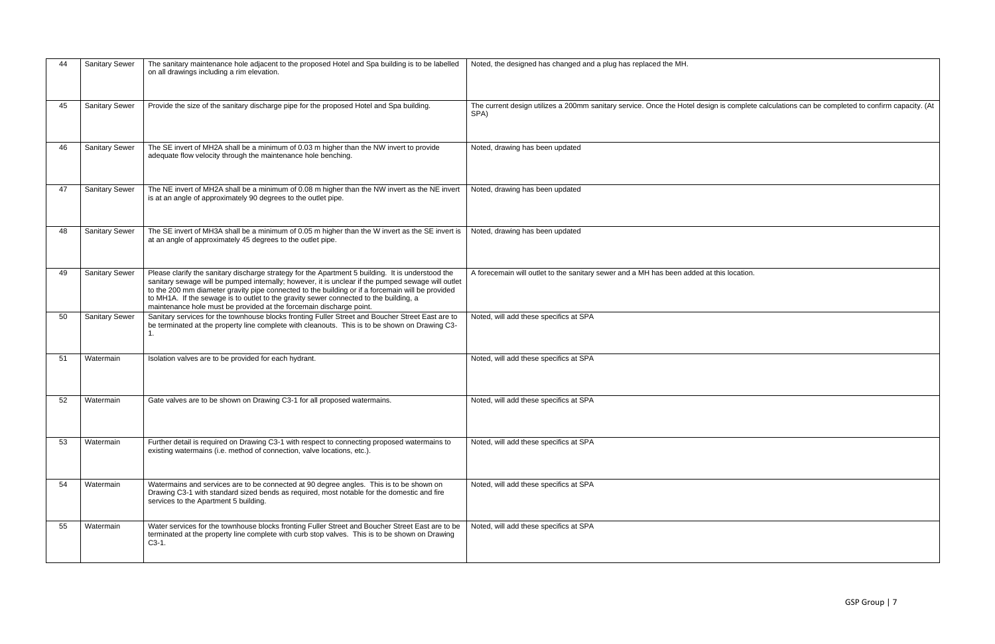| 44 | <b>Sanitary Sewer</b> | The sanitary maintenance hole adjacent to the proposed Hotel and Spa building is to be labelled<br>on all drawings including a rim elevation.                                                                                                                                                                                                                                                                                                                               | Noted, the designed has changed and a plug has replaced the MH.                                                                                        |
|----|-----------------------|-----------------------------------------------------------------------------------------------------------------------------------------------------------------------------------------------------------------------------------------------------------------------------------------------------------------------------------------------------------------------------------------------------------------------------------------------------------------------------|--------------------------------------------------------------------------------------------------------------------------------------------------------|
| 45 | <b>Sanitary Sewer</b> | Provide the size of the sanitary discharge pipe for the proposed Hotel and Spa building.                                                                                                                                                                                                                                                                                                                                                                                    | The current design utilizes a 200mm sanitary service. Once the Hotel design is complete calculations can be completed to confirm capacity. (At<br>SPA) |
| 46 | <b>Sanitary Sewer</b> | The SE invert of MH2A shall be a minimum of 0.03 m higher than the NW invert to provide<br>adequate flow velocity through the maintenance hole benching.                                                                                                                                                                                                                                                                                                                    | Noted, drawing has been updated                                                                                                                        |
| 47 | <b>Sanitary Sewer</b> | The NE invert of MH2A shall be a minimum of 0.08 m higher than the NW invert as the NE invert<br>is at an angle of approximately 90 degrees to the outlet pipe.                                                                                                                                                                                                                                                                                                             | Noted, drawing has been updated                                                                                                                        |
| 48 | <b>Sanitary Sewer</b> | The SE invert of MH3A shall be a minimum of 0.05 m higher than the W invert as the SE invert is<br>at an angle of approximately 45 degrees to the outlet pipe.                                                                                                                                                                                                                                                                                                              | Noted, drawing has been updated                                                                                                                        |
| 49 | <b>Sanitary Sewer</b> | Please clarify the sanitary discharge strategy for the Apartment 5 building. It is understood the<br>sanitary sewage will be pumped internally; however, it is unclear if the pumped sewage will outlet<br>to the 200 mm diameter gravity pipe connected to the building or if a forcemain will be provided<br>to MH1A. If the sewage is to outlet to the gravity sewer connected to the building, a<br>maintenance hole must be provided at the forcemain discharge point. | A forecemain will outlet to the sanitary sewer and a MH has been added at this location.                                                               |
| 50 | <b>Sanitary Sewer</b> | Sanitary services for the townhouse blocks fronting Fuller Street and Boucher Street East are to<br>be terminated at the property line complete with cleanouts. This is to be shown on Drawing C3-                                                                                                                                                                                                                                                                          | Noted, will add these specifics at SPA                                                                                                                 |
| 51 | Watermain             | Isolation valves are to be provided for each hydrant.                                                                                                                                                                                                                                                                                                                                                                                                                       | Noted, will add these specifics at SPA                                                                                                                 |
| 52 | Watermain             | Gate valves are to be shown on Drawing C3-1 for all proposed watermains.                                                                                                                                                                                                                                                                                                                                                                                                    | Noted, will add these specifics at SPA                                                                                                                 |
| 53 | Watermain             | Further detail is required on Drawing C3-1 with respect to connecting proposed watermains to<br>existing watermains (i.e. method of connection, valve locations, etc.).                                                                                                                                                                                                                                                                                                     | Noted, will add these specifics at SPA                                                                                                                 |
| 54 | Watermain             | Watermains and services are to be connected at 90 degree angles. This is to be shown on<br>Drawing C3-1 with standard sized bends as required, most notable for the domestic and fire<br>services to the Apartment 5 building.                                                                                                                                                                                                                                              | Noted, will add these specifics at SPA                                                                                                                 |
| 55 | Watermain             | Water services for the townhouse blocks fronting Fuller Street and Boucher Street East are to be<br>terminated at the property line complete with curb stop valves. This is to be shown on Drawing<br>$C3-1$ .                                                                                                                                                                                                                                                              | Noted, will add these specifics at SPA                                                                                                                 |

| complete calculations can be completed to confirm capacity. (At |
|-----------------------------------------------------------------|
|                                                                 |
|                                                                 |
|                                                                 |
|                                                                 |
|                                                                 |
|                                                                 |
|                                                                 |
| location.                                                       |
|                                                                 |
|                                                                 |
|                                                                 |
|                                                                 |
|                                                                 |
|                                                                 |
|                                                                 |
|                                                                 |
|                                                                 |
|                                                                 |
|                                                                 |
|                                                                 |
|                                                                 |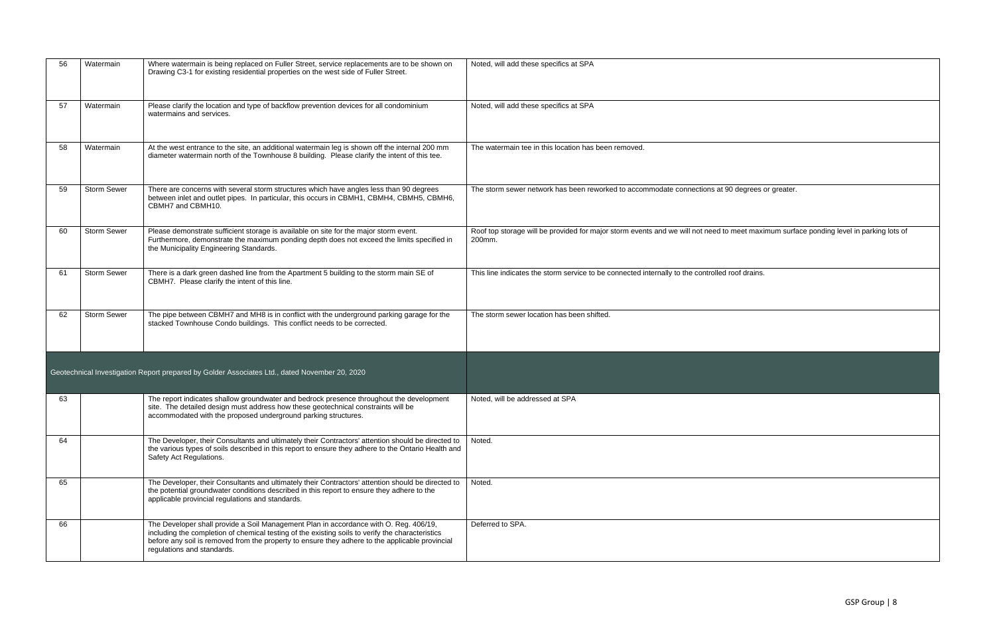| 56 | Watermain          | Where watermain is being replaced on Fuller Street, service replacements are to be shown on<br>Drawing C3-1 for existing residential properties on the west side of Fuller Street.                                                                                                                                         | Noted, will add these specifics at SPA                                                                                                           |
|----|--------------------|----------------------------------------------------------------------------------------------------------------------------------------------------------------------------------------------------------------------------------------------------------------------------------------------------------------------------|--------------------------------------------------------------------------------------------------------------------------------------------------|
| 57 | Watermain          | Please clarify the location and type of backflow prevention devices for all condominium<br>watermains and services.                                                                                                                                                                                                        | Noted, will add these specifics at SPA                                                                                                           |
| 58 | Watermain          | At the west entrance to the site, an additional watermain leg is shown off the internal 200 mm<br>diameter watermain north of the Townhouse 8 building. Please clarify the intent of this tee.                                                                                                                             | The watermain tee in this location has been removed.                                                                                             |
| 59 | Storm Sewer        | There are concerns with several storm structures which have angles less than 90 degrees<br>between inlet and outlet pipes. In particular, this occurs in CBMH1, CBMH4, CBMH5, CBMH6,<br>CBMH7 and CBMH10.                                                                                                                  | The storm sewer network has been reworked to accommodate connections at 90 degrees or greater.                                                   |
| 60 | <b>Storm Sewer</b> | Please demonstrate sufficient storage is available on site for the major storm event.<br>Furthermore, demonstrate the maximum ponding depth does not exceed the limits specified in<br>the Municipality Engineering Standards.                                                                                             | Roof top storage will be provided for major storm events and we will not need to meet maximum surface ponding level in parking lots of<br>200mm. |
| 61 | Storm Sewer        | There is a dark green dashed line from the Apartment 5 building to the storm main SE of<br>CBMH7. Please clarify the intent of this line.                                                                                                                                                                                  | This line indicates the storm service to be connected internally to the controlled roof drains.                                                  |
| 62 | <b>Storm Sewer</b> | The pipe between CBMH7 and MH8 is in conflict with the underground parking garage for the<br>stacked Townhouse Condo buildings. This conflict needs to be corrected.                                                                                                                                                       | The storm sewer location has been shifted.                                                                                                       |
|    |                    | Geotechnical Investigation Report prepared by Golder Associates Ltd., dated November 20, 2020                                                                                                                                                                                                                              |                                                                                                                                                  |
| 63 |                    | The report indicates shallow groundwater and bedrock presence throughout the development<br>site. The detailed design must address how these geotechnical constraints will be<br>accommodated with the proposed underground parking structures.                                                                            | Noted, will be addressed at SPA                                                                                                                  |
| 64 |                    | The Developer, their Consultants and ultimately their Contractors' attention should be directed to<br>the various types of soils described in this report to ensure they adhere to the Ontario Health and<br>Safety Act Regulations.                                                                                       | Noted.                                                                                                                                           |
| 65 |                    | The Developer, their Consultants and ultimately their Contractors' attention should be directed to<br>the potential groundwater conditions described in this report to ensure they adhere to the<br>applicable provincial regulations and standards.                                                                       | Noted.                                                                                                                                           |
| 66 |                    | The Developer shall provide a Soil Management Plan in accordance with O. Reg. 406/19,<br>including the completion of chemical testing of the existing soils to verify the characteristics<br>before any soil is removed from the property to ensure they adhere to the applicable provincial<br>regulations and standards. | Deferred to SPA.                                                                                                                                 |

| degrees or greater.                                   |
|-------------------------------------------------------|
| meet maximum surface ponding level in parking lots of |
| oof drains.                                           |
|                                                       |
|                                                       |
|                                                       |
|                                                       |
|                                                       |
|                                                       |
|                                                       |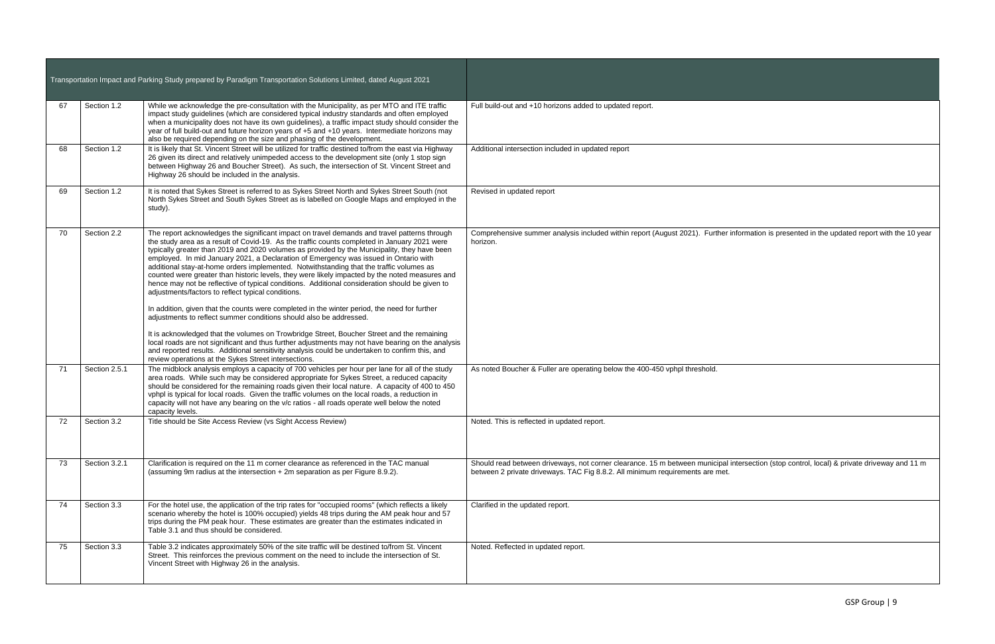|    |               | Transportation Impact and Parking Study prepared by Paradigm Transportation Solutions Limited, dated August 2021                                                                                                                                                                                                                                                                                                                                                                                                                                                                                                                                                                                                                          |                                                                                                                                                                                                                             |
|----|---------------|-------------------------------------------------------------------------------------------------------------------------------------------------------------------------------------------------------------------------------------------------------------------------------------------------------------------------------------------------------------------------------------------------------------------------------------------------------------------------------------------------------------------------------------------------------------------------------------------------------------------------------------------------------------------------------------------------------------------------------------------|-----------------------------------------------------------------------------------------------------------------------------------------------------------------------------------------------------------------------------|
| 67 | Section 1.2   | While we acknowledge the pre-consultation with the Municipality, as per MTO and ITE traffic<br>impact study guidelines (which are considered typical industry standards and often employed<br>when a municipality does not have its own guidelines), a traffic impact study should consider the<br>year of full build-out and future horizon years of +5 and +10 years. Intermediate horizons may<br>also be required depending on the size and phasing of the development.                                                                                                                                                                                                                                                               | Full build-out and +10 horizons added to updated report.                                                                                                                                                                    |
| 68 | Section 1.2   | It is likely that St. Vincent Street will be utilized for traffic destined to/from the east via Highway<br>26 given its direct and relatively unimpeded access to the development site (only 1 stop sign<br>between Highway 26 and Boucher Street). As such, the intersection of St. Vincent Street and<br>Highway 26 should be included in the analysis.                                                                                                                                                                                                                                                                                                                                                                                 | Additional intersection included in updated report                                                                                                                                                                          |
| 69 | Section 1.2   | It is noted that Sykes Street is referred to as Sykes Street North and Sykes Street South (not<br>North Sykes Street and South Sykes Street as is labelled on Google Maps and employed in the<br>study).                                                                                                                                                                                                                                                                                                                                                                                                                                                                                                                                  | Revised in updated report                                                                                                                                                                                                   |
| 70 | Section 2.2   | The report acknowledges the significant impact on travel demands and travel patterns through<br>the study area as a result of Covid-19. As the traffic counts completed in January 2021 were<br>typically greater than 2019 and 2020 volumes as provided by the Municipality, they have been<br>employed. In mid January 2021, a Declaration of Emergency was issued in Ontario with<br>additional stay-at-home orders implemented. Notwithstanding that the traffic volumes as<br>counted were greater than historic levels, they were likely impacted by the noted measures and<br>hence may not be reflective of typical conditions. Additional consideration should be given to<br>adjustments/factors to reflect typical conditions. | Comprehensive summer analysis included within report (August 2021). Further information is presented in the updated report with the 10 year<br>horizon.                                                                     |
|    |               | In addition, given that the counts were completed in the winter period, the need for further<br>adjustments to reflect summer conditions should also be addressed.                                                                                                                                                                                                                                                                                                                                                                                                                                                                                                                                                                        |                                                                                                                                                                                                                             |
|    |               | It is acknowledged that the volumes on Trowbridge Street, Boucher Street and the remaining<br>local roads are not significant and thus further adjustments may not have bearing on the analysis<br>and reported results. Additional sensitivity analysis could be undertaken to confirm this, and<br>review operations at the Sykes Street intersections.                                                                                                                                                                                                                                                                                                                                                                                 |                                                                                                                                                                                                                             |
| 71 | Section 2.5.1 | The midblock analysis employs a capacity of 700 vehicles per hour per lane for all of the study<br>area roads. While such may be considered appropriate for Sykes Street, a reduced capacity<br>should be considered for the remaining roads given their local nature. A capacity of 400 to 450<br>vphpl is typical for local roads. Given the traffic volumes on the local roads, a reduction in<br>capacity will not have any bearing on the v/c ratios - all roads operate well below the noted<br>capacity levels.                                                                                                                                                                                                                    | As noted Boucher & Fuller are operating below the 400-450 vphpl threshold.                                                                                                                                                  |
| 72 | Section 3.2   | Title should be Site Access Review (vs Sight Access Review)                                                                                                                                                                                                                                                                                                                                                                                                                                                                                                                                                                                                                                                                               | Noted. This is reflected in updated report.                                                                                                                                                                                 |
| 73 | Section 3.2.1 | Clarification is required on the 11 m corner clearance as referenced in the TAC manual<br>(assuming 9m radius at the intersection + 2m separation as per Figure 8.9.2).                                                                                                                                                                                                                                                                                                                                                                                                                                                                                                                                                                   | Should read between driveways, not corner clearance. 15 m between municipal intersection (stop control, local) & private driveway and 11 m<br>between 2 private driveways. TAC Fig 8.8.2. All minimum requirements are met. |
| 74 | Section 3.3   | For the hotel use, the application of the trip rates for "occupied rooms" (which reflects a likely<br>scenario whereby the hotel is 100% occupied) yields 48 trips during the AM peak hour and 57<br>trips during the PM peak hour. These estimates are greater than the estimates indicated in<br>Table 3.1 and thus should be considered.                                                                                                                                                                                                                                                                                                                                                                                               | Clarified in the updated report.                                                                                                                                                                                            |
| 75 | Section 3.3   | Table 3.2 indicates approximately 50% of the site traffic will be destined to/from St. Vincent<br>Street. This reinforces the previous comment on the need to include the intersection of St.<br>Vincent Street with Highway 26 in the analysis.                                                                                                                                                                                                                                                                                                                                                                                                                                                                                          | Noted. Reflected in updated report.                                                                                                                                                                                         |

| r information is presented in the updated report with the 10 year       |
|-------------------------------------------------------------------------|
|                                                                         |
|                                                                         |
|                                                                         |
|                                                                         |
|                                                                         |
|                                                                         |
|                                                                         |
|                                                                         |
|                                                                         |
|                                                                         |
|                                                                         |
|                                                                         |
|                                                                         |
|                                                                         |
|                                                                         |
|                                                                         |
| Il intersection (stop control, local) & private driveway and 11 m<br>t. |
|                                                                         |
|                                                                         |
|                                                                         |
|                                                                         |
|                                                                         |
|                                                                         |
|                                                                         |
|                                                                         |
|                                                                         |
|                                                                         |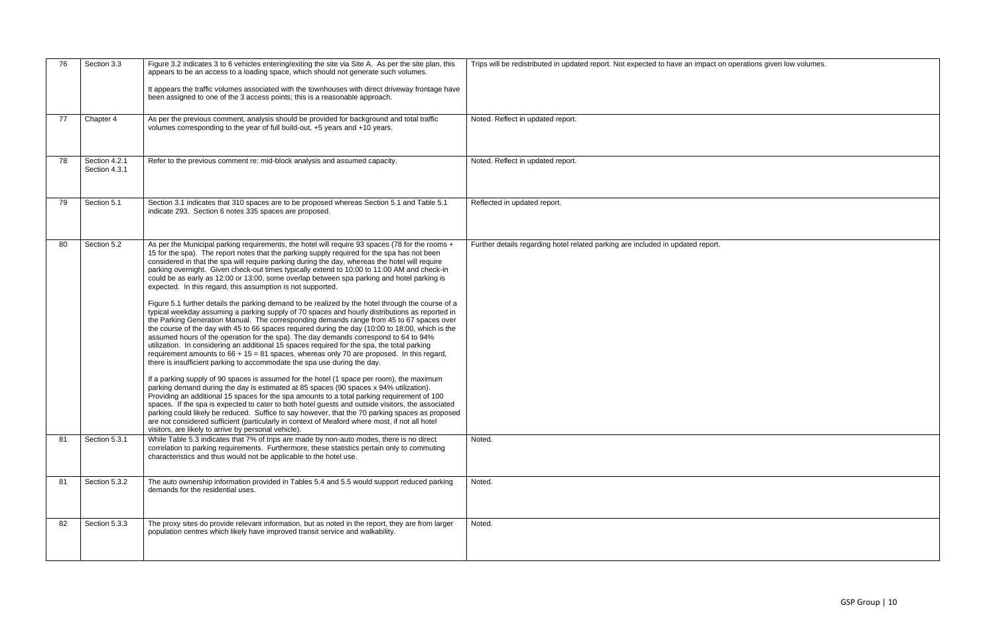| 76 | Section 3.3                    | Figure 3.2 indicates 3 to 6 vehicles entering/exiting the site via Site A. As per the site plan, this<br>appears to be an access to a loading space, which should not generate such volumes.<br>It appears the traffic volumes associated with the townhouses with direct driveway frontage have<br>been assigned to one of the 3 access points; this is a reasonable approach.                                                                                                                                                                                                                                                                                                                                                                                                                                                                                                                                                                                                                                                                                                                                                                                                                                                                                                                                                                                                                                                                                                                                                                                                                                                                                                                                                                                                                                                                                                                                                                                                               | Trips will be redistributed in updated report. Not expected to have an impact on operations given low volumes. |
|----|--------------------------------|-----------------------------------------------------------------------------------------------------------------------------------------------------------------------------------------------------------------------------------------------------------------------------------------------------------------------------------------------------------------------------------------------------------------------------------------------------------------------------------------------------------------------------------------------------------------------------------------------------------------------------------------------------------------------------------------------------------------------------------------------------------------------------------------------------------------------------------------------------------------------------------------------------------------------------------------------------------------------------------------------------------------------------------------------------------------------------------------------------------------------------------------------------------------------------------------------------------------------------------------------------------------------------------------------------------------------------------------------------------------------------------------------------------------------------------------------------------------------------------------------------------------------------------------------------------------------------------------------------------------------------------------------------------------------------------------------------------------------------------------------------------------------------------------------------------------------------------------------------------------------------------------------------------------------------------------------------------------------------------------------|----------------------------------------------------------------------------------------------------------------|
| 77 | Chapter 4                      | As per the previous comment, analysis should be provided for background and total traffic<br>volumes corresponding to the year of full build-out, +5 years and +10 years.                                                                                                                                                                                                                                                                                                                                                                                                                                                                                                                                                                                                                                                                                                                                                                                                                                                                                                                                                                                                                                                                                                                                                                                                                                                                                                                                                                                                                                                                                                                                                                                                                                                                                                                                                                                                                     | Noted. Reflect in updated report.                                                                              |
| 78 | Section 4.2.1<br>Section 4.3.1 | Refer to the previous comment re: mid-block analysis and assumed capacity.                                                                                                                                                                                                                                                                                                                                                                                                                                                                                                                                                                                                                                                                                                                                                                                                                                                                                                                                                                                                                                                                                                                                                                                                                                                                                                                                                                                                                                                                                                                                                                                                                                                                                                                                                                                                                                                                                                                    | Noted. Reflect in updated report.                                                                              |
| 79 | Section 5.1                    | Section 3.1 indicates that 310 spaces are to be proposed whereas Section 5.1 and Table 5.1<br>indicate 293. Section 6 notes 335 spaces are proposed.                                                                                                                                                                                                                                                                                                                                                                                                                                                                                                                                                                                                                                                                                                                                                                                                                                                                                                                                                                                                                                                                                                                                                                                                                                                                                                                                                                                                                                                                                                                                                                                                                                                                                                                                                                                                                                          | Reflected in updated report.                                                                                   |
| 80 | Section 5.2                    | As per the Municipal parking requirements, the hotel will require 93 spaces (78 for the rooms +<br>15 for the spa). The report notes that the parking supply required for the spa has not been<br>considered in that the spa will require parking during the day, whereas the hotel will require<br>parking overnight. Given check-out times typically extend to 10:00 to 11:00 AM and check-in<br>could be as early as 12:00 or 13:00, some overlap between spa parking and hotel parking is<br>expected. In this regard, this assumption is not supported.<br>Figure 5.1 further details the parking demand to be realized by the hotel through the course of a<br>typical weekday assuming a parking supply of 70 spaces and hourly distributions as reported in<br>the Parking Generation Manual. The corresponding demands range from 45 to 67 spaces over<br>the course of the day with 45 to 66 spaces required during the day (10:00 to 18:00, which is the<br>assumed hours of the operation for the spa). The day demands correspond to 64 to 94%<br>utilization. In considering an additional 15 spaces required for the spa, the total parking<br>requirement amounts to $66 + 15 = 81$ spaces, whereas only 70 are proposed. In this regard,<br>there is insufficient parking to accommodate the spa use during the day.<br>If a parking supply of 90 spaces is assumed for the hotel (1 space per room), the maximum<br>parking demand during the day is estimated at 85 spaces (90 spaces x 94% utilization).<br>Providing an additional 15 spaces for the spa amounts to a total parking requirement of 100<br>spaces. If the spa is expected to cater to both hotel guests and outside visitors, the associated<br>parking could likely be reduced. Suffice to say however, that the 70 parking spaces as proposed<br>are not considered sufficient (particularly in context of Meaford where most, if not all hotel<br>visitors, are likely to arrive by personal vehicle). | Further details regarding hotel related parking are included in updated report.                                |
| 81 | Section 5.3.1                  | While Table 5.3 indicates that 7% of trips are made by non-auto modes, there is no direct<br>correlation to parking requirements. Furthermore, these statistics pertain only to commuting<br>characteristics and thus would not be applicable to the hotel use.                                                                                                                                                                                                                                                                                                                                                                                                                                                                                                                                                                                                                                                                                                                                                                                                                                                                                                                                                                                                                                                                                                                                                                                                                                                                                                                                                                                                                                                                                                                                                                                                                                                                                                                               | Noted.                                                                                                         |
| 81 | Section 5.3.2                  | The auto ownership information provided in Tables 5.4 and 5.5 would support reduced parking<br>demands for the residential uses.                                                                                                                                                                                                                                                                                                                                                                                                                                                                                                                                                                                                                                                                                                                                                                                                                                                                                                                                                                                                                                                                                                                                                                                                                                                                                                                                                                                                                                                                                                                                                                                                                                                                                                                                                                                                                                                              | Noted.                                                                                                         |
| 82 | Section 5.3.3                  | The proxy sites do provide relevant information, but as noted in the report, they are from larger<br>population centres which likely have improved transit service and walkability.                                                                                                                                                                                                                                                                                                                                                                                                                                                                                                                                                                                                                                                                                                                                                                                                                                                                                                                                                                                                                                                                                                                                                                                                                                                                                                                                                                                                                                                                                                                                                                                                                                                                                                                                                                                                           | Noted.                                                                                                         |

| n operations given low volumes. |  |
|---------------------------------|--|
|                                 |  |
|                                 |  |
|                                 |  |
|                                 |  |
|                                 |  |
|                                 |  |
|                                 |  |
|                                 |  |
|                                 |  |
|                                 |  |
|                                 |  |
|                                 |  |
|                                 |  |
|                                 |  |
|                                 |  |
|                                 |  |
|                                 |  |
|                                 |  |
|                                 |  |
|                                 |  |
|                                 |  |
|                                 |  |
|                                 |  |
|                                 |  |
|                                 |  |
|                                 |  |
|                                 |  |
|                                 |  |
|                                 |  |
|                                 |  |
|                                 |  |
|                                 |  |
|                                 |  |
|                                 |  |
|                                 |  |
|                                 |  |
|                                 |  |
|                                 |  |
|                                 |  |
|                                 |  |
|                                 |  |
|                                 |  |
|                                 |  |
|                                 |  |
|                                 |  |
|                                 |  |
|                                 |  |
|                                 |  |
|                                 |  |
|                                 |  |
|                                 |  |
|                                 |  |
|                                 |  |
|                                 |  |
|                                 |  |
|                                 |  |
|                                 |  |
|                                 |  |
|                                 |  |
|                                 |  |
|                                 |  |
|                                 |  |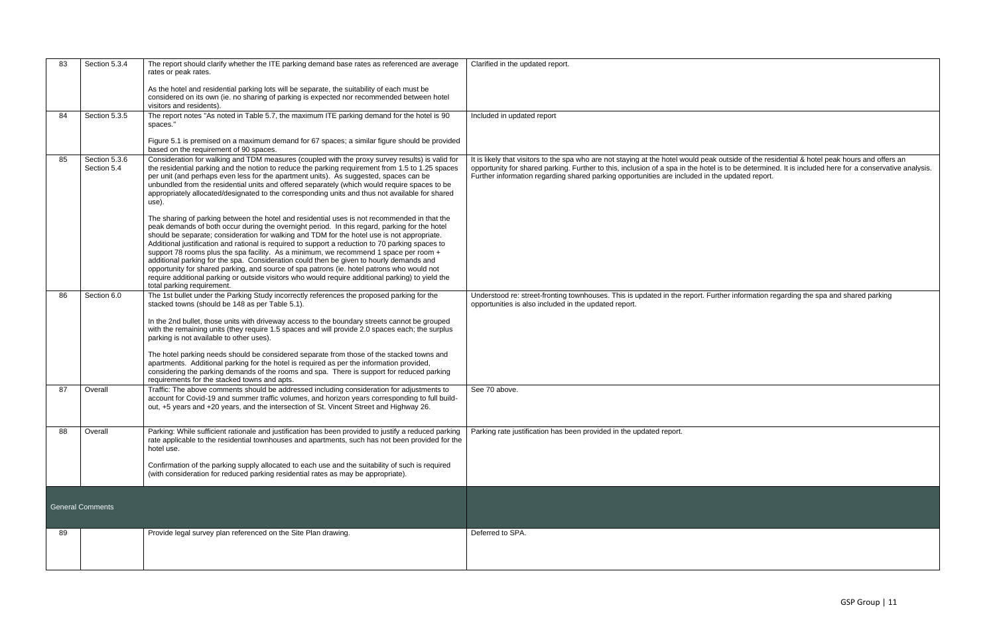| 83 | Section 5.3.4                | The report should clarify whether the ITE parking demand base rates as referenced are average<br>rates or peak rates.                                                                                                                                                                                                                                                                                                                                                                                                                                                                                                                                                                                                                                                                                                 | Clarified in the updated report.                                                                                                                                                                                                                                                                                                                                                                          |
|----|------------------------------|-----------------------------------------------------------------------------------------------------------------------------------------------------------------------------------------------------------------------------------------------------------------------------------------------------------------------------------------------------------------------------------------------------------------------------------------------------------------------------------------------------------------------------------------------------------------------------------------------------------------------------------------------------------------------------------------------------------------------------------------------------------------------------------------------------------------------|-----------------------------------------------------------------------------------------------------------------------------------------------------------------------------------------------------------------------------------------------------------------------------------------------------------------------------------------------------------------------------------------------------------|
|    |                              | As the hotel and residential parking lots will be separate, the suitability of each must be<br>considered on its own (ie. no sharing of parking is expected nor recommended between hotel<br>visitors and residents).                                                                                                                                                                                                                                                                                                                                                                                                                                                                                                                                                                                                 |                                                                                                                                                                                                                                                                                                                                                                                                           |
| 84 | Section 5.3.5                | The report notes "As noted in Table 5.7, the maximum ITE parking demand for the hotel is 90<br>spaces."                                                                                                                                                                                                                                                                                                                                                                                                                                                                                                                                                                                                                                                                                                               | Included in updated report                                                                                                                                                                                                                                                                                                                                                                                |
|    |                              | Figure 5.1 is premised on a maximum demand for 67 spaces; a similar figure should be provided<br>based on the requirement of 90 spaces.                                                                                                                                                                                                                                                                                                                                                                                                                                                                                                                                                                                                                                                                               |                                                                                                                                                                                                                                                                                                                                                                                                           |
| 85 | Section 5.3.6<br>Section 5.4 | Consideration for walking and TDM measures (coupled with the proxy survey results) is valid for<br>the residential parking and the notion to reduce the parking requirement from 1.5 to 1.25 spaces<br>per unit (and perhaps even less for the apartment units). As suggested, spaces can be<br>unbundled from the residential units and offered separately (which would require spaces to be<br>appropriately allocated/designated to the corresponding units and thus not available for shared<br>use).                                                                                                                                                                                                                                                                                                             | It is likely that visitors to the spa who are not staying at the hotel would peak outside of the residential & hotel peak hours and offers an<br>opportunity for shared parking. Further to this, inclusion of a spa in the hotel is to be determined. It is included here for a conservative analysis.<br>Further information regarding shared parking opportunities are included in the updated report. |
|    |                              | The sharing of parking between the hotel and residential uses is not recommended in that the<br>peak demands of both occur during the overnight period. In this regard, parking for the hotel<br>should be separate; consideration for walking and TDM for the hotel use is not appropriate.<br>Additional justification and rational is required to support a reduction to 70 parking spaces to<br>support 78 rooms plus the spa facility. As a minimum, we recommend 1 space per room +<br>additional parking for the spa. Consideration could then be given to hourly demands and<br>opportunity for shared parking, and source of spa patrons (ie. hotel patrons who would not<br>require additional parking or outside visitors who would require additional parking) to yield the<br>total parking requirement. |                                                                                                                                                                                                                                                                                                                                                                                                           |
| 86 | Section 6.0                  | The 1st bullet under the Parking Study incorrectly references the proposed parking for the<br>stacked towns (should be 148 as per Table 5.1).<br>In the 2nd bullet, those units with driveway access to the boundary streets cannot be grouped<br>with the remaining units (they require 1.5 spaces and will provide 2.0 spaces each; the surplus<br>parking is not available to other uses).<br>The hotel parking needs should be considered separate from those of the stacked towns and<br>apartments. Additional parking for the hotel is required as per the information provided,<br>considering the parking demands of the rooms and spa. There is support for reduced parking                                                                                                                                 | Understood re: street-fronting townhouses. This is updated in the report. Further information regarding the spa and shared parking<br>opportunities is also included in the updated report.                                                                                                                                                                                                               |
| 87 | Overall                      | requirements for the stacked towns and apts.<br>Traffic: The above comments should be addressed including consideration for adjustments to                                                                                                                                                                                                                                                                                                                                                                                                                                                                                                                                                                                                                                                                            | See 70 above.                                                                                                                                                                                                                                                                                                                                                                                             |
|    |                              | account for Covid-19 and summer traffic volumes, and horizon years corresponding to full build-<br>out, +5 years and +20 years, and the intersection of St. Vincent Street and Highway 26.                                                                                                                                                                                                                                                                                                                                                                                                                                                                                                                                                                                                                            |                                                                                                                                                                                                                                                                                                                                                                                                           |
| 88 | Overall                      | Parking: While sufficient rationale and justification has been provided to justify a reduced parking<br>rate applicable to the residential townhouses and apartments, such has not been provided for the<br>hotel use.                                                                                                                                                                                                                                                                                                                                                                                                                                                                                                                                                                                                | Parking rate justification has been provided in the updated report.                                                                                                                                                                                                                                                                                                                                       |
|    |                              | Confirmation of the parking supply allocated to each use and the suitability of such is required<br>(with consideration for reduced parking residential rates as may be appropriate).                                                                                                                                                                                                                                                                                                                                                                                                                                                                                                                                                                                                                                 |                                                                                                                                                                                                                                                                                                                                                                                                           |
|    | <b>General Comments</b>      |                                                                                                                                                                                                                                                                                                                                                                                                                                                                                                                                                                                                                                                                                                                                                                                                                       |                                                                                                                                                                                                                                                                                                                                                                                                           |
| 89 |                              | Provide legal survey plan referenced on the Site Plan drawing.                                                                                                                                                                                                                                                                                                                                                                                                                                                                                                                                                                                                                                                                                                                                                        | Deferred to SPA.                                                                                                                                                                                                                                                                                                                                                                                          |
|    |                              |                                                                                                                                                                                                                                                                                                                                                                                                                                                                                                                                                                                                                                                                                                                                                                                                                       |                                                                                                                                                                                                                                                                                                                                                                                                           |

| ide of the residential & hotel peak hours and offers an<br>be determined. It is included here for a conservative analysis.<br>dated report. |
|---------------------------------------------------------------------------------------------------------------------------------------------|
| information regarding the spa and shared parking                                                                                            |
|                                                                                                                                             |
|                                                                                                                                             |
|                                                                                                                                             |
|                                                                                                                                             |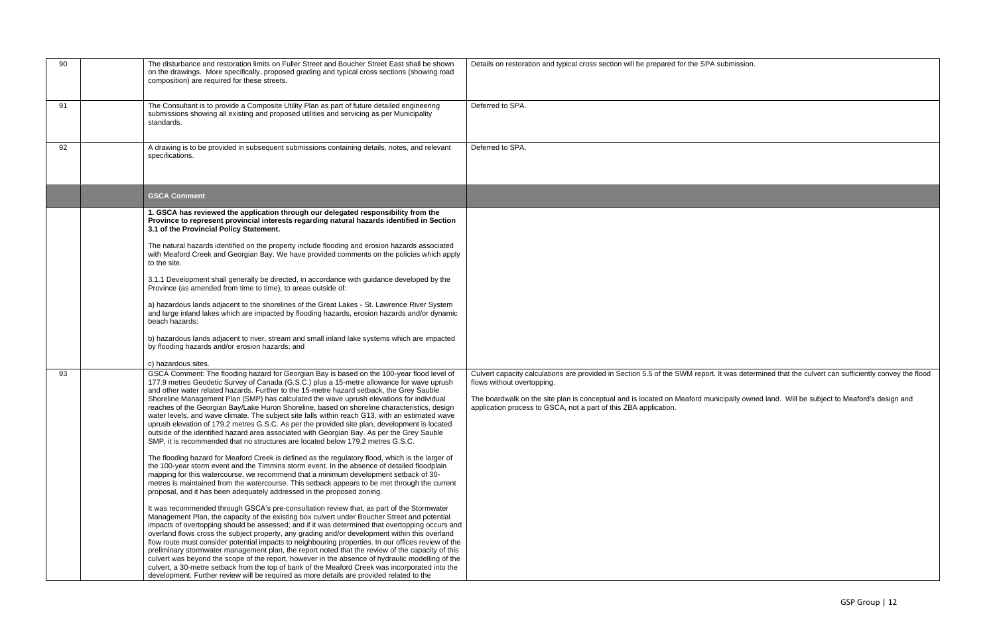| 90 | The disturbance and restoration limits on Fuller Street and Boucher Street East shall be shown<br>on the drawings. More specifically, proposed grading and typical cross sections (showing road<br>composition) are required for these streets. | Details on restoration and typical cross section will be prepared for the SPA submission.                                                                                       |
|----|-------------------------------------------------------------------------------------------------------------------------------------------------------------------------------------------------------------------------------------------------|---------------------------------------------------------------------------------------------------------------------------------------------------------------------------------|
| 91 | The Consultant is to provide a Composite Utility Plan as part of future detailed engineering<br>submissions showing all existing and proposed utilities and servicing as per Municipality<br>standards.                                         | Deferred to SPA.                                                                                                                                                                |
| 92 | A drawing is to be provided in subsequent submissions containing details, notes, and relevant<br>specifications.                                                                                                                                | Deferred to SPA.                                                                                                                                                                |
|    | <b>GSCA Comment</b>                                                                                                                                                                                                                             |                                                                                                                                                                                 |
|    | 1. GSCA has reviewed the application through our delegated responsibility from the<br>Province to represent provincial interests regarding natural hazards identified in Section<br>3.1 of the Provincial Policy Statement.                     |                                                                                                                                                                                 |
|    | The natural hazards identified on the property include flooding and erosion hazards associated<br>with Meaford Creek and Georgian Bay. We have provided comments on the policies which apply<br>to the site.                                    |                                                                                                                                                                                 |
|    | 3.1.1 Development shall generally be directed, in accordance with guidance developed by the<br>Province (as amended from time to time), to areas outside of:                                                                                    |                                                                                                                                                                                 |
|    | a) hazardous lands adjacent to the shorelines of the Great Lakes - St. Lawrence River System<br>and large inland lakes which are impacted by flooding hazards, erosion hazards and/or dynamic<br>beach hazards;                                 |                                                                                                                                                                                 |
|    | b) hazardous lands adjacent to river, stream and small inland lake systems which are impacted<br>by flooding hazards and/or erosion hazards; and                                                                                                |                                                                                                                                                                                 |
|    | c) hazardous sites.                                                                                                                                                                                                                             |                                                                                                                                                                                 |
| 93 | GSCA Comment: The flooding hazard for Georgian Bay is based on the 100-year flood level of<br>177.9 metres Geodetic Survey of Canada (G.S.C.) plus a 15-metre allowance for wave uprush                                                         | Culvert capacity calculations are provided in Section 5.5 of the SWM report. It was determined that the culvert can sufficiently convey the flood<br>flows without overtopping. |
|    | and other water related hazards. Further to the 15-metre hazard setback, the Grey Sauble<br>Shoreline Management Plan (SMP) has calculated the wave uprush elevations for individual                                                            | The boardwalk on the site plan is conceptual and is located on Meaford municipally owned land. Will be subject to Meaford's design and                                          |
|    | reaches of the Georgian Bay/Lake Huron Shoreline, based on shoreline characteristics, design                                                                                                                                                    | application process to GSCA, not a part of this ZBA application.                                                                                                                |
|    | water levels, and wave climate. The subject site falls within reach G13, with an estimated wave<br>uprush elevation of 179.2 metres G.S.C. As per the provided site plan, development is located                                                |                                                                                                                                                                                 |
|    | outside of the identified hazard area associated with Georgian Bay. As per the Grey Sauble                                                                                                                                                      |                                                                                                                                                                                 |
|    | SMP, it is recommended that no structures are located below 179.2 metres G.S.C.                                                                                                                                                                 |                                                                                                                                                                                 |
|    | The flooding hazard for Meaford Creek is defined as the regulatory flood, which is the larger of<br>the 100-year storm event and the Timmins storm event. In the absence of detailed floodplain                                                 |                                                                                                                                                                                 |
|    | mapping for this watercourse, we recommend that a minimum development setback of 30-                                                                                                                                                            |                                                                                                                                                                                 |
|    | metres is maintained from the watercourse. This setback appears to be met through the current<br>proposal, and it has been adequately addressed in the proposed zoning.                                                                         |                                                                                                                                                                                 |
|    |                                                                                                                                                                                                                                                 |                                                                                                                                                                                 |
|    | It was recommended through GSCA's pre-consultation review that, as part of the Stormwater<br>Management Plan, the capacity of the existing box culvert under Boucher Street and potential                                                       |                                                                                                                                                                                 |
|    | impacts of overtopping should be assessed; and if it was determined that overtopping occurs and                                                                                                                                                 |                                                                                                                                                                                 |
|    | overland flows cross the subject property, any grading and/or development within this overland<br>flow route must consider potential impacts to neighbouring properties. In our offices review of the                                           |                                                                                                                                                                                 |
|    | preliminary stormwater management plan, the report noted that the review of the capacity of this                                                                                                                                                |                                                                                                                                                                                 |
|    | culvert was beyond the scope of the report, however in the absence of hydraulic modelling of the<br>culvert, a 30-metre setback from the top of bank of the Meaford Creek was incorporated into the                                             |                                                                                                                                                                                 |
|    | development. Further review will be required as more details are provided related to the                                                                                                                                                        |                                                                                                                                                                                 |

| mission.                                                          |
|-------------------------------------------------------------------|
|                                                                   |
|                                                                   |
|                                                                   |
|                                                                   |
|                                                                   |
|                                                                   |
|                                                                   |
|                                                                   |
|                                                                   |
|                                                                   |
|                                                                   |
|                                                                   |
|                                                                   |
|                                                                   |
|                                                                   |
|                                                                   |
|                                                                   |
|                                                                   |
|                                                                   |
|                                                                   |
|                                                                   |
|                                                                   |
|                                                                   |
|                                                                   |
|                                                                   |
|                                                                   |
|                                                                   |
|                                                                   |
|                                                                   |
|                                                                   |
|                                                                   |
|                                                                   |
|                                                                   |
|                                                                   |
|                                                                   |
|                                                                   |
|                                                                   |
| vas determined that the culvert can sufficiently convey the flood |
|                                                                   |
|                                                                   |
| ally owned land. Will be subject to Meaford's design and          |
|                                                                   |
|                                                                   |
|                                                                   |
|                                                                   |
|                                                                   |
|                                                                   |
|                                                                   |
|                                                                   |
|                                                                   |
|                                                                   |
|                                                                   |
|                                                                   |
|                                                                   |
|                                                                   |
|                                                                   |
|                                                                   |
|                                                                   |
|                                                                   |
|                                                                   |
|                                                                   |
|                                                                   |
|                                                                   |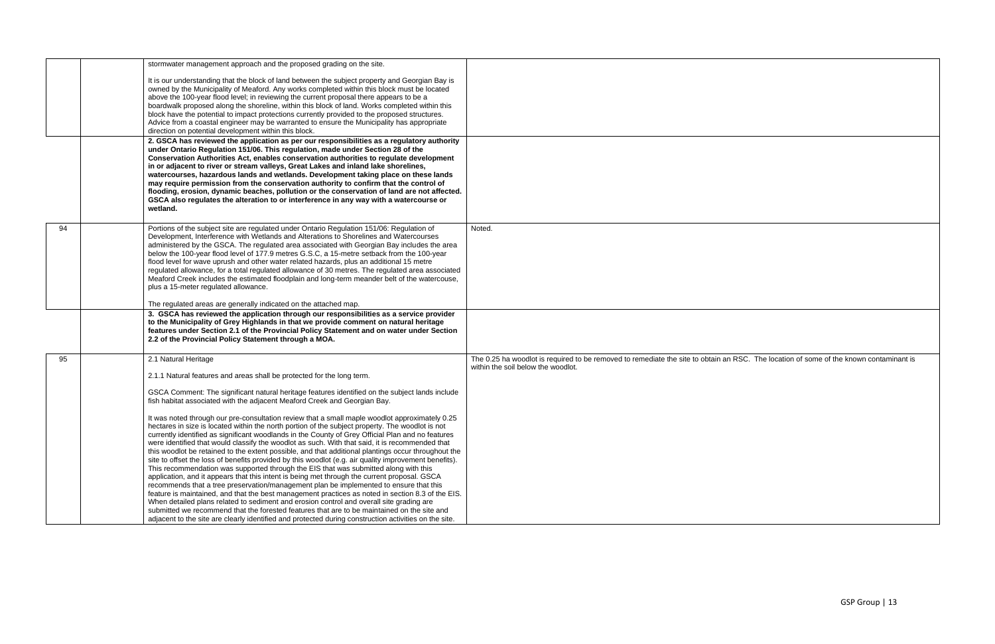| stormwater management approach and the proposed grading on the site.<br>It is our understanding that the block of land between the subject property and Georgian Bay is<br>owned by the Municipality of Meaford. Any works completed within this block must be located<br>above the 100-year flood level; in reviewing the current proposal there appears to be a<br>boardwalk proposed along the shoreline, within this block of land. Works completed within this<br>block have the potential to impact protections currently provided to the proposed structures.<br>Advice from a coastal engineer may be warranted to ensure the Municipality has appropriate<br>direction on potential development within this block.<br>2. GSCA has reviewed the application as per our responsibilities as a regulatory authority<br>under Ontario Regulation 151/06. This regulation, made under Section 28 of the<br>Conservation Authorities Act, enables conservation authorities to regulate development<br>in or adjacent to river or stream valleys, Great Lakes and inland lake shorelines,<br>watercourses, hazardous lands and wetlands. Development taking place on these lands<br>may require permission from the conservation authority to confirm that the control of<br>flooding, erosion, dynamic beaches, pollution or the conservation of land are not affected.<br>GSCA also regulates the alteration to or interference in any way with a watercourse or<br>wetland.<br>94<br>Portions of the subject site are regulated under Ontario Regulation 151/06: Regulation of<br>Noted.<br>Development, Interference with Wetlands and Alterations to Shorelines and Watercourses<br>administered by the GSCA. The regulated area associated with Georgian Bay includes the area<br>below the 100-year flood level of 177.9 metres G.S.C, a 15-metre setback from the 100-year<br>flood level for wave uprush and other water related hazards, plus an additional 15 metre<br>regulated allowance, for a total regulated allowance of 30 metres. The regulated area associated<br>Meaford Creek includes the estimated floodplain and long-term meander belt of the watercouse,<br>plus a 15-meter regulated allowance.<br>The regulated areas are generally indicated on the attached map.<br>3. GSCA has reviewed the application through our responsibilities as a service provider<br>to the Municipality of Grey Highlands in that we provide comment on natural heritage<br>features under Section 2.1 of the Provincial Policy Statement and on water under Section<br>2.2 of the Provincial Policy Statement through a MOA.<br>2.1 Natural Heritage<br>95<br>within the soil below the woodlot.<br>2.1.1 Natural features and areas shall be protected for the long term.<br>GSCA Comment: The significant natural heritage features identified on the subject lands include<br>fish habitat associated with the adjacent Meaford Creek and Georgian Bay.<br>It was noted through our pre-consultation review that a small maple woodlot approximately 0.25<br>hectares in size is located within the north portion of the subject property. The woodlot is not<br>currently identified as significant woodlands in the County of Grey Official Plan and no features<br>were identified that would classify the woodlot as such. With that said, it is recommended that<br>this woodlot be retained to the extent possible, and that additional plantings occur throughout the<br>site to offset the loss of benefits provided by this woodlot (e.g. air quality improvement benefits).<br>This recommendation was supported through the EIS that was submitted along with this<br>application, and it appears that this intent is being met through the current proposal. GSCA<br>recommends that a tree preservation/management plan be implemented to ensure that this<br>feature is maintained, and that the best management practices as noted in section 8.3 of the EIS.<br>When detailed plans related to sediment and erosion control and overall site grading are<br>submitted we recommend that the forested features that are to be maintained on the site and<br>adjacent to the site are clearly identified and protected during construction activities on the site. |  |                                                                                                                                        |
|--------------------------------------------------------------------------------------------------------------------------------------------------------------------------------------------------------------------------------------------------------------------------------------------------------------------------------------------------------------------------------------------------------------------------------------------------------------------------------------------------------------------------------------------------------------------------------------------------------------------------------------------------------------------------------------------------------------------------------------------------------------------------------------------------------------------------------------------------------------------------------------------------------------------------------------------------------------------------------------------------------------------------------------------------------------------------------------------------------------------------------------------------------------------------------------------------------------------------------------------------------------------------------------------------------------------------------------------------------------------------------------------------------------------------------------------------------------------------------------------------------------------------------------------------------------------------------------------------------------------------------------------------------------------------------------------------------------------------------------------------------------------------------------------------------------------------------------------------------------------------------------------------------------------------------------------------------------------------------------------------------------------------------------------------------------------------------------------------------------------------------------------------------------------------------------------------------------------------------------------------------------------------------------------------------------------------------------------------------------------------------------------------------------------------------------------------------------------------------------------------------------------------------------------------------------------------------------------------------------------------------------------------------------------------------------------------------------------------------------------------------------------------------------------------------------------------------------------------------------------------------------------------------------------------------------------------------------------------------------------------------------------------------------------------------------------------------------------------------------------------------------------------------------------------------------------------------------------------------------------------------------------------------------------------------------------------------------------------------------------------------------------------------------------------------------------------------------------------------------------------------------------------------------------------------------------------------------------------------------------------------------------------------------------------------------------------------------------------------------------------------------------------------------------------------------------------------------------------------------------------------------------------------------------------------------------------------------------------------------------------------------------------------------------------------------------------------------------------------------------------------------------------------------------------------------------------------------------------------------------------------------------------------------------------|--|----------------------------------------------------------------------------------------------------------------------------------------|
|                                                                                                                                                                                                                                                                                                                                                                                                                                                                                                                                                                                                                                                                                                                                                                                                                                                                                                                                                                                                                                                                                                                                                                                                                                                                                                                                                                                                                                                                                                                                                                                                                                                                                                                                                                                                                                                                                                                                                                                                                                                                                                                                                                                                                                                                                                                                                                                                                                                                                                                                                                                                                                                                                                                                                                                                                                                                                                                                                                                                                                                                                                                                                                                                                                                                                                                                                                                                                                                                                                                                                                                                                                                                                                                                                                                                                                                                                                                                                                                                                                                                                                                                                                                                                                                                                                  |  |                                                                                                                                        |
|                                                                                                                                                                                                                                                                                                                                                                                                                                                                                                                                                                                                                                                                                                                                                                                                                                                                                                                                                                                                                                                                                                                                                                                                                                                                                                                                                                                                                                                                                                                                                                                                                                                                                                                                                                                                                                                                                                                                                                                                                                                                                                                                                                                                                                                                                                                                                                                                                                                                                                                                                                                                                                                                                                                                                                                                                                                                                                                                                                                                                                                                                                                                                                                                                                                                                                                                                                                                                                                                                                                                                                                                                                                                                                                                                                                                                                                                                                                                                                                                                                                                                                                                                                                                                                                                                                  |  |                                                                                                                                        |
|                                                                                                                                                                                                                                                                                                                                                                                                                                                                                                                                                                                                                                                                                                                                                                                                                                                                                                                                                                                                                                                                                                                                                                                                                                                                                                                                                                                                                                                                                                                                                                                                                                                                                                                                                                                                                                                                                                                                                                                                                                                                                                                                                                                                                                                                                                                                                                                                                                                                                                                                                                                                                                                                                                                                                                                                                                                                                                                                                                                                                                                                                                                                                                                                                                                                                                                                                                                                                                                                                                                                                                                                                                                                                                                                                                                                                                                                                                                                                                                                                                                                                                                                                                                                                                                                                                  |  |                                                                                                                                        |
|                                                                                                                                                                                                                                                                                                                                                                                                                                                                                                                                                                                                                                                                                                                                                                                                                                                                                                                                                                                                                                                                                                                                                                                                                                                                                                                                                                                                                                                                                                                                                                                                                                                                                                                                                                                                                                                                                                                                                                                                                                                                                                                                                                                                                                                                                                                                                                                                                                                                                                                                                                                                                                                                                                                                                                                                                                                                                                                                                                                                                                                                                                                                                                                                                                                                                                                                                                                                                                                                                                                                                                                                                                                                                                                                                                                                                                                                                                                                                                                                                                                                                                                                                                                                                                                                                                  |  |                                                                                                                                        |
|                                                                                                                                                                                                                                                                                                                                                                                                                                                                                                                                                                                                                                                                                                                                                                                                                                                                                                                                                                                                                                                                                                                                                                                                                                                                                                                                                                                                                                                                                                                                                                                                                                                                                                                                                                                                                                                                                                                                                                                                                                                                                                                                                                                                                                                                                                                                                                                                                                                                                                                                                                                                                                                                                                                                                                                                                                                                                                                                                                                                                                                                                                                                                                                                                                                                                                                                                                                                                                                                                                                                                                                                                                                                                                                                                                                                                                                                                                                                                                                                                                                                                                                                                                                                                                                                                                  |  |                                                                                                                                        |
|                                                                                                                                                                                                                                                                                                                                                                                                                                                                                                                                                                                                                                                                                                                                                                                                                                                                                                                                                                                                                                                                                                                                                                                                                                                                                                                                                                                                                                                                                                                                                                                                                                                                                                                                                                                                                                                                                                                                                                                                                                                                                                                                                                                                                                                                                                                                                                                                                                                                                                                                                                                                                                                                                                                                                                                                                                                                                                                                                                                                                                                                                                                                                                                                                                                                                                                                                                                                                                                                                                                                                                                                                                                                                                                                                                                                                                                                                                                                                                                                                                                                                                                                                                                                                                                                                                  |  |                                                                                                                                        |
|                                                                                                                                                                                                                                                                                                                                                                                                                                                                                                                                                                                                                                                                                                                                                                                                                                                                                                                                                                                                                                                                                                                                                                                                                                                                                                                                                                                                                                                                                                                                                                                                                                                                                                                                                                                                                                                                                                                                                                                                                                                                                                                                                                                                                                                                                                                                                                                                                                                                                                                                                                                                                                                                                                                                                                                                                                                                                                                                                                                                                                                                                                                                                                                                                                                                                                                                                                                                                                                                                                                                                                                                                                                                                                                                                                                                                                                                                                                                                                                                                                                                                                                                                                                                                                                                                                  |  |                                                                                                                                        |
|                                                                                                                                                                                                                                                                                                                                                                                                                                                                                                                                                                                                                                                                                                                                                                                                                                                                                                                                                                                                                                                                                                                                                                                                                                                                                                                                                                                                                                                                                                                                                                                                                                                                                                                                                                                                                                                                                                                                                                                                                                                                                                                                                                                                                                                                                                                                                                                                                                                                                                                                                                                                                                                                                                                                                                                                                                                                                                                                                                                                                                                                                                                                                                                                                                                                                                                                                                                                                                                                                                                                                                                                                                                                                                                                                                                                                                                                                                                                                                                                                                                                                                                                                                                                                                                                                                  |  |                                                                                                                                        |
|                                                                                                                                                                                                                                                                                                                                                                                                                                                                                                                                                                                                                                                                                                                                                                                                                                                                                                                                                                                                                                                                                                                                                                                                                                                                                                                                                                                                                                                                                                                                                                                                                                                                                                                                                                                                                                                                                                                                                                                                                                                                                                                                                                                                                                                                                                                                                                                                                                                                                                                                                                                                                                                                                                                                                                                                                                                                                                                                                                                                                                                                                                                                                                                                                                                                                                                                                                                                                                                                                                                                                                                                                                                                                                                                                                                                                                                                                                                                                                                                                                                                                                                                                                                                                                                                                                  |  |                                                                                                                                        |
|                                                                                                                                                                                                                                                                                                                                                                                                                                                                                                                                                                                                                                                                                                                                                                                                                                                                                                                                                                                                                                                                                                                                                                                                                                                                                                                                                                                                                                                                                                                                                                                                                                                                                                                                                                                                                                                                                                                                                                                                                                                                                                                                                                                                                                                                                                                                                                                                                                                                                                                                                                                                                                                                                                                                                                                                                                                                                                                                                                                                                                                                                                                                                                                                                                                                                                                                                                                                                                                                                                                                                                                                                                                                                                                                                                                                                                                                                                                                                                                                                                                                                                                                                                                                                                                                                                  |  |                                                                                                                                        |
|                                                                                                                                                                                                                                                                                                                                                                                                                                                                                                                                                                                                                                                                                                                                                                                                                                                                                                                                                                                                                                                                                                                                                                                                                                                                                                                                                                                                                                                                                                                                                                                                                                                                                                                                                                                                                                                                                                                                                                                                                                                                                                                                                                                                                                                                                                                                                                                                                                                                                                                                                                                                                                                                                                                                                                                                                                                                                                                                                                                                                                                                                                                                                                                                                                                                                                                                                                                                                                                                                                                                                                                                                                                                                                                                                                                                                                                                                                                                                                                                                                                                                                                                                                                                                                                                                                  |  |                                                                                                                                        |
|                                                                                                                                                                                                                                                                                                                                                                                                                                                                                                                                                                                                                                                                                                                                                                                                                                                                                                                                                                                                                                                                                                                                                                                                                                                                                                                                                                                                                                                                                                                                                                                                                                                                                                                                                                                                                                                                                                                                                                                                                                                                                                                                                                                                                                                                                                                                                                                                                                                                                                                                                                                                                                                                                                                                                                                                                                                                                                                                                                                                                                                                                                                                                                                                                                                                                                                                                                                                                                                                                                                                                                                                                                                                                                                                                                                                                                                                                                                                                                                                                                                                                                                                                                                                                                                                                                  |  |                                                                                                                                        |
|                                                                                                                                                                                                                                                                                                                                                                                                                                                                                                                                                                                                                                                                                                                                                                                                                                                                                                                                                                                                                                                                                                                                                                                                                                                                                                                                                                                                                                                                                                                                                                                                                                                                                                                                                                                                                                                                                                                                                                                                                                                                                                                                                                                                                                                                                                                                                                                                                                                                                                                                                                                                                                                                                                                                                                                                                                                                                                                                                                                                                                                                                                                                                                                                                                                                                                                                                                                                                                                                                                                                                                                                                                                                                                                                                                                                                                                                                                                                                                                                                                                                                                                                                                                                                                                                                                  |  |                                                                                                                                        |
|                                                                                                                                                                                                                                                                                                                                                                                                                                                                                                                                                                                                                                                                                                                                                                                                                                                                                                                                                                                                                                                                                                                                                                                                                                                                                                                                                                                                                                                                                                                                                                                                                                                                                                                                                                                                                                                                                                                                                                                                                                                                                                                                                                                                                                                                                                                                                                                                                                                                                                                                                                                                                                                                                                                                                                                                                                                                                                                                                                                                                                                                                                                                                                                                                                                                                                                                                                                                                                                                                                                                                                                                                                                                                                                                                                                                                                                                                                                                                                                                                                                                                                                                                                                                                                                                                                  |  |                                                                                                                                        |
|                                                                                                                                                                                                                                                                                                                                                                                                                                                                                                                                                                                                                                                                                                                                                                                                                                                                                                                                                                                                                                                                                                                                                                                                                                                                                                                                                                                                                                                                                                                                                                                                                                                                                                                                                                                                                                                                                                                                                                                                                                                                                                                                                                                                                                                                                                                                                                                                                                                                                                                                                                                                                                                                                                                                                                                                                                                                                                                                                                                                                                                                                                                                                                                                                                                                                                                                                                                                                                                                                                                                                                                                                                                                                                                                                                                                                                                                                                                                                                                                                                                                                                                                                                                                                                                                                                  |  |                                                                                                                                        |
|                                                                                                                                                                                                                                                                                                                                                                                                                                                                                                                                                                                                                                                                                                                                                                                                                                                                                                                                                                                                                                                                                                                                                                                                                                                                                                                                                                                                                                                                                                                                                                                                                                                                                                                                                                                                                                                                                                                                                                                                                                                                                                                                                                                                                                                                                                                                                                                                                                                                                                                                                                                                                                                                                                                                                                                                                                                                                                                                                                                                                                                                                                                                                                                                                                                                                                                                                                                                                                                                                                                                                                                                                                                                                                                                                                                                                                                                                                                                                                                                                                                                                                                                                                                                                                                                                                  |  |                                                                                                                                        |
|                                                                                                                                                                                                                                                                                                                                                                                                                                                                                                                                                                                                                                                                                                                                                                                                                                                                                                                                                                                                                                                                                                                                                                                                                                                                                                                                                                                                                                                                                                                                                                                                                                                                                                                                                                                                                                                                                                                                                                                                                                                                                                                                                                                                                                                                                                                                                                                                                                                                                                                                                                                                                                                                                                                                                                                                                                                                                                                                                                                                                                                                                                                                                                                                                                                                                                                                                                                                                                                                                                                                                                                                                                                                                                                                                                                                                                                                                                                                                                                                                                                                                                                                                                                                                                                                                                  |  |                                                                                                                                        |
|                                                                                                                                                                                                                                                                                                                                                                                                                                                                                                                                                                                                                                                                                                                                                                                                                                                                                                                                                                                                                                                                                                                                                                                                                                                                                                                                                                                                                                                                                                                                                                                                                                                                                                                                                                                                                                                                                                                                                                                                                                                                                                                                                                                                                                                                                                                                                                                                                                                                                                                                                                                                                                                                                                                                                                                                                                                                                                                                                                                                                                                                                                                                                                                                                                                                                                                                                                                                                                                                                                                                                                                                                                                                                                                                                                                                                                                                                                                                                                                                                                                                                                                                                                                                                                                                                                  |  |                                                                                                                                        |
|                                                                                                                                                                                                                                                                                                                                                                                                                                                                                                                                                                                                                                                                                                                                                                                                                                                                                                                                                                                                                                                                                                                                                                                                                                                                                                                                                                                                                                                                                                                                                                                                                                                                                                                                                                                                                                                                                                                                                                                                                                                                                                                                                                                                                                                                                                                                                                                                                                                                                                                                                                                                                                                                                                                                                                                                                                                                                                                                                                                                                                                                                                                                                                                                                                                                                                                                                                                                                                                                                                                                                                                                                                                                                                                                                                                                                                                                                                                                                                                                                                                                                                                                                                                                                                                                                                  |  |                                                                                                                                        |
|                                                                                                                                                                                                                                                                                                                                                                                                                                                                                                                                                                                                                                                                                                                                                                                                                                                                                                                                                                                                                                                                                                                                                                                                                                                                                                                                                                                                                                                                                                                                                                                                                                                                                                                                                                                                                                                                                                                                                                                                                                                                                                                                                                                                                                                                                                                                                                                                                                                                                                                                                                                                                                                                                                                                                                                                                                                                                                                                                                                                                                                                                                                                                                                                                                                                                                                                                                                                                                                                                                                                                                                                                                                                                                                                                                                                                                                                                                                                                                                                                                                                                                                                                                                                                                                                                                  |  |                                                                                                                                        |
|                                                                                                                                                                                                                                                                                                                                                                                                                                                                                                                                                                                                                                                                                                                                                                                                                                                                                                                                                                                                                                                                                                                                                                                                                                                                                                                                                                                                                                                                                                                                                                                                                                                                                                                                                                                                                                                                                                                                                                                                                                                                                                                                                                                                                                                                                                                                                                                                                                                                                                                                                                                                                                                                                                                                                                                                                                                                                                                                                                                                                                                                                                                                                                                                                                                                                                                                                                                                                                                                                                                                                                                                                                                                                                                                                                                                                                                                                                                                                                                                                                                                                                                                                                                                                                                                                                  |  |                                                                                                                                        |
|                                                                                                                                                                                                                                                                                                                                                                                                                                                                                                                                                                                                                                                                                                                                                                                                                                                                                                                                                                                                                                                                                                                                                                                                                                                                                                                                                                                                                                                                                                                                                                                                                                                                                                                                                                                                                                                                                                                                                                                                                                                                                                                                                                                                                                                                                                                                                                                                                                                                                                                                                                                                                                                                                                                                                                                                                                                                                                                                                                                                                                                                                                                                                                                                                                                                                                                                                                                                                                                                                                                                                                                                                                                                                                                                                                                                                                                                                                                                                                                                                                                                                                                                                                                                                                                                                                  |  |                                                                                                                                        |
|                                                                                                                                                                                                                                                                                                                                                                                                                                                                                                                                                                                                                                                                                                                                                                                                                                                                                                                                                                                                                                                                                                                                                                                                                                                                                                                                                                                                                                                                                                                                                                                                                                                                                                                                                                                                                                                                                                                                                                                                                                                                                                                                                                                                                                                                                                                                                                                                                                                                                                                                                                                                                                                                                                                                                                                                                                                                                                                                                                                                                                                                                                                                                                                                                                                                                                                                                                                                                                                                                                                                                                                                                                                                                                                                                                                                                                                                                                                                                                                                                                                                                                                                                                                                                                                                                                  |  |                                                                                                                                        |
|                                                                                                                                                                                                                                                                                                                                                                                                                                                                                                                                                                                                                                                                                                                                                                                                                                                                                                                                                                                                                                                                                                                                                                                                                                                                                                                                                                                                                                                                                                                                                                                                                                                                                                                                                                                                                                                                                                                                                                                                                                                                                                                                                                                                                                                                                                                                                                                                                                                                                                                                                                                                                                                                                                                                                                                                                                                                                                                                                                                                                                                                                                                                                                                                                                                                                                                                                                                                                                                                                                                                                                                                                                                                                                                                                                                                                                                                                                                                                                                                                                                                                                                                                                                                                                                                                                  |  |                                                                                                                                        |
|                                                                                                                                                                                                                                                                                                                                                                                                                                                                                                                                                                                                                                                                                                                                                                                                                                                                                                                                                                                                                                                                                                                                                                                                                                                                                                                                                                                                                                                                                                                                                                                                                                                                                                                                                                                                                                                                                                                                                                                                                                                                                                                                                                                                                                                                                                                                                                                                                                                                                                                                                                                                                                                                                                                                                                                                                                                                                                                                                                                                                                                                                                                                                                                                                                                                                                                                                                                                                                                                                                                                                                                                                                                                                                                                                                                                                                                                                                                                                                                                                                                                                                                                                                                                                                                                                                  |  |                                                                                                                                        |
|                                                                                                                                                                                                                                                                                                                                                                                                                                                                                                                                                                                                                                                                                                                                                                                                                                                                                                                                                                                                                                                                                                                                                                                                                                                                                                                                                                                                                                                                                                                                                                                                                                                                                                                                                                                                                                                                                                                                                                                                                                                                                                                                                                                                                                                                                                                                                                                                                                                                                                                                                                                                                                                                                                                                                                                                                                                                                                                                                                                                                                                                                                                                                                                                                                                                                                                                                                                                                                                                                                                                                                                                                                                                                                                                                                                                                                                                                                                                                                                                                                                                                                                                                                                                                                                                                                  |  |                                                                                                                                        |
|                                                                                                                                                                                                                                                                                                                                                                                                                                                                                                                                                                                                                                                                                                                                                                                                                                                                                                                                                                                                                                                                                                                                                                                                                                                                                                                                                                                                                                                                                                                                                                                                                                                                                                                                                                                                                                                                                                                                                                                                                                                                                                                                                                                                                                                                                                                                                                                                                                                                                                                                                                                                                                                                                                                                                                                                                                                                                                                                                                                                                                                                                                                                                                                                                                                                                                                                                                                                                                                                                                                                                                                                                                                                                                                                                                                                                                                                                                                                                                                                                                                                                                                                                                                                                                                                                                  |  | The 0.25 ha woodlot is required to be removed to remediate the site to obtain an RSC. The location of some of the known contaminant is |
|                                                                                                                                                                                                                                                                                                                                                                                                                                                                                                                                                                                                                                                                                                                                                                                                                                                                                                                                                                                                                                                                                                                                                                                                                                                                                                                                                                                                                                                                                                                                                                                                                                                                                                                                                                                                                                                                                                                                                                                                                                                                                                                                                                                                                                                                                                                                                                                                                                                                                                                                                                                                                                                                                                                                                                                                                                                                                                                                                                                                                                                                                                                                                                                                                                                                                                                                                                                                                                                                                                                                                                                                                                                                                                                                                                                                                                                                                                                                                                                                                                                                                                                                                                                                                                                                                                  |  |                                                                                                                                        |
|                                                                                                                                                                                                                                                                                                                                                                                                                                                                                                                                                                                                                                                                                                                                                                                                                                                                                                                                                                                                                                                                                                                                                                                                                                                                                                                                                                                                                                                                                                                                                                                                                                                                                                                                                                                                                                                                                                                                                                                                                                                                                                                                                                                                                                                                                                                                                                                                                                                                                                                                                                                                                                                                                                                                                                                                                                                                                                                                                                                                                                                                                                                                                                                                                                                                                                                                                                                                                                                                                                                                                                                                                                                                                                                                                                                                                                                                                                                                                                                                                                                                                                                                                                                                                                                                                                  |  |                                                                                                                                        |
|                                                                                                                                                                                                                                                                                                                                                                                                                                                                                                                                                                                                                                                                                                                                                                                                                                                                                                                                                                                                                                                                                                                                                                                                                                                                                                                                                                                                                                                                                                                                                                                                                                                                                                                                                                                                                                                                                                                                                                                                                                                                                                                                                                                                                                                                                                                                                                                                                                                                                                                                                                                                                                                                                                                                                                                                                                                                                                                                                                                                                                                                                                                                                                                                                                                                                                                                                                                                                                                                                                                                                                                                                                                                                                                                                                                                                                                                                                                                                                                                                                                                                                                                                                                                                                                                                                  |  |                                                                                                                                        |
|                                                                                                                                                                                                                                                                                                                                                                                                                                                                                                                                                                                                                                                                                                                                                                                                                                                                                                                                                                                                                                                                                                                                                                                                                                                                                                                                                                                                                                                                                                                                                                                                                                                                                                                                                                                                                                                                                                                                                                                                                                                                                                                                                                                                                                                                                                                                                                                                                                                                                                                                                                                                                                                                                                                                                                                                                                                                                                                                                                                                                                                                                                                                                                                                                                                                                                                                                                                                                                                                                                                                                                                                                                                                                                                                                                                                                                                                                                                                                                                                                                                                                                                                                                                                                                                                                                  |  |                                                                                                                                        |
|                                                                                                                                                                                                                                                                                                                                                                                                                                                                                                                                                                                                                                                                                                                                                                                                                                                                                                                                                                                                                                                                                                                                                                                                                                                                                                                                                                                                                                                                                                                                                                                                                                                                                                                                                                                                                                                                                                                                                                                                                                                                                                                                                                                                                                                                                                                                                                                                                                                                                                                                                                                                                                                                                                                                                                                                                                                                                                                                                                                                                                                                                                                                                                                                                                                                                                                                                                                                                                                                                                                                                                                                                                                                                                                                                                                                                                                                                                                                                                                                                                                                                                                                                                                                                                                                                                  |  |                                                                                                                                        |
|                                                                                                                                                                                                                                                                                                                                                                                                                                                                                                                                                                                                                                                                                                                                                                                                                                                                                                                                                                                                                                                                                                                                                                                                                                                                                                                                                                                                                                                                                                                                                                                                                                                                                                                                                                                                                                                                                                                                                                                                                                                                                                                                                                                                                                                                                                                                                                                                                                                                                                                                                                                                                                                                                                                                                                                                                                                                                                                                                                                                                                                                                                                                                                                                                                                                                                                                                                                                                                                                                                                                                                                                                                                                                                                                                                                                                                                                                                                                                                                                                                                                                                                                                                                                                                                                                                  |  |                                                                                                                                        |
|                                                                                                                                                                                                                                                                                                                                                                                                                                                                                                                                                                                                                                                                                                                                                                                                                                                                                                                                                                                                                                                                                                                                                                                                                                                                                                                                                                                                                                                                                                                                                                                                                                                                                                                                                                                                                                                                                                                                                                                                                                                                                                                                                                                                                                                                                                                                                                                                                                                                                                                                                                                                                                                                                                                                                                                                                                                                                                                                                                                                                                                                                                                                                                                                                                                                                                                                                                                                                                                                                                                                                                                                                                                                                                                                                                                                                                                                                                                                                                                                                                                                                                                                                                                                                                                                                                  |  |                                                                                                                                        |
|                                                                                                                                                                                                                                                                                                                                                                                                                                                                                                                                                                                                                                                                                                                                                                                                                                                                                                                                                                                                                                                                                                                                                                                                                                                                                                                                                                                                                                                                                                                                                                                                                                                                                                                                                                                                                                                                                                                                                                                                                                                                                                                                                                                                                                                                                                                                                                                                                                                                                                                                                                                                                                                                                                                                                                                                                                                                                                                                                                                                                                                                                                                                                                                                                                                                                                                                                                                                                                                                                                                                                                                                                                                                                                                                                                                                                                                                                                                                                                                                                                                                                                                                                                                                                                                                                                  |  |                                                                                                                                        |
|                                                                                                                                                                                                                                                                                                                                                                                                                                                                                                                                                                                                                                                                                                                                                                                                                                                                                                                                                                                                                                                                                                                                                                                                                                                                                                                                                                                                                                                                                                                                                                                                                                                                                                                                                                                                                                                                                                                                                                                                                                                                                                                                                                                                                                                                                                                                                                                                                                                                                                                                                                                                                                                                                                                                                                                                                                                                                                                                                                                                                                                                                                                                                                                                                                                                                                                                                                                                                                                                                                                                                                                                                                                                                                                                                                                                                                                                                                                                                                                                                                                                                                                                                                                                                                                                                                  |  |                                                                                                                                        |
|                                                                                                                                                                                                                                                                                                                                                                                                                                                                                                                                                                                                                                                                                                                                                                                                                                                                                                                                                                                                                                                                                                                                                                                                                                                                                                                                                                                                                                                                                                                                                                                                                                                                                                                                                                                                                                                                                                                                                                                                                                                                                                                                                                                                                                                                                                                                                                                                                                                                                                                                                                                                                                                                                                                                                                                                                                                                                                                                                                                                                                                                                                                                                                                                                                                                                                                                                                                                                                                                                                                                                                                                                                                                                                                                                                                                                                                                                                                                                                                                                                                                                                                                                                                                                                                                                                  |  |                                                                                                                                        |
|                                                                                                                                                                                                                                                                                                                                                                                                                                                                                                                                                                                                                                                                                                                                                                                                                                                                                                                                                                                                                                                                                                                                                                                                                                                                                                                                                                                                                                                                                                                                                                                                                                                                                                                                                                                                                                                                                                                                                                                                                                                                                                                                                                                                                                                                                                                                                                                                                                                                                                                                                                                                                                                                                                                                                                                                                                                                                                                                                                                                                                                                                                                                                                                                                                                                                                                                                                                                                                                                                                                                                                                                                                                                                                                                                                                                                                                                                                                                                                                                                                                                                                                                                                                                                                                                                                  |  |                                                                                                                                        |
|                                                                                                                                                                                                                                                                                                                                                                                                                                                                                                                                                                                                                                                                                                                                                                                                                                                                                                                                                                                                                                                                                                                                                                                                                                                                                                                                                                                                                                                                                                                                                                                                                                                                                                                                                                                                                                                                                                                                                                                                                                                                                                                                                                                                                                                                                                                                                                                                                                                                                                                                                                                                                                                                                                                                                                                                                                                                                                                                                                                                                                                                                                                                                                                                                                                                                                                                                                                                                                                                                                                                                                                                                                                                                                                                                                                                                                                                                                                                                                                                                                                                                                                                                                                                                                                                                                  |  |                                                                                                                                        |
|                                                                                                                                                                                                                                                                                                                                                                                                                                                                                                                                                                                                                                                                                                                                                                                                                                                                                                                                                                                                                                                                                                                                                                                                                                                                                                                                                                                                                                                                                                                                                                                                                                                                                                                                                                                                                                                                                                                                                                                                                                                                                                                                                                                                                                                                                                                                                                                                                                                                                                                                                                                                                                                                                                                                                                                                                                                                                                                                                                                                                                                                                                                                                                                                                                                                                                                                                                                                                                                                                                                                                                                                                                                                                                                                                                                                                                                                                                                                                                                                                                                                                                                                                                                                                                                                                                  |  |                                                                                                                                        |
|                                                                                                                                                                                                                                                                                                                                                                                                                                                                                                                                                                                                                                                                                                                                                                                                                                                                                                                                                                                                                                                                                                                                                                                                                                                                                                                                                                                                                                                                                                                                                                                                                                                                                                                                                                                                                                                                                                                                                                                                                                                                                                                                                                                                                                                                                                                                                                                                                                                                                                                                                                                                                                                                                                                                                                                                                                                                                                                                                                                                                                                                                                                                                                                                                                                                                                                                                                                                                                                                                                                                                                                                                                                                                                                                                                                                                                                                                                                                                                                                                                                                                                                                                                                                                                                                                                  |  |                                                                                                                                        |
|                                                                                                                                                                                                                                                                                                                                                                                                                                                                                                                                                                                                                                                                                                                                                                                                                                                                                                                                                                                                                                                                                                                                                                                                                                                                                                                                                                                                                                                                                                                                                                                                                                                                                                                                                                                                                                                                                                                                                                                                                                                                                                                                                                                                                                                                                                                                                                                                                                                                                                                                                                                                                                                                                                                                                                                                                                                                                                                                                                                                                                                                                                                                                                                                                                                                                                                                                                                                                                                                                                                                                                                                                                                                                                                                                                                                                                                                                                                                                                                                                                                                                                                                                                                                                                                                                                  |  |                                                                                                                                        |

| an RSC. The location of some of the known contaminant is |  |
|----------------------------------------------------------|--|
|                                                          |  |
|                                                          |  |
|                                                          |  |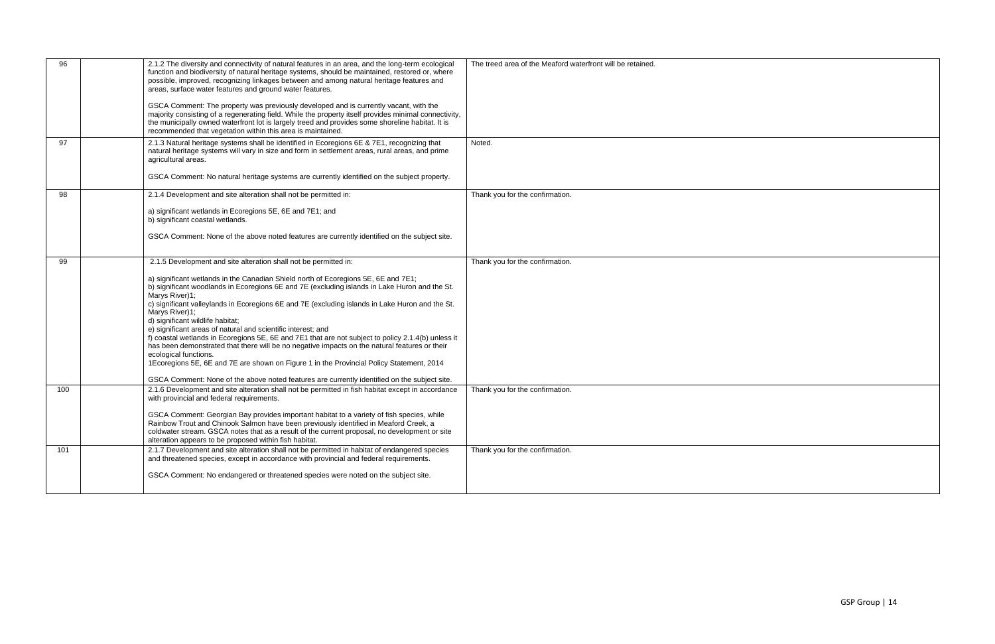| 96  | 2.1.2 The diversity and connectivity of natural features in an area, and the long-term ecological<br>function and biodiversity of natural heritage systems, should be maintained, restored or, where<br>possible, improved, recognizing linkages between and among natural heritage features and<br>areas, surface water features and ground water features.<br>GSCA Comment: The property was previously developed and is currently vacant, with the<br>majority consisting of a regenerating field. While the property itself provides minimal connectivity,<br>the municipally owned waterfront lot is largely treed and provides some shoreline habitat. It is<br>recommended that vegetation within this area is maintained.                                                                                                                                                                                              | The treed area of the Meaford waterfront will be retained. |
|-----|--------------------------------------------------------------------------------------------------------------------------------------------------------------------------------------------------------------------------------------------------------------------------------------------------------------------------------------------------------------------------------------------------------------------------------------------------------------------------------------------------------------------------------------------------------------------------------------------------------------------------------------------------------------------------------------------------------------------------------------------------------------------------------------------------------------------------------------------------------------------------------------------------------------------------------|------------------------------------------------------------|
| 97  | 2.1.3 Natural heritage systems shall be identified in Ecoregions 6E & 7E1, recognizing that<br>natural heritage systems will vary in size and form in settlement areas, rural areas, and prime<br>agricultural areas.<br>GSCA Comment: No natural heritage systems are currently identified on the subject property.                                                                                                                                                                                                                                                                                                                                                                                                                                                                                                                                                                                                           | Noted.                                                     |
| 98  | 2.1.4 Development and site alteration shall not be permitted in:<br>a) significant wetlands in Ecoregions 5E, 6E and 7E1; and<br>b) significant coastal wetlands.<br>GSCA Comment: None of the above noted features are currently identified on the subject site.                                                                                                                                                                                                                                                                                                                                                                                                                                                                                                                                                                                                                                                              | Thank you for the confirmation.                            |
| 99  | 2.1.5 Development and site alteration shall not be permitted in:<br>a) significant wetlands in the Canadian Shield north of Ecoregions 5E, 6E and 7E1;<br>b) significant woodlands in Ecoregions 6E and 7E (excluding islands in Lake Huron and the St.<br>Marys River)1;<br>c) significant valleylands in Ecoregions 6E and 7E (excluding islands in Lake Huron and the St.<br>Marys River)1;<br>d) significant wildlife habitat;<br>e) significant areas of natural and scientific interest; and<br>f) coastal wetlands in Ecoregions 5E, 6E and 7E1 that are not subject to policy 2.1.4(b) unless it<br>has been demonstrated that there will be no negative impacts on the natural features or their<br>ecological functions.<br>1Ecoregions 5E, 6E and 7E are shown on Figure 1 in the Provincial Policy Statement, 2014<br>GSCA Comment: None of the above noted features are currently identified on the subject site. | Thank you for the confirmation.                            |
| 100 | 2.1.6 Development and site alteration shall not be permitted in fish habitat except in accordance<br>with provincial and federal requirements.<br>GSCA Comment: Georgian Bay provides important habitat to a variety of fish species, while<br>Rainbow Trout and Chinook Salmon have been previously identified in Meaford Creek, a<br>coldwater stream. GSCA notes that as a result of the current proposal, no development or site<br>alteration appears to be proposed within fish habitat.                                                                                                                                                                                                                                                                                                                                                                                                                                 | Thank you for the confirmation.                            |
| 101 | 2.1.7 Development and site alteration shall not be permitted in habitat of endangered species<br>and threatened species, except in accordance with provincial and federal requirements.<br>GSCA Comment: No endangered or threatened species were noted on the subject site.                                                                                                                                                                                                                                                                                                                                                                                                                                                                                                                                                                                                                                                   | Thank you for the confirmation.                            |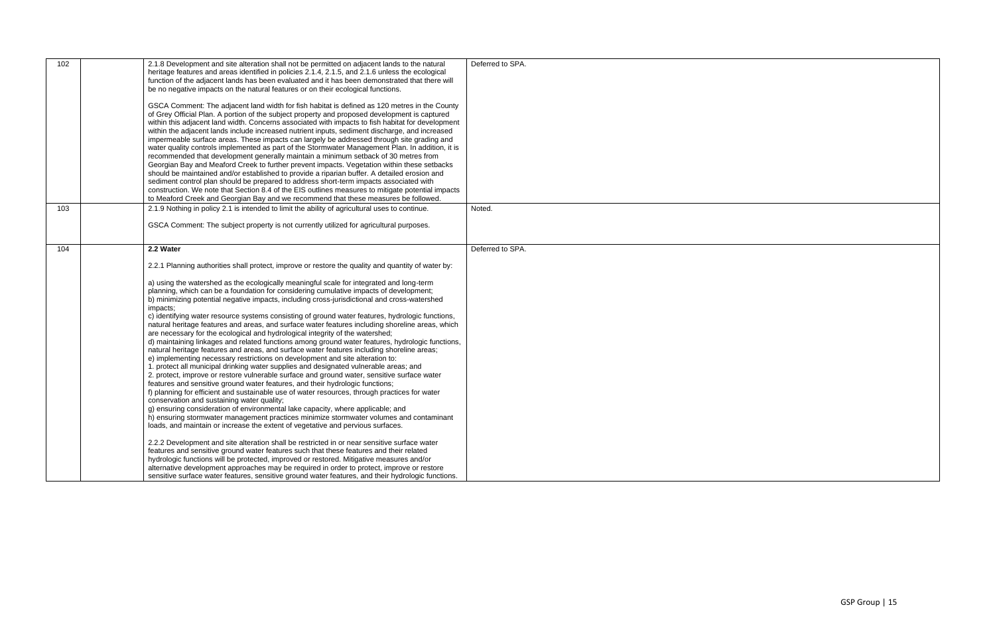| 102 | 2.1.8 Development and site alteration shall not be permitted on adjacent lands to the natural<br>heritage features and areas identified in policies 2.1.4, 2.1.5, and 2.1.6 unless the ecological<br>function of the adjacent lands has been evaluated and it has been demonstrated that there will<br>be no negative impacts on the natural features or on their ecological functions.<br>GSCA Comment: The adjacent land width for fish habitat is defined as 120 metres in the County<br>of Grey Official Plan. A portion of the subject property and proposed development is captured<br>within this adjacent land width. Concerns associated with impacts to fish habitat for development<br>within the adjacent lands include increased nutrient inputs, sediment discharge, and increased<br>impermeable surface areas. These impacts can largely be addressed through site grading and<br>water quality controls implemented as part of the Stormwater Management Plan. In addition, it is<br>recommended that development generally maintain a minimum setback of 30 metres from<br>Georgian Bay and Meaford Creek to further prevent impacts. Vegetation within these setbacks<br>should be maintained and/or established to provide a riparian buffer. A detailed erosion and<br>sediment control plan should be prepared to address short-term impacts associated with<br>construction. We note that Section 8.4 of the EIS outlines measures to mitigate potential impacts<br>to Meaford Creek and Georgian Bay and we recommend that these measures be followed.                                                                                                                                                                                                                                                                                                    | Deferred to SPA. |
|-----|-----------------------------------------------------------------------------------------------------------------------------------------------------------------------------------------------------------------------------------------------------------------------------------------------------------------------------------------------------------------------------------------------------------------------------------------------------------------------------------------------------------------------------------------------------------------------------------------------------------------------------------------------------------------------------------------------------------------------------------------------------------------------------------------------------------------------------------------------------------------------------------------------------------------------------------------------------------------------------------------------------------------------------------------------------------------------------------------------------------------------------------------------------------------------------------------------------------------------------------------------------------------------------------------------------------------------------------------------------------------------------------------------------------------------------------------------------------------------------------------------------------------------------------------------------------------------------------------------------------------------------------------------------------------------------------------------------------------------------------------------------------------------------------------------------------------------------------------------------------------------------------|------------------|
| 103 | 2.1.9 Nothing in policy 2.1 is intended to limit the ability of agricultural uses to continue.<br>GSCA Comment: The subject property is not currently utilized for agricultural purposes.                                                                                                                                                                                                                                                                                                                                                                                                                                                                                                                                                                                                                                                                                                                                                                                                                                                                                                                                                                                                                                                                                                                                                                                                                                                                                                                                                                                                                                                                                                                                                                                                                                                                                         | Noted.           |
| 104 | 2.2 Water<br>2.2.1 Planning authorities shall protect, improve or restore the quality and quantity of water by:<br>a) using the watershed as the ecologically meaningful scale for integrated and long-term<br>planning, which can be a foundation for considering cumulative impacts of development;<br>b) minimizing potential negative impacts, including cross-jurisdictional and cross-watershed<br>impacts;<br>c) identifying water resource systems consisting of ground water features, hydrologic functions,<br>natural heritage features and areas, and surface water features including shoreline areas, which<br>are necessary for the ecological and hydrological integrity of the watershed;<br>d) maintaining linkages and related functions among ground water features, hydrologic functions,<br>natural heritage features and areas, and surface water features including shoreline areas;<br>e) implementing necessary restrictions on development and site alteration to:<br>1. protect all municipal drinking water supplies and designated vulnerable areas; and<br>2. protect, improve or restore vulnerable surface and ground water, sensitive surface water<br>features and sensitive ground water features, and their hydrologic functions;<br>f) planning for efficient and sustainable use of water resources, through practices for water<br>conservation and sustaining water quality;<br>g) ensuring consideration of environmental lake capacity, where applicable; and<br>h) ensuring stormwater management practices minimize stormwater volumes and contaminant<br>loads, and maintain or increase the extent of vegetative and pervious surfaces.<br>2.2.2 Development and site alteration shall be restricted in or near sensitive surface water<br>features and sensitive ground water features such that these features and their related | Deferred to SPA. |
|     | hydrologic functions will be protected, improved or restored. Mitigative measures and/or<br>alternative development approaches may be required in order to protect, improve or restore<br>sensitive surface water features, sensitive ground water features, and their hydrologic functions.                                                                                                                                                                                                                                                                                                                                                                                                                                                                                                                                                                                                                                                                                                                                                                                                                                                                                                                                                                                                                                                                                                                                                                                                                                                                                                                                                                                                                                                                                                                                                                                      |                  |

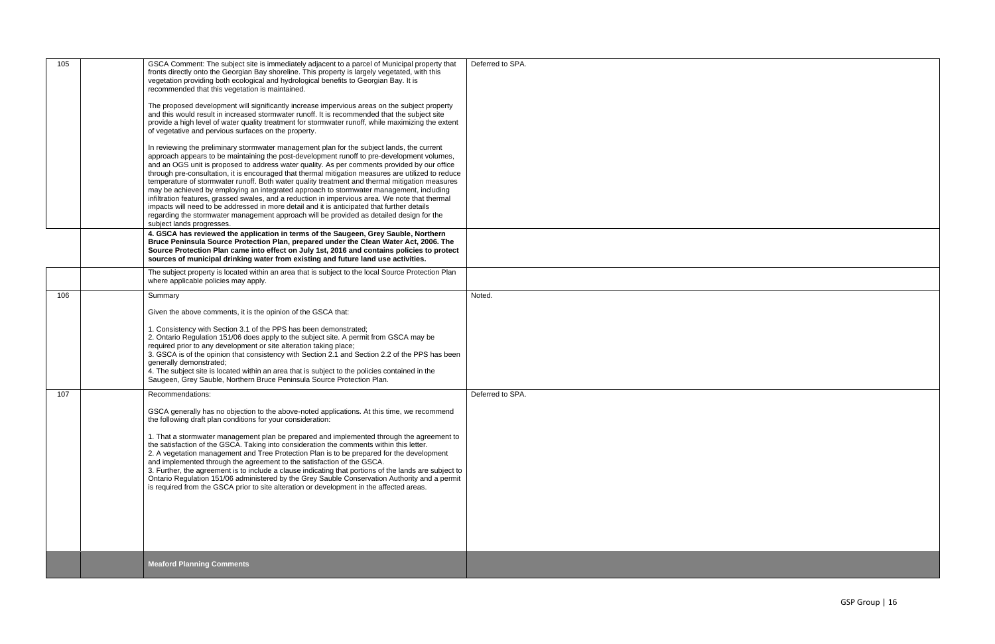| 105 | GSCA Comment: The subject site is immediately adjacent to a parcel of Municipal property that<br>fronts directly onto the Georgian Bay shoreline. This property is largely vegetated, with this<br>vegetation providing both ecological and hydrological benefits to Georgian Bay. It is<br>recommended that this vegetation is maintained.<br>The proposed development will significantly increase impervious areas on the subject property<br>and this would result in increased stormwater runoff. It is recommended that the subject site<br>provide a high level of water quality treatment for stormwater runoff, while maximizing the extent<br>of vegetative and pervious surfaces on the property.<br>In reviewing the preliminary stormwater management plan for the subject lands, the current<br>approach appears to be maintaining the post-development runoff to pre-development volumes,<br>and an OGS unit is proposed to address water quality. As per comments provided by our office<br>through pre-consultation, it is encouraged that thermal mitigation measures are utilized to reduce<br>temperature of stormwater runoff. Both water quality treatment and thermal mitigation measures<br>may be achieved by employing an integrated approach to stormwater management, including<br>infiltration features, grassed swales, and a reduction in impervious area. We note that thermal<br>impacts will need to be addressed in more detail and it is anticipated that further details<br>regarding the stormwater management approach will be provided as detailed design for the<br>subject lands progresses. | Deferred to SPA. |
|-----|---------------------------------------------------------------------------------------------------------------------------------------------------------------------------------------------------------------------------------------------------------------------------------------------------------------------------------------------------------------------------------------------------------------------------------------------------------------------------------------------------------------------------------------------------------------------------------------------------------------------------------------------------------------------------------------------------------------------------------------------------------------------------------------------------------------------------------------------------------------------------------------------------------------------------------------------------------------------------------------------------------------------------------------------------------------------------------------------------------------------------------------------------------------------------------------------------------------------------------------------------------------------------------------------------------------------------------------------------------------------------------------------------------------------------------------------------------------------------------------------------------------------------------------------------------------------------------------------------------------------------------------|------------------|
|     | 4. GSCA has reviewed the application in terms of the Saugeen, Grey Sauble, Northern<br>Bruce Peninsula Source Protection Plan, prepared under the Clean Water Act, 2006. The<br>Source Protection Plan came into effect on July 1st, 2016 and contains policies to protect<br>sources of municipal drinking water from existing and future land use activities.                                                                                                                                                                                                                                                                                                                                                                                                                                                                                                                                                                                                                                                                                                                                                                                                                                                                                                                                                                                                                                                                                                                                                                                                                                                                       |                  |
|     | The subject property is located within an area that is subject to the local Source Protection Plan<br>where applicable policies may apply.                                                                                                                                                                                                                                                                                                                                                                                                                                                                                                                                                                                                                                                                                                                                                                                                                                                                                                                                                                                                                                                                                                                                                                                                                                                                                                                                                                                                                                                                                            |                  |
| 106 | Summary                                                                                                                                                                                                                                                                                                                                                                                                                                                                                                                                                                                                                                                                                                                                                                                                                                                                                                                                                                                                                                                                                                                                                                                                                                                                                                                                                                                                                                                                                                                                                                                                                               | Noted.           |
|     | Given the above comments, it is the opinion of the GSCA that:                                                                                                                                                                                                                                                                                                                                                                                                                                                                                                                                                                                                                                                                                                                                                                                                                                                                                                                                                                                                                                                                                                                                                                                                                                                                                                                                                                                                                                                                                                                                                                         |                  |
|     | 1. Consistency with Section 3.1 of the PPS has been demonstrated;<br>2. Ontario Regulation 151/06 does apply to the subject site. A permit from GSCA may be<br>required prior to any development or site alteration taking place;<br>3. GSCA is of the opinion that consistency with Section 2.1 and Section 2.2 of the PPS has been<br>generally demonstrated;<br>4. The subject site is located within an area that is subject to the policies contained in the<br>Saugeen, Grey Sauble, Northern Bruce Peninsula Source Protection Plan.                                                                                                                                                                                                                                                                                                                                                                                                                                                                                                                                                                                                                                                                                                                                                                                                                                                                                                                                                                                                                                                                                           |                  |
| 107 | Recommendations:                                                                                                                                                                                                                                                                                                                                                                                                                                                                                                                                                                                                                                                                                                                                                                                                                                                                                                                                                                                                                                                                                                                                                                                                                                                                                                                                                                                                                                                                                                                                                                                                                      | Deferred to SPA. |
|     | GSCA generally has no objection to the above-noted applications. At this time, we recommend<br>the following draft plan conditions for your consideration:                                                                                                                                                                                                                                                                                                                                                                                                                                                                                                                                                                                                                                                                                                                                                                                                                                                                                                                                                                                                                                                                                                                                                                                                                                                                                                                                                                                                                                                                            |                  |
|     | 1. That a stormwater management plan be prepared and implemented through the agreement to<br>the satisfaction of the GSCA. Taking into consideration the comments within this letter.<br>2. A vegetation management and Tree Protection Plan is to be prepared for the development<br>and implemented through the agreement to the satisfaction of the GSCA.<br>3. Further, the agreement is to include a clause indicating that portions of the lands are subject to<br>Ontario Regulation 151/06 administered by the Grey Sauble Conservation Authority and a permit<br>is required from the GSCA prior to site alteration or development in the affected areas.                                                                                                                                                                                                                                                                                                                                                                                                                                                                                                                                                                                                                                                                                                                                                                                                                                                                                                                                                                    |                  |
|     | <b>Meaford Planning Comments</b>                                                                                                                                                                                                                                                                                                                                                                                                                                                                                                                                                                                                                                                                                                                                                                                                                                                                                                                                                                                                                                                                                                                                                                                                                                                                                                                                                                                                                                                                                                                                                                                                      |                  |

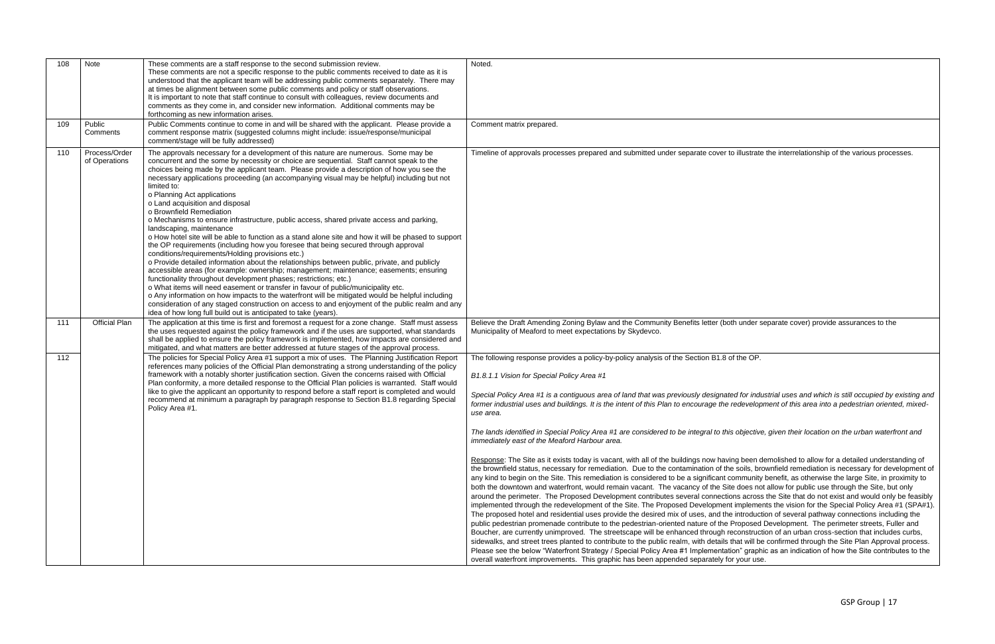*Special Policy Area #1 is a contiguous area of land that was previously designated for industrial uses and which is still occupied by existing and fredevelopment of this area into a pedestrian oriented, mixed-*

| 108 | Note                           | These comments are a staff response to the second submission review.<br>These comments are not a specific response to the public comments received to date as it is<br>understood that the applicant team will be addressing public comments separately. There may<br>at times be alignment between some public comments and policy or staff observations.<br>It is important to note that staff continue to consult with colleagues, review documents and<br>comments as they come in, and consider new information. Additional comments may be<br>forthcoming as new information arises.                                                                                                                                                                                                                                                                                                                                                                                                                                                                                                                                                                                                                                                                                                                                                                                                                                                                                                    | Noted.                                                                                                                                                                                                                                                                                                                                                                                                                                                                                                                                                                                                                                                                                                                                                                                                                                                                                                                                                                                                                                                                                                                                                                                                                                                                                                                                                                                                                                                                                                |
|-----|--------------------------------|-----------------------------------------------------------------------------------------------------------------------------------------------------------------------------------------------------------------------------------------------------------------------------------------------------------------------------------------------------------------------------------------------------------------------------------------------------------------------------------------------------------------------------------------------------------------------------------------------------------------------------------------------------------------------------------------------------------------------------------------------------------------------------------------------------------------------------------------------------------------------------------------------------------------------------------------------------------------------------------------------------------------------------------------------------------------------------------------------------------------------------------------------------------------------------------------------------------------------------------------------------------------------------------------------------------------------------------------------------------------------------------------------------------------------------------------------------------------------------------------------|-------------------------------------------------------------------------------------------------------------------------------------------------------------------------------------------------------------------------------------------------------------------------------------------------------------------------------------------------------------------------------------------------------------------------------------------------------------------------------------------------------------------------------------------------------------------------------------------------------------------------------------------------------------------------------------------------------------------------------------------------------------------------------------------------------------------------------------------------------------------------------------------------------------------------------------------------------------------------------------------------------------------------------------------------------------------------------------------------------------------------------------------------------------------------------------------------------------------------------------------------------------------------------------------------------------------------------------------------------------------------------------------------------------------------------------------------------------------------------------------------------|
| 109 | Public<br>Comments             | Public Comments continue to come in and will be shared with the applicant. Please provide a<br>comment response matrix (suggested columns might include: issue/response/municipal<br>comment/stage will be fully addressed)                                                                                                                                                                                                                                                                                                                                                                                                                                                                                                                                                                                                                                                                                                                                                                                                                                                                                                                                                                                                                                                                                                                                                                                                                                                                   | Comment matrix prepared.                                                                                                                                                                                                                                                                                                                                                                                                                                                                                                                                                                                                                                                                                                                                                                                                                                                                                                                                                                                                                                                                                                                                                                                                                                                                                                                                                                                                                                                                              |
| 110 | Process/Order<br>of Operations | The approvals necessary for a development of this nature are numerous. Some may be<br>concurrent and the some by necessity or choice are sequential. Staff cannot speak to the<br>choices being made by the applicant team. Please provide a description of how you see the<br>necessary applications proceeding (an accompanying visual may be helpful) including but not<br>limited to:<br>o Planning Act applications<br>o Land acquisition and disposal<br>o Brownfield Remediation<br>o Mechanisms to ensure infrastructure, public access, shared private access and parking,<br>landscaping, maintenance<br>o How hotel site will be able to function as a stand alone site and how it will be phased to support<br>the OP requirements (including how you foresee that being secured through approval<br>conditions/requirements/Holding provisions etc.)<br>o Provide detailed information about the relationships between public, private, and publicly<br>accessible areas (for example: ownership; management; maintenance; easements; ensuring<br>functionality throughout development phases; restrictions; etc.)<br>o What items will need easement or transfer in favour of public/municipality etc.<br>o Any information on how impacts to the waterfront will be mitigated would be helpful including<br>consideration of any staged construction on access to and enjoyment of the public realm and any<br>idea of how long full build out is anticipated to take (years). | Timeline of approvals processes prepared and submitted under separate cover t                                                                                                                                                                                                                                                                                                                                                                                                                                                                                                                                                                                                                                                                                                                                                                                                                                                                                                                                                                                                                                                                                                                                                                                                                                                                                                                                                                                                                         |
| 111 | <b>Official Plan</b>           | The application at this time is first and foremost a request for a zone change. Staff must assess<br>the uses requested against the policy framework and if the uses are supported, what standards<br>shall be applied to ensure the policy framework is implemented, how impacts are considered and<br>mitigated, and what matters are better addressed at future stages of the approval process.                                                                                                                                                                                                                                                                                                                                                                                                                                                                                                                                                                                                                                                                                                                                                                                                                                                                                                                                                                                                                                                                                            | Believe the Draft Amending Zoning Bylaw and the Community Benefits letter (bo<br>Municipality of Meaford to meet expectations by Skydevco.                                                                                                                                                                                                                                                                                                                                                                                                                                                                                                                                                                                                                                                                                                                                                                                                                                                                                                                                                                                                                                                                                                                                                                                                                                                                                                                                                            |
| 112 |                                | The policies for Special Policy Area #1 support a mix of uses. The Planning Justification Report<br>references many policies of the Official Plan demonstrating a strong understanding of the policy<br>framework with a notably shorter justification section. Given the concerns raised with Official<br>Plan conformity, a more detailed response to the Official Plan policies is warranted. Staff would<br>like to give the applicant an opportunity to respond before a staff report is completed and would<br>recommend at minimum a paragraph by paragraph response to Section B1.8 regarding Special<br>Policy Area #1.                                                                                                                                                                                                                                                                                                                                                                                                                                                                                                                                                                                                                                                                                                                                                                                                                                                              | The following response provides a policy-by-policy analysis of the Section B1.8 o<br>B1.8.1.1 Vision for Special Policy Area #1<br>Special Policy Area #1 is a contiguous area of land that was previously designat<br>former industrial uses and buildings. It is the intent of this Plan to encourage the<br>use area.<br>The lands identified in Special Policy Area #1 are considered to be integral to thi<br>immediately east of the Meaford Harbour area.<br>Response: The Site as it exists today is vacant, with all of the buildings now havi<br>the brownfield status, necessary for remediation. Due to the contamination of th<br>any kind to begin on the Site. This remediation is considered to be a significant o<br>both the downtown and waterfront, would remain vacant. The vacancy of the Sit<br>around the perimeter. The Proposed Development contributes several connection<br>implemented through the redevelopment of the Site. The Proposed Developmen<br>The proposed hotel and residential uses provide the desired mix of uses, and the<br>public pedestrian promenade contribute to the pedestrian-oriented nature of the<br>Boucher, are currently unimproved. The streetscape will be enhanced through re<br>sidewalks, and street trees planted to contribute to the public realm, with details<br>Please see the below "Waterfront Strategy / Special Policy Area #1 Implementat<br>overall waterfront improvements. This graphic has been appended separately fo |

to illustrate the interrelationship of the various processes.

oth under separate cover) provide assurances to the

of the OP.

*The lands identified in Special Policy Area #1 are considered to be integral to this objective, given their location on the urban waterfront and* 

ing been demolished to allow for a detailed understanding of he soils, brownfield remediation is necessary for development of community benefit, as otherwise the large Site, in proximity to ite does not allow for public use through the Site, but only ions across the Site that do not exist and would only be feasibly nt implements the vision for the Special Policy Area #1 (SPA#1). e introduction of several pathway connections including the Proposed Development. The perimeter streets, Fuller and reconstruction of an urban cross-section that includes curbs, that will be confirmed through the Site Plan Approval process. tion" graphic as an indication of how the Site contributes to the or your use.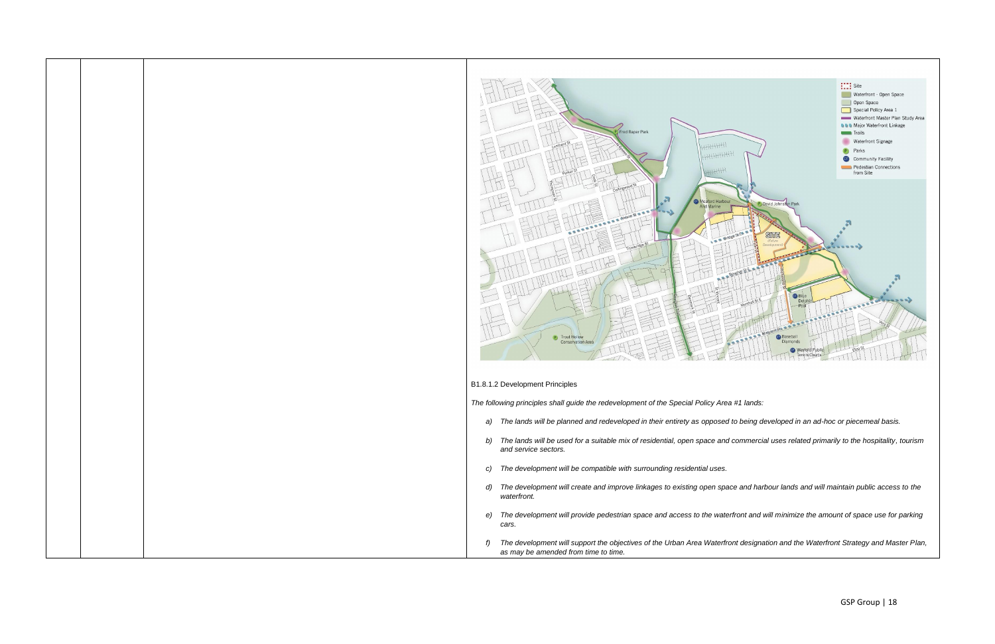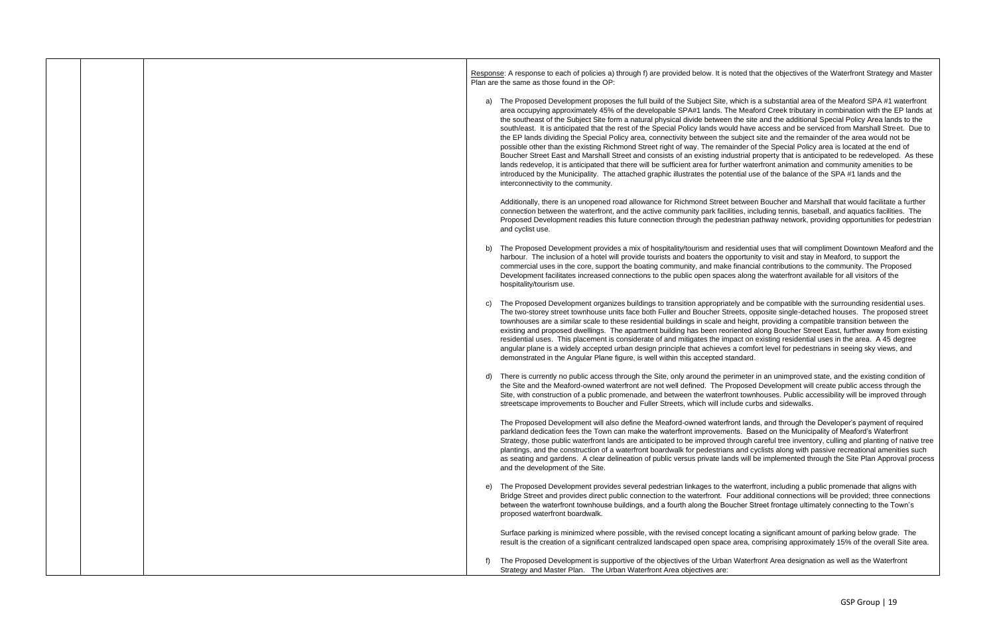Response: A response to each of policies a) through f) are provided below. It is noted that the objectives of the Waterfront Strategy and Master Plan are the same as those found in the OP:

a) The Proposed Development proposes the full build of the Subject Site, which is a substantial area of the Meaford SPA #1 waterfront area occupying approximately 45% of the developable SPA#1 lands. The Meaford Creek tributary in combination with the EP lands at the southeast of the Subject Site form a natural physical divide between the site and the additional Special Policy Area lands to the south/east. It is anticipated that the rest of the Special Policy lands would have access and be serviced from Marshall Street. Due to the EP lands dividing the Special Policy area, connectivity between the subject site and the remainder of the area would not be possible other than the existing Richmond Street right of way. The remainder of the Special Policy area is located at the end of Boucher Street East and Marshall Street and consists of an existing industrial property that is anticipated to be redeveloped. As these lands redevelop, it is anticipated that there will be sufficient area for further waterfront animation and community amenities to be introduced by the Municipality. The attached graphic illustrates the potential use of the balance of the SPA #1 lands and the interconnectivity to the community.

Additionally, there is an unopened road allowance for Richmond Street between Boucher and Marshall that would facilitate a further connection between the waterfront, and the active community park facilities, including tennis, baseball, and aquatics facilities. The Proposed Development readies this future connection through the pedestrian pathway network, providing opportunities for pedestrian and cyclist use.

- b) The Proposed Development provides a mix of hospitality/tourism and residential uses that will compliment Downtown Meaford and the harbour. The inclusion of a hotel will provide tourists and boaters the opportunity to visit and stay in Meaford, to support the commercial uses in the core, support the boating community, and make financial contributions to the community. The Proposed Development facilitates increased connections to the public open spaces along the waterfront available for all visitors of the hospitality/tourism use.
- c) The Proposed Development organizes buildings to transition appropriately and be compatible with the surrounding residential uses. The two-storey street townhouse units face both Fuller and Boucher Streets, opposite single-detached houses. The proposed street townhouses are a similar scale to these residential buildings in scale and height, providing a compatible transition between the existing and proposed dwellings. The apartment building has been reoriented along Boucher Street East, further away from existing residential uses. This placement is considerate of and mitigates the impact on existing residential uses in the area. A 45 degree angular plane is a widely accepted urban design principle that achieves a comfort level for pedestrians in seeing sky views, and demonstrated in the Angular Plane figure, is well within this accepted standard.
- d) There is currently no public access through the Site, only around the perimeter in an unimproved state, and the existing condition of the Site and the Meaford-owned waterfront are not well defined. The Proposed Development will create public access through the Site, with construction of a public promenade, and between the waterfront townhouses. Public accessibility will be improved through streetscape improvements to Boucher and Fuller Streets, which will include curbs and sidewalks.

The Proposed Development will also define the Meaford-owned waterfront lands, and through the Developer's payment of required parkland dedication fees the Town can make the waterfront improvements. Based on the Municipality of Meaford's Waterfront Strategy, those public waterfront lands are anticipated to be improved through careful tree inventory, culling and planting of native tree plantings, and the construction of a waterfront boardwalk for pedestrians and cyclists along with passive recreational amenities such as seating and gardens. A clear delineation of public versus private lands will be implemented through the Site Plan Approval process and the development of the Site.

e) The Proposed Development provides several pedestrian linkages to the waterfront, including a public promenade that aligns with Bridge Street and provides direct public connection to the waterfront. Four additional connections will be provided; three connections between the waterfront townhouse buildings, and a fourth along the Boucher Street frontage ultimately connecting to the Town's proposed waterfront boardwalk.

Surface parking is minimized where possible, with the revised concept locating a significant amount of parking below grade. The result is the creation of a significant centralized landscaped open space area, comprising approximately 15% of the overall Site area.

f) The Proposed Development is supportive of the objectives of the Urban Waterfront Area designation as well as the Waterfront Strategy and Master Plan. The Urban Waterfront Area objectives are: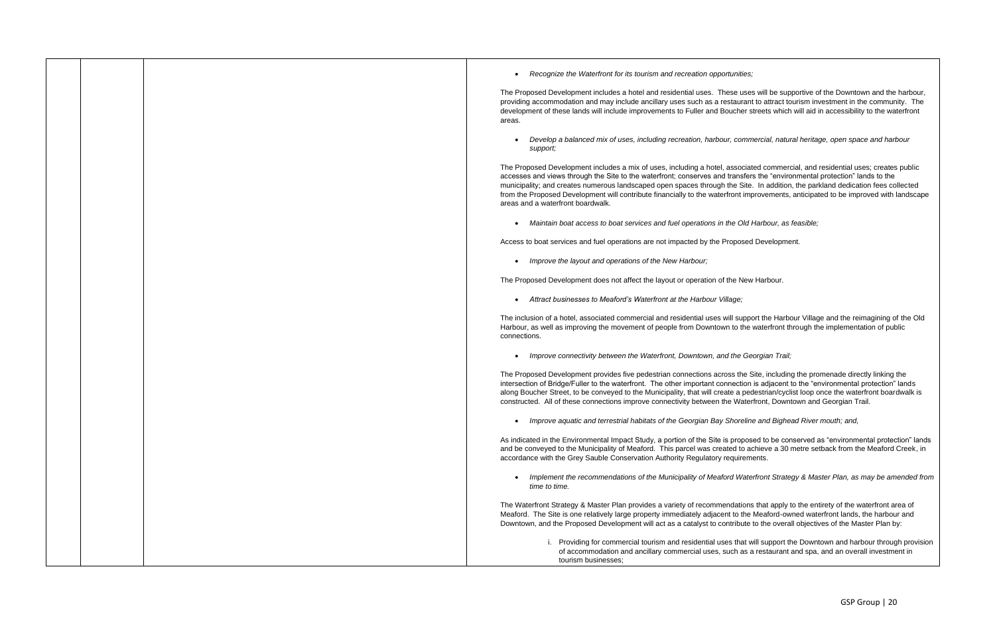• *Recognize the Waterfront for its tourism and recreation opportunities;*

The Proposed Development includes a hotel and residential uses. These uses will be supportive of the Downtown and the harbour, providing accommodation and may include ancillary uses such as a restaurant to attract tourism investment in the community. The development of these lands will include improvements to Fuller and Boucher streets which will aid in accessibility to the waterfront areas.

• *Develop a balanced mix of uses, including recreation, harbour, commercial, natural heritage, open space and harbour support;*

The Proposed Development includes a mix of uses, including a hotel, associated commercial, and residential uses; creates public accesses and views through the Site to the waterfront; conserves and transfers the "environmental protection" lands to the municipality; and creates numerous landscaped open spaces through the Site. In addition, the parkland dedication fees collected from the Proposed Development will contribute financially to the waterfront improvements, anticipated to be improved with landscape areas and a waterfront boardwalk.

• *Maintain boat access to boat services and fuel operations in the Old Harbour, as feasible;*

Access to boat services and fuel operations are not impacted by the Proposed Development.

• *Improve the layout and operations of the New Harbour;*

The Proposed Development does not affect the layout or operation of the New Harbour.

• *Attract businesses to Meaford's Waterfront at the Harbour Village;*

The inclusion of a hotel, associated commercial and residential uses will support the Harbour Village and the reimagining of the Old Harbour, as well as improving the movement of people from Downtown to the waterfront through the implementation of public connections.

• *Improve connectivity between the Waterfront, Downtown, and the Georgian Trail;*

The Proposed Development provides five pedestrian connections across the Site, including the promenade directly linking the intersection of Bridge/Fuller to the waterfront. The other important connection is adjacent to the "environmental protection" lands along Boucher Street, to be conveyed to the Municipality, that will create a pedestrian/cyclist loop once the waterfront boardwalk is constructed. All of these connections improve connectivity between the Waterfront, Downtown and Georgian Trail.

• *Improve aquatic and terrestrial habitats of the Georgian Bay Shoreline and Bighead River mouth; and,*

As indicated in the Environmental Impact Study, a portion of the Site is proposed to be conserved as "environmental protection" lands and be conveyed to the Municipality of Meaford. This parcel was created to achieve a 30 metre setback from the Meaford Creek, in accordance with the Grey Sauble Conservation Authority Regulatory requirements.

• *Implement the recommendations of the Municipality of Meaford Waterfront Strategy & Master Plan, as may be amended from time to time.*

The Waterfront Strategy & Master Plan provides a variety of recommendations that apply to the entirety of the waterfront area of Meaford. The Site is one relatively large property immediately adjacent to the Meaford-owned waterfront lands, the harbour and Downtown, and the Proposed Development will act as a catalyst to contribute to the overall objectives of the Master Plan by:

> i. Providing for commercial tourism and residential uses that will support the Downtown and harbour through provision of accommodation and ancillary commercial uses, such as a restaurant and spa, and an overall investment in

tourism businesses;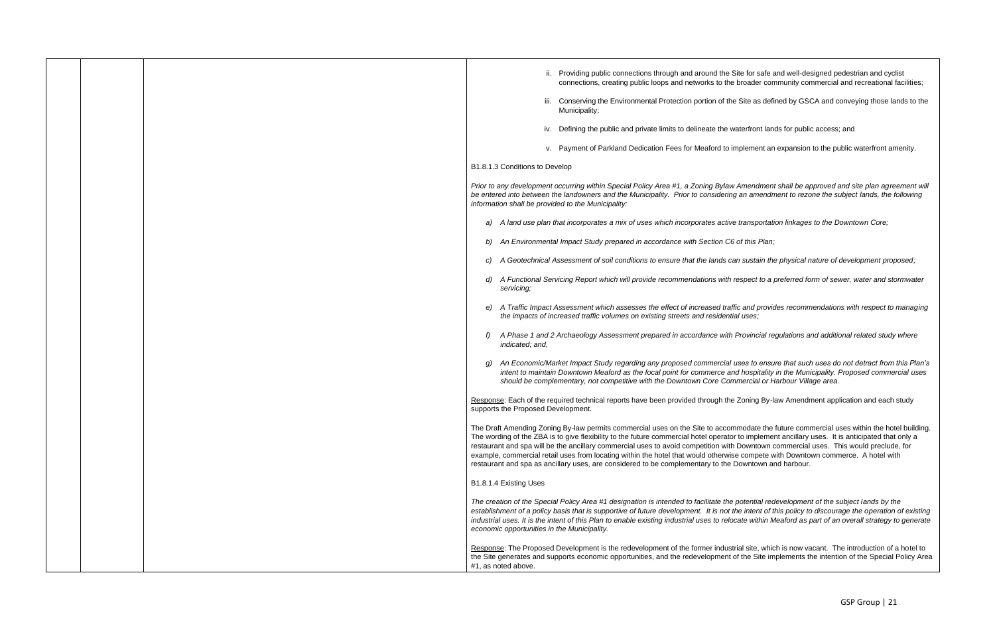Amendment shall be approved and site plan agreement will *be entered into between the landowners and the Municipality. Prior to considering an amendment to rezone the subject lands, the following* 

*A transportation linkages to the Downtown Core;*  $\overline{\phantom{a}}$ 

*<i>d d this Plan;* 

*c) A Geotechnical Assessment of soil conditions to ensure that the lands can sustain the physical nature of development proposed;*

*d respect to a preferred form of sewer, water and stormwater* 

fic and provides recommendations with respect to managing

*Provincial regulations and additional related study where* 

potential redevelopment of the subject lands by the *establishment of a policy basis that is supportive of future development. It is not the intent of this policy to discourage the operation of existing industrial uses. It is the intent of this Plan to enable existing industrial uses to relocate within Meaford as part of an overall strategy to generate* 

rial site, which is now vacant. The introduction of a hotel to of the Site implements the intention of the Special Policy Area

*g) An Economic/Market Impact Study regarding any proposed commercial uses to ensure that such uses do not detract from this Plan's intent to maintain Downtown Meaford as the focal point for commerce and hospitality in the Municipality. Proposed commercial uses should be complementary, not competitive with the Downtown Core Commercial or Harbour Village area.*

Responing By-law Amendment application and each study

Imodate the future commercial uses within the hotel building. r to implement ancillary uses. It is anticipated that only a Downtown commercial uses. This would preclude, for e compete with Downtown commerce. A hotel with Downtown and harbour.

|  | ii. Providing public connections through and around the Site for s<br>connections, creating public loops and networks to the broade                                                                                                                                                                                                                                                                                                                                    |
|--|------------------------------------------------------------------------------------------------------------------------------------------------------------------------------------------------------------------------------------------------------------------------------------------------------------------------------------------------------------------------------------------------------------------------------------------------------------------------|
|  | iii. Conserving the Environmental Protection portion of the Site as<br>Municipality;                                                                                                                                                                                                                                                                                                                                                                                   |
|  | iv. Defining the public and private limits to delineate the waterfror                                                                                                                                                                                                                                                                                                                                                                                                  |
|  | v. Payment of Parkland Dedication Fees for Meaford to impleme                                                                                                                                                                                                                                                                                                                                                                                                          |
|  | B1.8.1.3 Conditions to Develop                                                                                                                                                                                                                                                                                                                                                                                                                                         |
|  | Prior to any development occurring within Special Policy Area #1, a Zoning Bylaw Amend<br>be entered into between the landowners and the Municipality. Prior to considering an am<br>information shall be provided to the Municipality:                                                                                                                                                                                                                                |
|  | A land use plan that incorporates a mix of uses which incorporates active transp<br>a)                                                                                                                                                                                                                                                                                                                                                                                 |
|  | An Environmental Impact Study prepared in accordance with Section C6 of this                                                                                                                                                                                                                                                                                                                                                                                           |
|  | A Geotechnical Assessment of soil conditions to ensure that the lands can susta                                                                                                                                                                                                                                                                                                                                                                                        |
|  | A Functional Servicing Report which will provide recommendations with respect<br>servicing;                                                                                                                                                                                                                                                                                                                                                                            |
|  | A Traffic Impact Assessment which assesses the effect of increased traffic and p<br>the impacts of increased traffic volumes on existing streets and residential uses,                                                                                                                                                                                                                                                                                                 |
|  | A Phase 1 and 2 Archaeology Assessment prepared in accordance with Provinc<br>indicated; and,                                                                                                                                                                                                                                                                                                                                                                          |
|  | An Economic/Market Impact Study regarding any proposed commercial uses to<br>intent to maintain Downtown Meaford as the focal point for commerce and hospi<br>should be complementary, not competitive with the Downtown Core Commercia                                                                                                                                                                                                                                |
|  | Response: Each of the required technical reports have been provided through the Zoning<br>supports the Proposed Development.                                                                                                                                                                                                                                                                                                                                           |
|  | The Draft Amending Zoning By-law permits commercial uses on the Site to accommodate<br>The wording of the ZBA is to give flexibility to the future commercial hotel operator to imp<br>restaurant and spa will be the ancillary commercial uses to avoid competition with Downto<br>example, commercial retail uses from locating within the hotel that would otherwise comp<br>restaurant and spa as ancillary uses, are considered to be complementary to the Downto |
|  | B1.8.1.4 Existing Uses                                                                                                                                                                                                                                                                                                                                                                                                                                                 |
|  | The creation of the Special Policy Area #1 designation is intended to facilitate the potentia<br>establishment of a policy basis that is supportive of future development. It is not the inter<br>industrial uses. It is the intent of this Plan to enable existing industrial uses to relocate wit<br>economic opportunities in the Municipality.                                                                                                                     |
|  | Response: The Proposed Development is the redevelopment of the former industrial site,<br>the Site generates and supports economic opportunities, and the redevelopment of the S<br>#1, as noted above.                                                                                                                                                                                                                                                                |

Site for safe and well-designed pedestrian and cyclist broader community commercial and recreational facilities;

 $e$  Site as defined by GSCA and conveying those lands to the

raterfront lands for public access; and

mplement an expansion to the public waterfront amenity.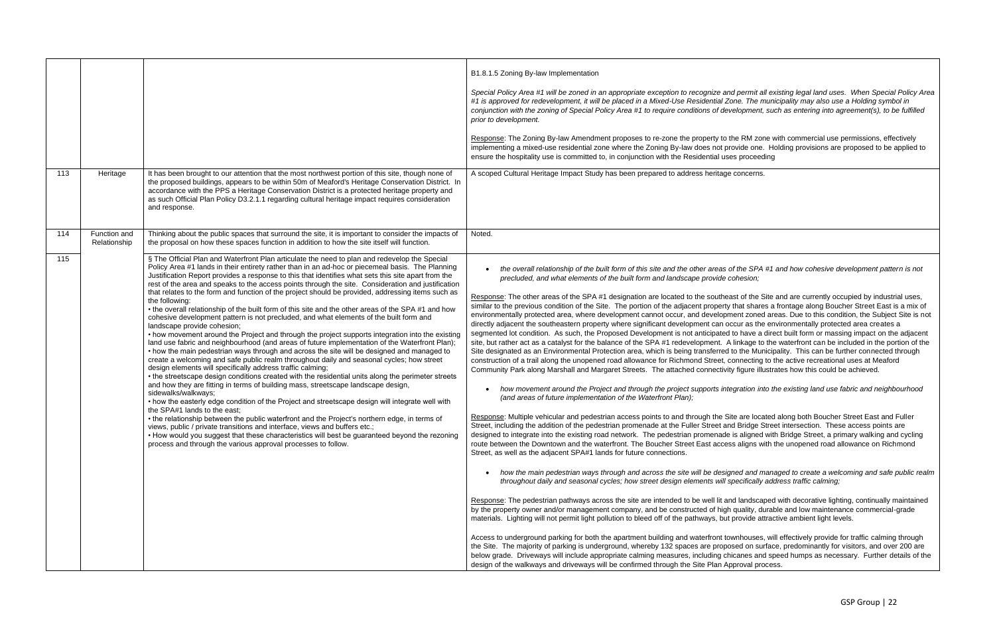*Special Policy Area #1 will be zoned in an appropriate exception to recognize and permit all existing legal land uses. When Special Policy Area #1 is approved for redevelopment, it will be placed in a Mixed-Use Residential Zone. The municipality may also use a Holding symbol in conjunction with the zoning of Special Policy Area #1 to require conditions of development, such as entering into agreement(s), to be fulfilled* 

he RM zone with commercial use permissions, effectively ovide one. Holding provisions are proposed to be applied to es proceeding

concerns.

|     |                              |                                                                                                                                                                                                                                                                                                                                                                                                                                                                                                                                                                                                                                                                                                                                                                                                                                                                                                                                                                                                                                                                                                                                                                                                                                                                                                                                                                                                                                                                                                                                                                                                                                                                                                                                                                                                                                                                                                                                              | B1.8.1.5 Zoning By-law Implementation<br>Special Policy Area #1 will be zoned in an appropriate exception to recognize and<br>#1 is approved for redevelopment, it will be placed in a Mixed-Use Residential Zo<br>conjunction with the zoning of Special Policy Area #1 to require conditions of dev<br>prior to development.<br>Response: The Zoning By-law Amendment proposes to re-zone the property to the<br>implementing a mixed-use residential zone where the Zoning By-law does not pro<br>ensure the hospitality use is committed to, in conjunction with the Residential use                                                                                                                                                                                                                                                                                                                                                                                                                                                                                                                                                                                                                                                                                                                                                                                                                                                                                                                                                                                                                                                                                                                                                                                                                                                                                                                                                                                                                                                                                                                                                                                                                                                                          |
|-----|------------------------------|----------------------------------------------------------------------------------------------------------------------------------------------------------------------------------------------------------------------------------------------------------------------------------------------------------------------------------------------------------------------------------------------------------------------------------------------------------------------------------------------------------------------------------------------------------------------------------------------------------------------------------------------------------------------------------------------------------------------------------------------------------------------------------------------------------------------------------------------------------------------------------------------------------------------------------------------------------------------------------------------------------------------------------------------------------------------------------------------------------------------------------------------------------------------------------------------------------------------------------------------------------------------------------------------------------------------------------------------------------------------------------------------------------------------------------------------------------------------------------------------------------------------------------------------------------------------------------------------------------------------------------------------------------------------------------------------------------------------------------------------------------------------------------------------------------------------------------------------------------------------------------------------------------------------------------------------|-------------------------------------------------------------------------------------------------------------------------------------------------------------------------------------------------------------------------------------------------------------------------------------------------------------------------------------------------------------------------------------------------------------------------------------------------------------------------------------------------------------------------------------------------------------------------------------------------------------------------------------------------------------------------------------------------------------------------------------------------------------------------------------------------------------------------------------------------------------------------------------------------------------------------------------------------------------------------------------------------------------------------------------------------------------------------------------------------------------------------------------------------------------------------------------------------------------------------------------------------------------------------------------------------------------------------------------------------------------------------------------------------------------------------------------------------------------------------------------------------------------------------------------------------------------------------------------------------------------------------------------------------------------------------------------------------------------------------------------------------------------------------------------------------------------------------------------------------------------------------------------------------------------------------------------------------------------------------------------------------------------------------------------------------------------------------------------------------------------------------------------------------------------------------------------------------------------------------------------------------------------------|
| 113 | Heritage                     | It has been brought to our attention that the most northwest portion of this site, though none of<br>the proposed buildings, appears to be within 50m of Meaford's Heritage Conservation District. In<br>accordance with the PPS a Heritage Conservation District is a protected heritage property and<br>as such Official Plan Policy D3.2.1.1 regarding cultural heritage impact requires consideration<br>and response.                                                                                                                                                                                                                                                                                                                                                                                                                                                                                                                                                                                                                                                                                                                                                                                                                                                                                                                                                                                                                                                                                                                                                                                                                                                                                                                                                                                                                                                                                                                   | A scoped Cultural Heritage Impact Study has been prepared to address heritage                                                                                                                                                                                                                                                                                                                                                                                                                                                                                                                                                                                                                                                                                                                                                                                                                                                                                                                                                                                                                                                                                                                                                                                                                                                                                                                                                                                                                                                                                                                                                                                                                                                                                                                                                                                                                                                                                                                                                                                                                                                                                                                                                                                     |
| 114 | Function and<br>Relationship | Thinking about the public spaces that surround the site, it is important to consider the impacts of<br>the proposal on how these spaces function in addition to how the site itself will function.                                                                                                                                                                                                                                                                                                                                                                                                                                                                                                                                                                                                                                                                                                                                                                                                                                                                                                                                                                                                                                                                                                                                                                                                                                                                                                                                                                                                                                                                                                                                                                                                                                                                                                                                           | Noted.                                                                                                                                                                                                                                                                                                                                                                                                                                                                                                                                                                                                                                                                                                                                                                                                                                                                                                                                                                                                                                                                                                                                                                                                                                                                                                                                                                                                                                                                                                                                                                                                                                                                                                                                                                                                                                                                                                                                                                                                                                                                                                                                                                                                                                                            |
| 115 |                              | § The Official Plan and Waterfront Plan articulate the need to plan and redevelop the Special<br>Policy Area #1 lands in their entirety rather than in an ad-hoc or piecemeal basis. The Planning<br>Justification Report provides a response to this that identifies what sets this site apart from the<br>rest of the area and speaks to the access points through the site. Consideration and justification<br>that relates to the form and function of the project should be provided, addressing items such as<br>the following:<br>• the overall relationship of the built form of this site and the other areas of the SPA #1 and how<br>cohesive development pattern is not precluded, and what elements of the built form and<br>landscape provide cohesion;<br>• how movement around the Project and through the project supports integration into the existing<br>land use fabric and neighbourhood (and areas of future implementation of the Waterfront Plan);<br>• how the main pedestrian ways through and across the site will be designed and managed to<br>create a welcoming and safe public realm throughout daily and seasonal cycles; how street<br>design elements will specifically address traffic calming;<br>• the streetscape design conditions created with the residential units along the perimeter streets<br>and how they are fitting in terms of building mass, streetscape landscape design,<br>sidewalks/walkways;<br>• how the easterly edge condition of the Project and streetscape design will integrate well with<br>the SPA#1 lands to the east;<br>• the relationship between the public waterfront and the Project's northern edge, in terms of<br>views, public / private transitions and interface, views and buffers etc.;<br>. How would you suggest that these characteristics will best be guaranteed beyond the rezoning<br>process and through the various approval processes to follow. | the overall relationship of the built form of this site and the other areas o<br>precluded, and what elements of the built form and landscape provide c<br>Response: The other areas of the SPA #1 designation are located to the southea<br>similar to the previous condition of the Site. The portion of the adjacent property<br>environmentally protected area, where development cannot occur, and developm<br>directly adjacent the southeastern property where significant development can oc<br>segmented lot condition. As such, the Proposed Development is not anticipated<br>site, but rather act as a catalyst for the balance of the SPA #1 redevelopment. A<br>Site designated as an Environmental Protection area, which is being transferred t<br>construction of a trail along the unopened road allowance for Richmond Street, co<br>Community Park along Marshall and Margaret Streets. The attached connectivity<br>how movement around the Project and through the project supports inte<br>(and areas of future implementation of the Waterfront Plan);<br>Response: Multiple vehicular and pedestrian access points to and through the Sit<br>Street, including the addition of the pedestrian promenade at the Fuller Street and<br>designed to integrate into the existing road network. The pedestrian promenade<br>route between the Downtown and the waterfront. The Boucher Street East acces<br>Street, as well as the adjacent SPA#1 lands for future connections.<br>how the main pedestrian ways through and across the site will be desigi<br>throughout daily and seasonal cycles; how street design elements will s<br>Response: The pedestrian pathways across the site are intended to be well lit an<br>by the property owner and/or management company, and be constructed of high<br>materials. Lighting will not permit light pollution to bleed off of the pathways, but<br>Access to underground parking for both the apartment building and waterfront tov<br>the Site. The majority of parking is underground, whereby 132 spaces are propos<br>below grade. Driveways will include appropriate calming measures, including chi<br>design of the walkways and driveways will be confirmed through the Site Plan Ap |

• *the overall relationship of the built form of this site and the other areas of the SPA #1 and how cohesive development pattern is not precluded, and what elements of the built form and landscape provide cohesion;* 

ast of the Site and are currently occupied by industrial uses, that shares a frontage along Boucher Street East is a mix of nent zoned areas. Due to this condition, the Subject Site is not ccur as the environmentally protected area creates a to have a direct built form or massing impact on the adjacent linkage to the waterfront can be included in the portion of the to the Municipality. This can be further connected through onnecting to the active recreational uses at Meaford y figure illustrates how this could be achieved.

• *how movement around the Project and through the project supports integration into the existing land use fabric and neighbourhood* 

te are located along both Boucher Street East and Fuller d Bridge Street intersection. These access points are is aligned with Bridge Street, a primary walking and cycling is aligns with the unopened road allowance on Richmond

• *how the main pedestrian ways through and across the site will be designed and managed to create a welcoming and safe public realm throughout daily and seasonal cycles; how street design elements will specifically address traffic calming;* 

respondian pathways ide are pedestrian and landscaped with decorative lighting, continually maintained quality, durable and low maintenance commercial-grade provide attractive ambient light levels.

wnhouses, will effectively provide for traffic calming through sed on surface, predominantly for visitors, and over 200 are icanes and speed humps as necessary. Further details of the proval process.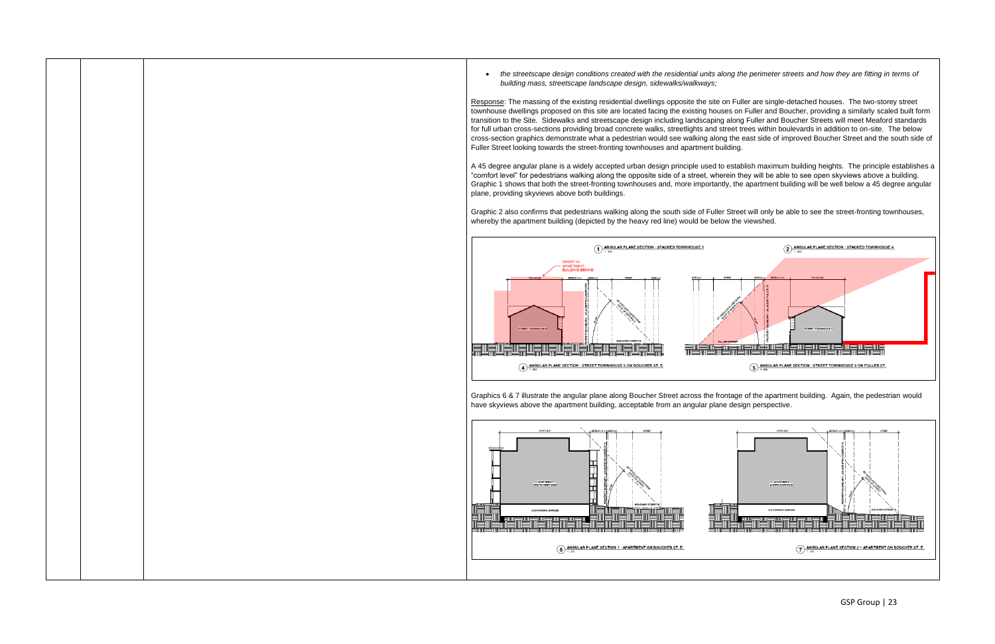• *the streetscape design conditions created with the residential units along the perimeter streets and how they are fitting in terms of building mass, streetscape landscape design, sidewalks/walkways;* 

Response: The massing of the existing residential dwellings opposite the site on Fuller are single-detached houses. The two-storey street townhouse dwellings proposed on this site are located facing the existing houses on Fuller and Boucher, providing a similarly scaled built form transition to the Site. Sidewalks and streetscape design including landscaping along Fuller and Boucher Streets will meet Meaford standards for full urban cross-sections providing broad concrete walks, streetlights and street trees within boulevards in addition to on-site. The below cross-section graphics demonstrate what a pedestrian would see walking along the east side of improved Boucher Street and the south side of Fuller Street looking towards the street-fronting townhouses and apartment building.

A 45 degree angular plane is a widely accepted urban design principle used to establish maximum building heights. The principle establishes a "comfort level" for pedestrians walking along the opposite side of a street, wherein they will be able to see open skyviews above a building. Graphic 1 shows that both the street-fronting townhouses and, more importantly, the apartment building will be well below a 45 degree angular plane, providing skyviews above both buildings.

Graphic 2 also confirms that pedestrians walking along the south side of Fuller Street will only be able to see the street-fronting townhouses, whereby the apartment building (depicted by the heavy red line) would be below the viewshed.



Graphics 6 & 7 illustrate the angular plane along Boucher Street across the frontage of the apartment building. Again, the pedestrian would have skyviews above the apartment building, acceptable from an angular plane design perspective.

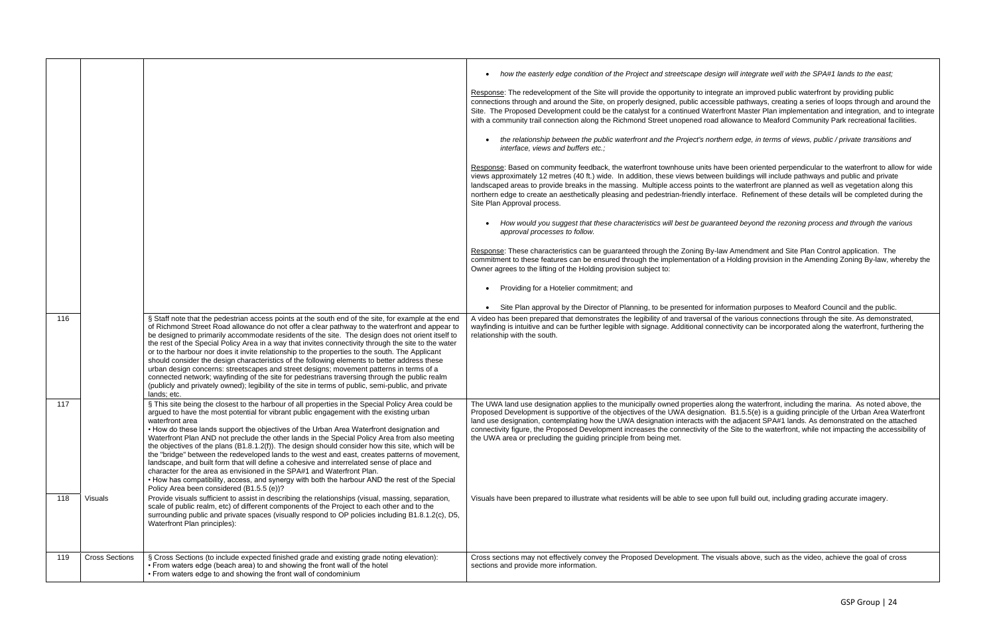| 116            |                       | § Staff note that the pedestrian access points at the south end of the site, for example at the end<br>of Richmond Street Road allowance do not offer a clear pathway to the waterfront and appear to<br>be designed to primarily accommodate residents of the site. The design does not orient itself to<br>the rest of the Special Policy Area in a way that invites connectivity through the site to the water<br>or to the harbour nor does it invite relationship to the properties to the south. The Applicant                                                                                                                                                                                                                                                                                                                                                                                                                        | how the easterly edge condition of the Project and streetscape design will integrate well with the SPA#1 lands to the east;<br>Response: The redevelopment of the Site will provide the opportunity to integrate an improved public waterfront by providing public<br>connections through and around the Site, on properly designed, public accessible pathways, creating a series of loops through and around the<br>Site. The Proposed Development could be the catalyst for a continued Waterfront Master Plan implementation and integration, and to integrate<br>with a community trail connection along the Richmond Street unopened road allowance to Meaford Community Park recreational facilities.<br>the relationship between the public waterfront and the Project's northern edge, in terms of views, public / private transitions and<br>interface, views and buffers etc.;<br>Response: Based on community feedback, the waterfront townhouse units have been oriented perpendicular to the waterfront to allow for wide<br>views approximately 12 metres (40 ft.) wide. In addition, these views between buildings will include pathways and public and private<br>landscaped areas to provide breaks in the massing. Multiple access points to the waterfront are planned as well as vegetation along this<br>northern edge to create an aesthetically pleasing and pedestrian-friendly interface. Refinement of these details will be completed during the<br>Site Plan Approval process.<br>How would you suggest that these characteristics will best be guaranteed beyond the rezoning process and through the various<br>approval processes to follow.<br>Response: These characteristics can be guaranteed through the Zoning By-law Amendment and Site Plan Control application. The<br>commitment to these features can be ensured through the implementation of a Holding provision in the Amending Zoning By-law, whereby the<br>Owner agrees to the lifting of the Holding provision subject to:<br>Providing for a Hotelier commitment; and<br>Site Plan approval by the Director of Planning, to be presented for information purposes to Meaford Council and the public.<br>A video has been prepared that demonstrates the legibility of and traversal of the various connections through the site. As demonstrated,<br>wayfinding is intuitive and can be further legible with signage. Additional connectivity can be incorporated along the waterfront, furthering the<br>relationship with the south. |
|----------------|-----------------------|---------------------------------------------------------------------------------------------------------------------------------------------------------------------------------------------------------------------------------------------------------------------------------------------------------------------------------------------------------------------------------------------------------------------------------------------------------------------------------------------------------------------------------------------------------------------------------------------------------------------------------------------------------------------------------------------------------------------------------------------------------------------------------------------------------------------------------------------------------------------------------------------------------------------------------------------|-------------------------------------------------------------------------------------------------------------------------------------------------------------------------------------------------------------------------------------------------------------------------------------------------------------------------------------------------------------------------------------------------------------------------------------------------------------------------------------------------------------------------------------------------------------------------------------------------------------------------------------------------------------------------------------------------------------------------------------------------------------------------------------------------------------------------------------------------------------------------------------------------------------------------------------------------------------------------------------------------------------------------------------------------------------------------------------------------------------------------------------------------------------------------------------------------------------------------------------------------------------------------------------------------------------------------------------------------------------------------------------------------------------------------------------------------------------------------------------------------------------------------------------------------------------------------------------------------------------------------------------------------------------------------------------------------------------------------------------------------------------------------------------------------------------------------------------------------------------------------------------------------------------------------------------------------------------------------------------------------------------------------------------------------------------------------------------------------------------------------------------------------------------------------------------------------------------------------------------------------------------------------------------------------------------------------------------------------------------------------------------------------------------------------------------------------------------------------------------------------------------------------------------------|
|                |                       | should consider the design characteristics of the following elements to better address these<br>urban design concerns: streetscapes and street designs; movement patterns in terms of a<br>connected network; wayfinding of the site for pedestrians traversing through the public realm<br>(publicly and privately owned); legibility of the site in terms of public, semi-public, and private<br>lands; etc.                                                                                                                                                                                                                                                                                                                                                                                                                                                                                                                              |                                                                                                                                                                                                                                                                                                                                                                                                                                                                                                                                                                                                                                                                                                                                                                                                                                                                                                                                                                                                                                                                                                                                                                                                                                                                                                                                                                                                                                                                                                                                                                                                                                                                                                                                                                                                                                                                                                                                                                                                                                                                                                                                                                                                                                                                                                                                                                                                                                                                                                                                           |
| 117            |                       | § This site being the closest to the harbour of all properties in the Special Policy Area could be<br>argued to have the most potential for vibrant public engagement with the existing urban<br>waterfront area<br>• How do these lands support the objectives of the Urban Area Waterfront designation and<br>Waterfront Plan AND not preclude the other lands in the Special Policy Area from also meeting<br>the objectives of the plans (B1.8.1.2(f)). The design should consider how this site, which will be<br>the "bridge" between the redeveloped lands to the west and east, creates patterns of movement,<br>landscape, and built form that will define a cohesive and interrelated sense of place and<br>character for the area as envisioned in the SPA#1 and Waterfront Plan.<br>• How has compatibility, access, and synergy with both the harbour AND the rest of the Special<br>Policy Area been considered (B1.5.5 (e))? | The UWA land use designation applies to the municipally owned properties along the waterfront, including the marina. As noted above, the<br>Proposed Development is supportive of the objectives of the UWA designation. B1.5.5(e) is a guiding principle of the Urban Area Waterfront<br>land use designation, contemplating how the UWA designation interacts with the adjacent SPA#1 lands. As demonstrated on the attached<br>connectivity figure, the Proposed Development increases the connectivity of the Site to the waterfront, while not impacting the accessibility of<br>the UWA area or precluding the quiding principle from being met.                                                                                                                                                                                                                                                                                                                                                                                                                                                                                                                                                                                                                                                                                                                                                                                                                                                                                                                                                                                                                                                                                                                                                                                                                                                                                                                                                                                                                                                                                                                                                                                                                                                                                                                                                                                                                                                                                    |
| Visuals<br>118 |                       | Provide visuals sufficient to assist in describing the relationships (visual, massing, separation,<br>scale of public realm, etc) of different components of the Project to each other and to the<br>surrounding public and private spaces (visually respond to OP policies including B1.8.1.2(c), D5,<br>Waterfront Plan principles):                                                                                                                                                                                                                                                                                                                                                                                                                                                                                                                                                                                                      | Visuals have been prepared to illustrate what residents will be able to see upon full build out, including grading accurate imagery.                                                                                                                                                                                                                                                                                                                                                                                                                                                                                                                                                                                                                                                                                                                                                                                                                                                                                                                                                                                                                                                                                                                                                                                                                                                                                                                                                                                                                                                                                                                                                                                                                                                                                                                                                                                                                                                                                                                                                                                                                                                                                                                                                                                                                                                                                                                                                                                                      |
| 119            | <b>Cross Sections</b> | § Cross Sections (to include expected finished grade and existing grade noting elevation):<br>• From waters edge (beach area) to and showing the front wall of the hotel<br>• From waters edge to and showing the front wall of condominium                                                                                                                                                                                                                                                                                                                                                                                                                                                                                                                                                                                                                                                                                                 | Cross sections may not effectively convey the Proposed Development. The visuals above, such as the video, achieve the goal of cross<br>sections and provide more information.                                                                                                                                                                                                                                                                                                                                                                                                                                                                                                                                                                                                                                                                                                                                                                                                                                                                                                                                                                                                                                                                                                                                                                                                                                                                                                                                                                                                                                                                                                                                                                                                                                                                                                                                                                                                                                                                                                                                                                                                                                                                                                                                                                                                                                                                                                                                                             |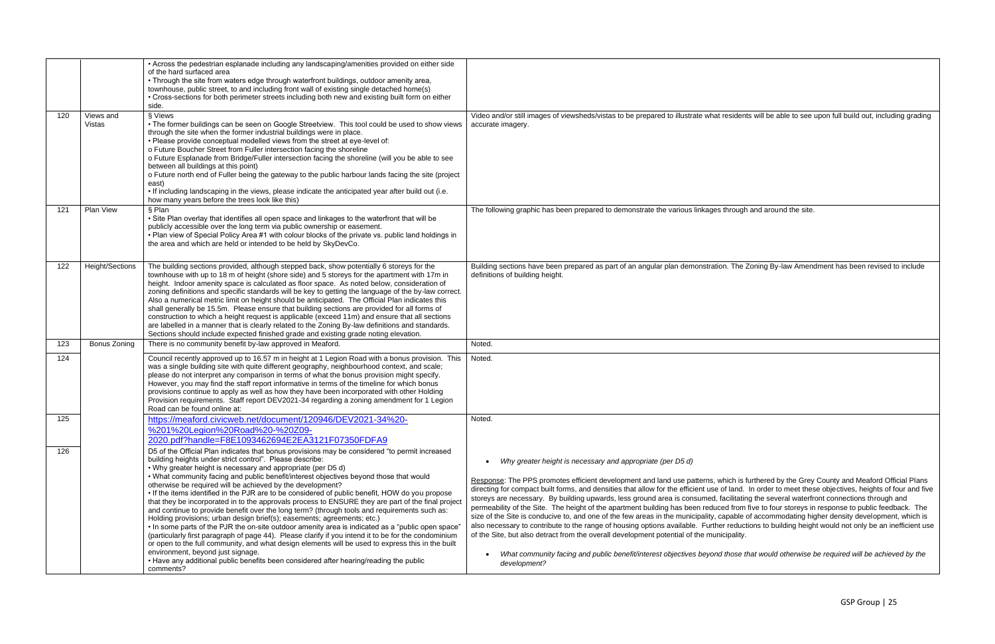|     |                     | • Across the pedestrian esplanade including any landscaping/amenities provided on either side<br>of the hard surfaced area<br>• Through the site from waters edge through waterfront buildings, outdoor amenity area,<br>townhouse, public street, to and including front wall of existing single detached home(s)<br>• Cross-sections for both perimeter streets including both new and existing built form on either<br>side.                                                                                                                                                                                                                                                                                                                                                                                                                                                                                                                                                                                                                                                                                                                                                                                                      |                                                                                                                                                                                                                                                                                                                                                                                                                                                                                                                                                                                                                                                                                                                                                                                                               |
|-----|---------------------|--------------------------------------------------------------------------------------------------------------------------------------------------------------------------------------------------------------------------------------------------------------------------------------------------------------------------------------------------------------------------------------------------------------------------------------------------------------------------------------------------------------------------------------------------------------------------------------------------------------------------------------------------------------------------------------------------------------------------------------------------------------------------------------------------------------------------------------------------------------------------------------------------------------------------------------------------------------------------------------------------------------------------------------------------------------------------------------------------------------------------------------------------------------------------------------------------------------------------------------|---------------------------------------------------------------------------------------------------------------------------------------------------------------------------------------------------------------------------------------------------------------------------------------------------------------------------------------------------------------------------------------------------------------------------------------------------------------------------------------------------------------------------------------------------------------------------------------------------------------------------------------------------------------------------------------------------------------------------------------------------------------------------------------------------------------|
| 120 | Views and<br>Vistas | § Views<br>• The former buildings can be seen on Google Streetview. This tool could be used to show views<br>through the site when the former industrial buildings were in place.<br>. Please provide conceptual modelled views from the street at eye-level of:<br>o Future Boucher Street from Fuller intersection facing the shoreline<br>o Future Esplanade from Bridge/Fuller intersection facing the shoreline (will you be able to see<br>between all buildings at this point)<br>o Future north end of Fuller being the gateway to the public harbour lands facing the site (project<br>east)<br>. If including landscaping in the views, please indicate the anticipated year after build out (i.e.<br>how many years before the trees look like this)                                                                                                                                                                                                                                                                                                                                                                                                                                                                      | Video and/or still images of viewsheds/vistas to be prepared to illustrate what residen<br>accurate imagery.                                                                                                                                                                                                                                                                                                                                                                                                                                                                                                                                                                                                                                                                                                  |
| 121 | Plan View           | § Plan<br>. Site Plan overlay that identifies all open space and linkages to the waterfront that will be<br>publicly accessible over the long term via public ownership or easement.<br>. Plan view of Special Policy Area #1 with colour blocks of the private vs. public land holdings in<br>the area and which are held or intended to be held by SkyDevCo.                                                                                                                                                                                                                                                                                                                                                                                                                                                                                                                                                                                                                                                                                                                                                                                                                                                                       | The following graphic has been prepared to demonstrate the various linkages through                                                                                                                                                                                                                                                                                                                                                                                                                                                                                                                                                                                                                                                                                                                           |
| 122 | Height/Sections     | The building sections provided, although stepped back, show potentially 6 storeys for the<br>townhouse with up to 18 m of height (shore side) and 5 storeys for the apartment with 17m in<br>height. Indoor amenity space is calculated as floor space. As noted below, consideration of<br>zoning definitions and specific standards will be key to getting the language of the by-law correct.<br>Also a numerical metric limit on height should be anticipated. The Official Plan indicates this<br>shall generally be 15.5m. Please ensure that building sections are provided for all forms of<br>construction to which a height request is applicable (exceed 11m) and ensure that all sections<br>are labelled in a manner that is clearly related to the Zoning By-law definitions and standards.<br>Sections should include expected finished grade and existing grade noting elevation.                                                                                                                                                                                                                                                                                                                                    | Building sections have been prepared as part of an angular plan demonstration. The<br>definitions of building height.                                                                                                                                                                                                                                                                                                                                                                                                                                                                                                                                                                                                                                                                                         |
| 123 | Bonus Zoning        | There is no community benefit by-law approved in Meaford.                                                                                                                                                                                                                                                                                                                                                                                                                                                                                                                                                                                                                                                                                                                                                                                                                                                                                                                                                                                                                                                                                                                                                                            | Noted.                                                                                                                                                                                                                                                                                                                                                                                                                                                                                                                                                                                                                                                                                                                                                                                                        |
| 124 |                     | Council recently approved up to 16.57 m in height at 1 Legion Road with a bonus provision. This<br>was a single building site with quite different geography, neighbourhood context, and scale;<br>please do not interpret any comparison in terms of what the bonus provision might specify.<br>However, you may find the staff report informative in terms of the timeline for which bonus<br>provisions continue to apply as well as how they have been incorporated with other Holding<br>Provision requirements. Staff report DEV2021-34 regarding a zoning amendment for 1 Legion<br>Road can be found online at:                                                                                                                                                                                                                                                                                                                                                                                                                                                                                                                                                                                                              | Noted.                                                                                                                                                                                                                                                                                                                                                                                                                                                                                                                                                                                                                                                                                                                                                                                                        |
| 125 |                     | https://meaford.civicweb.net/document/120946/DEV2021-34%20-<br>%201%20Legion%20Road%20-%20Z09-<br>2020.pdf?handle=F8E1093462694E2EA3121F07350FDFA9                                                                                                                                                                                                                                                                                                                                                                                                                                                                                                                                                                                                                                                                                                                                                                                                                                                                                                                                                                                                                                                                                   | Noted.                                                                                                                                                                                                                                                                                                                                                                                                                                                                                                                                                                                                                                                                                                                                                                                                        |
| 126 |                     | D5 of the Official Plan indicates that bonus provisions may be considered "to permit increased<br>building heights under strict control". Please describe:<br>• Why greater height is necessary and appropriate (per D5 d)<br>. What community facing and public benefit/interest objectives beyond those that would<br>otherwise be required will be achieved by the development?<br>• If the items identified in the PJR are to be considered of public benefit, HOW do you propose<br>that they be incorporated in to the approvals process to ENSURE they are part of the final project<br>and continue to provide benefit over the long term? (through tools and requirements such as:<br>Holding provisions; urban design brief(s); easements; agreements; etc.)<br>• In some parts of the PJR the on-site outdoor amenity area is indicated as a "public open space"<br>(particularly first paragraph of page 44). Please clarify if you intend it to be for the condominium<br>or open to the full community, and what design elements will be used to express this in the built<br>environment, beyond just signage.<br>• Have any additional public benefits been considered after hearing/reading the public<br>comments? | Why greater height is necessary and appropriate (per D5 d)<br>Response: The PPS promotes efficient development and land use patterns, which is<br>directing for compact built forms, and densities that allow for the efficient use of land.<br>storeys are necessary. By building upwards, less ground area is consumed, facilitatin<br>permeability of the Site. The height of the apartment building has been reduced from<br>size of the Site is conducive to, and one of the few areas in the municipality, capable<br>also necessary to contribute to the range of housing options available. Further reduc<br>of the Site, but also detract from the overall development potential of the municipality.<br>What community facing and public benefit/interest objectives beyond those t<br>development? |

esidents will be able to see upon full build out, including grading

rough and around the site.

 $\overline{\overline{B}}$  The Zoning By-law Amendment has been revised to include

ch is furthered by the Grey County and Meaford Official Plans direction for compact build for comparison for the efficient use of land. In order to meet these objectives, heights of four and five cilitating the several waterfront connections through and I from five to four storeys in response to public feedback. The pable of accommodating higher density development, which is reductions to building height would not only be an inefficient use

• *What community facing and public benefit/interest objectives beyond those that would otherwise be required will be achieved by the*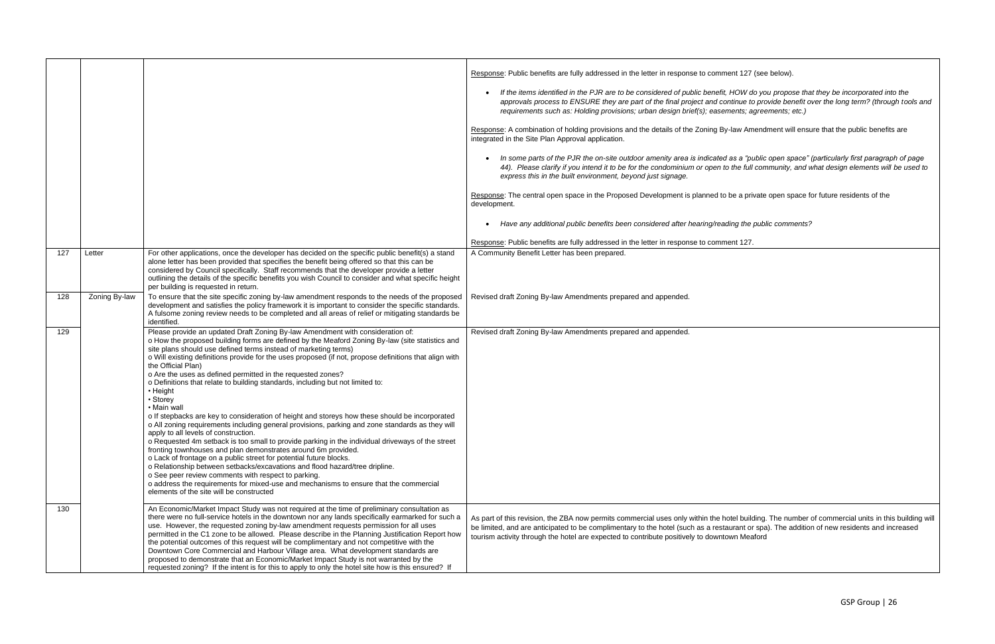|     |               |                                                                                                                                                                                                                                                                                                                                                                                                                                                                                                                                                                                                                                                                                                                                                                                                                                                                                                                                                                                                                                                                                                                                                                                                                                                                                                                                                 | Response: Public benefits are fully addressed in the letter in response to comment 127 (see below).<br>If the items identified in the PJR are to be considered of public benefit, HOW do you propose that they be incorporated into the<br>approvals process to ENSURE they are part of the final project and continue to provide benefit over the long term? (through tools and<br>requirements such as: Holding provisions; urban design brief(s); easements; agreements; etc.)<br>Response: A combination of holding provisions and the details of the Zoning By-law Amendment will ensure that the public benefits are<br>integrated in the Site Plan Approval application.<br>In some parts of the PJR the on-site outdoor amenity area is indicated as a "public open space" (particularly first paragraph of page<br>44). Please clarify if you intend it to be for the condominium or open to the full community, and what design elements will be used to<br>express this in the built environment, beyond just signage.<br>Response: The central open space in the Proposed Development is planned to be a private open space for future residents of the<br>development.<br>Have any additional public benefits been considered after hearing/reading the public comments? |
|-----|---------------|-------------------------------------------------------------------------------------------------------------------------------------------------------------------------------------------------------------------------------------------------------------------------------------------------------------------------------------------------------------------------------------------------------------------------------------------------------------------------------------------------------------------------------------------------------------------------------------------------------------------------------------------------------------------------------------------------------------------------------------------------------------------------------------------------------------------------------------------------------------------------------------------------------------------------------------------------------------------------------------------------------------------------------------------------------------------------------------------------------------------------------------------------------------------------------------------------------------------------------------------------------------------------------------------------------------------------------------------------|---------------------------------------------------------------------------------------------------------------------------------------------------------------------------------------------------------------------------------------------------------------------------------------------------------------------------------------------------------------------------------------------------------------------------------------------------------------------------------------------------------------------------------------------------------------------------------------------------------------------------------------------------------------------------------------------------------------------------------------------------------------------------------------------------------------------------------------------------------------------------------------------------------------------------------------------------------------------------------------------------------------------------------------------------------------------------------------------------------------------------------------------------------------------------------------------------------------------------------------------------------------------------------------|
|     |               |                                                                                                                                                                                                                                                                                                                                                                                                                                                                                                                                                                                                                                                                                                                                                                                                                                                                                                                                                                                                                                                                                                                                                                                                                                                                                                                                                 | Response: Public benefits are fully addressed in the letter in response to comment 127.                                                                                                                                                                                                                                                                                                                                                                                                                                                                                                                                                                                                                                                                                                                                                                                                                                                                                                                                                                                                                                                                                                                                                                                               |
| 127 | Letter        | For other applications, once the developer has decided on the specific public benefit(s) a stand<br>alone letter has been provided that specifies the benefit being offered so that this can be<br>considered by Council specifically. Staff recommends that the developer provide a letter<br>outlining the details of the specific benefits you wish Council to consider and what specific height<br>per building is requested in return.                                                                                                                                                                                                                                                                                                                                                                                                                                                                                                                                                                                                                                                                                                                                                                                                                                                                                                     | A Community Benefit Letter has been prepared.                                                                                                                                                                                                                                                                                                                                                                                                                                                                                                                                                                                                                                                                                                                                                                                                                                                                                                                                                                                                                                                                                                                                                                                                                                         |
| 128 | Zoning By-law | To ensure that the site specific zoning by-law amendment responds to the needs of the proposed<br>development and satisfies the policy framework it is important to consider the specific standards.<br>A fulsome zoning review needs to be completed and all areas of relief or mitigating standards be<br>identified.                                                                                                                                                                                                                                                                                                                                                                                                                                                                                                                                                                                                                                                                                                                                                                                                                                                                                                                                                                                                                         | Revised draft Zoning By-law Amendments prepared and appended.                                                                                                                                                                                                                                                                                                                                                                                                                                                                                                                                                                                                                                                                                                                                                                                                                                                                                                                                                                                                                                                                                                                                                                                                                         |
| 129 |               | Please provide an updated Draft Zoning By-law Amendment with consideration of:<br>o How the proposed building forms are defined by the Meaford Zoning By-law (site statistics and<br>site plans should use defined terms instead of marketing terms)<br>o Will existing definitions provide for the uses proposed (if not, propose definitions that align with<br>the Official Plan)<br>o Are the uses as defined permitted in the requested zones?<br>o Definitions that relate to building standards, including but not limited to:<br>• Height<br>• Storey<br>• Main wall<br>o If stepbacks are key to consideration of height and storeys how these should be incorporated<br>o All zoning requirements including general provisions, parking and zone standards as they will<br>apply to all levels of construction.<br>o Requested 4m setback is too small to provide parking in the individual driveways of the street<br>fronting townhouses and plan demonstrates around 6m provided.<br>o Lack of frontage on a public street for potential future blocks.<br>o Relationship between setbacks/excavations and flood hazard/tree dripline.<br>o See peer review comments with respect to parking.<br>o address the requirements for mixed-use and mechanisms to ensure that the commercial<br>elements of the site will be constructed | Revised draft Zoning By-law Amendments prepared and appended.                                                                                                                                                                                                                                                                                                                                                                                                                                                                                                                                                                                                                                                                                                                                                                                                                                                                                                                                                                                                                                                                                                                                                                                                                         |
| 130 |               | An Economic/Market Impact Study was not required at the time of preliminary consultation as<br>there were no full-service hotels in the downtown nor any lands specifically earmarked for such a<br>use. However, the requested zoning by-law amendment requests permission for all uses<br>permitted in the C1 zone to be allowed. Please describe in the Planning Justification Report how<br>the potential outcomes of this request will be complimentary and not competitive with the<br>Downtown Core Commercial and Harbour Village area. What development standards are<br>proposed to demonstrate that an Economic/Market Impact Study is not warranted by the<br>requested zoning? If the intent is for this to apply to only the hotel site how is this ensured? If                                                                                                                                                                                                                                                                                                                                                                                                                                                                                                                                                                   | As part of this revision, the ZBA now permits commercial uses only within the hotel building. The number of commercial units in this building will<br>be limited, and are anticipated to be complimentary to the hotel (such as a restaurant or spa). The addition of new residents and increased<br>tourism activity through the hotel are expected to contribute positively to downtown Meaford                                                                                                                                                                                                                                                                                                                                                                                                                                                                                                                                                                                                                                                                                                                                                                                                                                                                                     |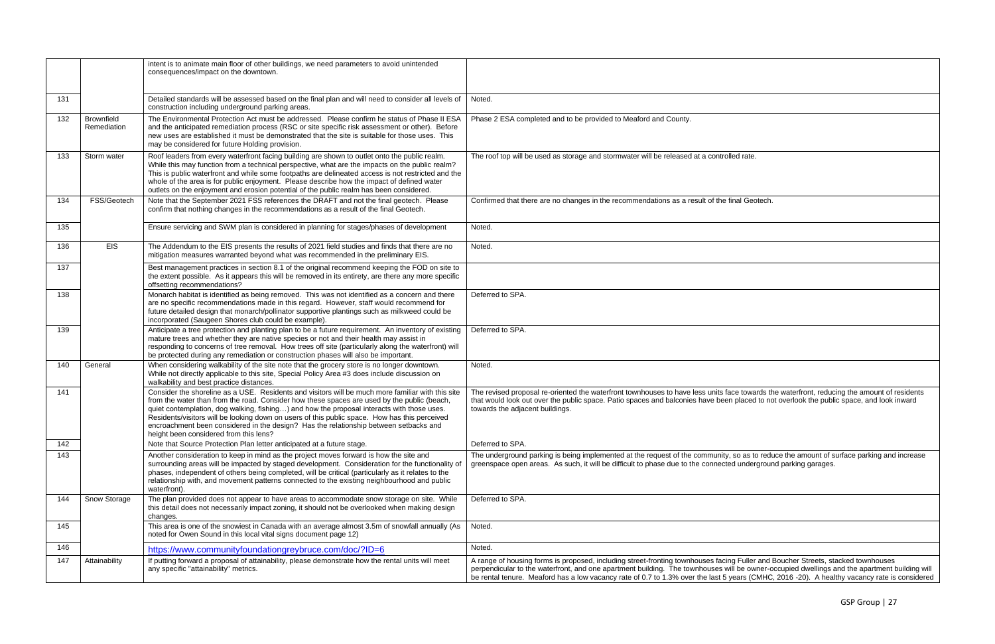|     |                                  | intent is to animate main floor of other buildings, we need parameters to avoid unintended<br>consequences/impact on the downtown.                                                                                                                                                                                                                                                                                                                                                                                                 |                                                                                                                                                                                                                                                                                                                                                                                                                                  |
|-----|----------------------------------|------------------------------------------------------------------------------------------------------------------------------------------------------------------------------------------------------------------------------------------------------------------------------------------------------------------------------------------------------------------------------------------------------------------------------------------------------------------------------------------------------------------------------------|----------------------------------------------------------------------------------------------------------------------------------------------------------------------------------------------------------------------------------------------------------------------------------------------------------------------------------------------------------------------------------------------------------------------------------|
| 131 |                                  | Detailed standards will be assessed based on the final plan and will need to consider all levels of<br>construction including underground parking areas.                                                                                                                                                                                                                                                                                                                                                                           | Noted.                                                                                                                                                                                                                                                                                                                                                                                                                           |
| 132 | <b>Brownfield</b><br>Remediation | The Environmental Protection Act must be addressed. Please confirm he status of Phase II ESA<br>and the anticipated remediation process (RSC or site specific risk assessment or other). Before<br>new uses are established it must be demonstrated that the site is suitable for those uses. This<br>may be considered for future Holding provision.                                                                                                                                                                              | Phase 2 ESA completed and to be provided to Meaford and County.                                                                                                                                                                                                                                                                                                                                                                  |
| 133 | Storm water                      | Roof leaders from every waterfront facing building are shown to outlet onto the public realm.<br>While this may function from a technical perspective, what are the impacts on the public realm?<br>This is public waterfront and while some footpaths are delineated access is not restricted and the<br>whole of the area is for public enjoyment. Please describe how the impact of defined water<br>outlets on the enjoyment and erosion potential of the public realm has been considered.                                    | The roof top will be used as storage and stormwater will be released at a controlled rate.                                                                                                                                                                                                                                                                                                                                       |
| 134 | FSS/Geotech                      | Note that the September 2021 FSS references the DRAFT and not the final geotech. Please<br>confirm that nothing changes in the recommendations as a result of the final Geotech.                                                                                                                                                                                                                                                                                                                                                   | Confirmed that there are no changes in the recommendations as a result of the final Geotech.                                                                                                                                                                                                                                                                                                                                     |
| 135 |                                  | Ensure servicing and SWM plan is considered in planning for stages/phases of development                                                                                                                                                                                                                                                                                                                                                                                                                                           | Noted.                                                                                                                                                                                                                                                                                                                                                                                                                           |
| 136 | <b>EIS</b>                       | The Addendum to the EIS presents the results of 2021 field studies and finds that there are no<br>mitigation measures warranted beyond what was recommended in the preliminary EIS.                                                                                                                                                                                                                                                                                                                                                | Noted.                                                                                                                                                                                                                                                                                                                                                                                                                           |
| 137 |                                  | Best management practices in section 8.1 of the original recommend keeping the FOD on site to<br>the extent possible. As it appears this will be removed in its entirety, are there any more specific<br>offsetting recommendations?                                                                                                                                                                                                                                                                                               |                                                                                                                                                                                                                                                                                                                                                                                                                                  |
| 138 |                                  | Monarch habitat is identified as being removed. This was not identified as a concern and there<br>are no specific recommendations made in this regard. However, staff would recommend for<br>future detailed design that monarch/pollinator supportive plantings such as milkweed could be<br>incorporated (Saugeen Shores club could be example).                                                                                                                                                                                 | Deferred to SPA.                                                                                                                                                                                                                                                                                                                                                                                                                 |
| 139 |                                  | Anticipate a tree protection and planting plan to be a future requirement. An inventory of existing<br>mature trees and whether they are native species or not and their health may assist in<br>responding to concerns of tree removal. How trees off site (particularly along the waterfront) will<br>be protected during any remediation or construction phases will also be important.                                                                                                                                         | Deferred to SPA.                                                                                                                                                                                                                                                                                                                                                                                                                 |
| 140 | General                          | When considering walkability of the site note that the grocery store is no longer downtown.<br>While not directly applicable to this site, Special Policy Area #3 does include discussion on<br>walkability and best practice distances.                                                                                                                                                                                                                                                                                           | Noted.                                                                                                                                                                                                                                                                                                                                                                                                                           |
| 141 |                                  | Consider the shoreline as a USE. Residents and visitors will be much more familiar with this site<br>from the water than from the road. Consider how these spaces are used by the public (beach,<br>quiet contemplation, dog walking, fishing) and how the proposal interacts with those uses.<br>Residents/visitors will be looking down on users of this public space. How has this perceived<br>encroachment been considered in the design? Has the relationship between setbacks and<br>height been considered from this lens? | The revised proposal re-oriented the waterfront townhouses to have less units face towards the waterfront, reducing the amount of residents<br>that would look out over the public space. Patio spaces and balconies have been placed to not overlook the public space, and look inward<br>towards the adjacent buildings.                                                                                                       |
| 142 |                                  | Note that Source Protection Plan letter anticipated at a future stage.                                                                                                                                                                                                                                                                                                                                                                                                                                                             | Deferred to SPA.                                                                                                                                                                                                                                                                                                                                                                                                                 |
| 143 |                                  | Another consideration to keep in mind as the project moves forward is how the site and<br>surrounding areas will be impacted by staged development. Consideration for the functionality of<br>phases, independent of others being completed, will be critical (particularly as it relates to the<br>relationship with, and movement patterns connected to the existing neighbourhood and public<br>waterfront).                                                                                                                    | The underground parking is being implemented at the request of the community, so as to reduce the amount of surface parking and increase<br>greenspace open areas. As such, it will be difficult to phase due to the connected underground parking garages.                                                                                                                                                                      |
| 144 | Snow Storage                     | The plan provided does not appear to have areas to accommodate snow storage on site. While<br>this detail does not necessarily impact zoning, it should not be overlooked when making design<br>changes.                                                                                                                                                                                                                                                                                                                           | Deferred to SPA.                                                                                                                                                                                                                                                                                                                                                                                                                 |
| 145 |                                  | This area is one of the snowiest in Canada with an average almost 3.5m of snowfall annually (As<br>noted for Owen Sound in this local vital signs document page 12)                                                                                                                                                                                                                                                                                                                                                                | Noted.                                                                                                                                                                                                                                                                                                                                                                                                                           |
| 146 |                                  | https://www.communityfoundationgreybruce.com/doc/?ID=6                                                                                                                                                                                                                                                                                                                                                                                                                                                                             | Noted.                                                                                                                                                                                                                                                                                                                                                                                                                           |
| 147 | Attainability                    | If putting forward a proposal of attainability, please demonstrate how the rental units will meet<br>any specific "attainability" metrics.                                                                                                                                                                                                                                                                                                                                                                                         | A range of housing forms is proposed, including street-fronting townhouses facing Fuller and Boucher Streets, stacked townhouses<br>perpendicular to the waterfront, and one apartment building. The townhouses will be owner-occupied dwellings and the apartment building will<br>be rental tenure. Meaford has a low vacancy rate of 0.7 to 1.3% over the last 5 years (CMHC, 2016 -20). A healthy vacancy rate is considered |

| ed rate.                                                                                                                |
|-------------------------------------------------------------------------------------------------------------------------|
|                                                                                                                         |
| nal Geotech.                                                                                                            |
|                                                                                                                         |
|                                                                                                                         |
|                                                                                                                         |
|                                                                                                                         |
|                                                                                                                         |
|                                                                                                                         |
|                                                                                                                         |
|                                                                                                                         |
|                                                                                                                         |
|                                                                                                                         |
| ce towards the waterfront, reducing the amount of residents<br>placed to not overlook the public space, and look inward |
|                                                                                                                         |
|                                                                                                                         |
| so as to reduce the amount of surface parking and increase<br>d underground parking garages.                            |
|                                                                                                                         |
|                                                                                                                         |
|                                                                                                                         |
|                                                                                                                         |
| g Fuller and Boucher Streets, stacked townhouses<br>Il be owner-occupied dwellings and the apartment building will      |
| ears (CMHC, 2016 -20). A healthy vacancy rate is considered                                                             |